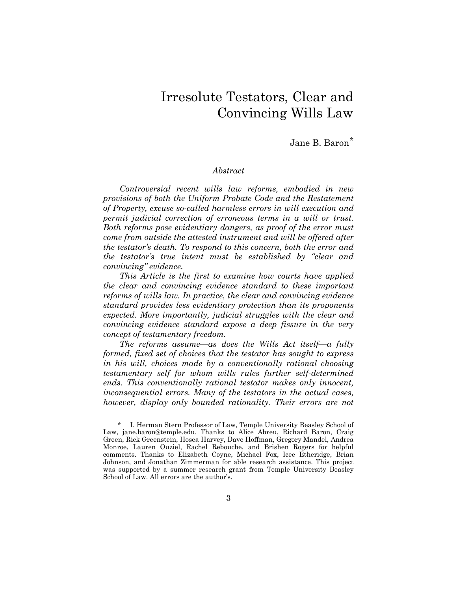# Irresolute Testators, Clear and Convincing Wills Law

Jane B. Baron\*

#### *Abstract*

*Controversial recent wills law reforms, embodied in new provisions of both the Uniform Probate Code and the Restatement of Property, excuse so-called harmless errors in will execution and permit judicial correction of erroneous terms in a will or trust. Both reforms pose evidentiary dangers, as proof of the error must come from outside the attested instrument and will be offered after the testator's death. To respond to this concern, both the error and the testator's true intent must be established by "clear and convincing" evidence.* 

*This Article is the first to examine how courts have applied the clear and convincing evidence standard to these important reforms of wills law. In practice, the clear and convincing evidence standard provides less evidentiary protection than its proponents expected. More importantly, judicial struggles with the clear and convincing evidence standard expose a deep fissure in the very concept of testamentary freedom.* 

*The reforms assume—as does the Wills Act itself—a fully formed, fixed set of choices that the testator has sought to express in his will, choices made by a conventionally rational choosing testamentary self for whom wills rules further self-determined ends. This conventionally rational testator makes only innocent, inconsequential errors. Many of the testators in the actual cases, however, display only bounded rationality. Their errors are not* 

I. Herman Stern Professor of Law, Temple University Beasley School of Law, jane.baron@temple.edu. Thanks to Alice Abreu, Richard Baron, Craig Green, Rick Greenstein, Hosea Harvey, Dave Hoffman, Gregory Mandel, Andrea Monroe, Lauren Ouziel, Rachel Rebouche, and Brishen Rogers for helpful comments. Thanks to Elizabeth Coyne, Michael Fox, Icee Etheridge, Brian Johnson, and Jonathan Zimmerman for able research assistance. This project was supported by a summer research grant from Temple University Beasley School of Law. All errors are the author's.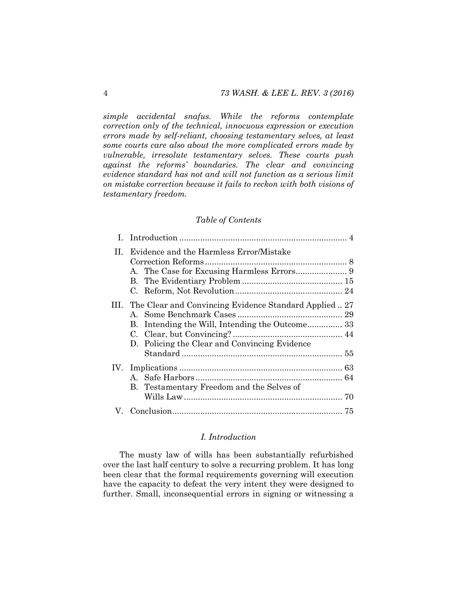*simple accidental snafus. While the reforms contemplate correction only of the technical, innocuous expression or execution errors made by self-reliant, choosing testamentary selves, at least some courts care also about the more complicated errors made by vulnerable, irresolute testamentary selves. These courts push against the reforms' boundaries. The clear and convincing evidence standard has not and will not function as a serious limit on mistake correction because it fails to reckon with both visions of testamentary freedom.* 

# *Table of Contents*

| H. | Evidence and the Harmless Error/Mistake                                                                                                                         |  |
|----|-----------------------------------------------------------------------------------------------------------------------------------------------------------------|--|
|    | III. The Clear and Convincing Evidence Standard Applied  27<br>B. Intending the Will, Intending the Outcome 33<br>D. Policing the Clear and Convincing Evidence |  |
|    | B. Testamentary Freedom and the Selves of                                                                                                                       |  |
|    |                                                                                                                                                                 |  |

# *I. Introduction*

The musty law of wills has been substantially refurbished over the last half century to solve a recurring problem. It has long been clear that the formal requirements governing will execution have the capacity to defeat the very intent they were designed to further. Small, inconsequential errors in signing or witnessing a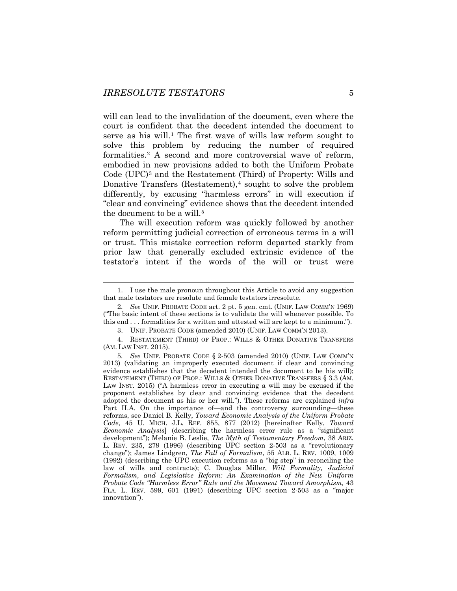will can lead to the invalidation of the document, even where the court is confident that the decedent intended the document to serve as his will.<sup>1</sup> The first wave of wills law reform sought to solve this problem by reducing the number of required formalities.2 A second and more controversial wave of reform, embodied in new provisions added to both the Uniform Probate Code (UPC)<sup>3</sup> and the Restatement (Third) of Property: Wills and Donative Transfers (Restatement),<sup>4</sup> sought to solve the problem differently, by excusing "harmless errors" in will execution if "clear and convincing" evidence shows that the decedent intended the document to be a will.<sup>5</sup>

The will execution reform was quickly followed by another reform permitting judicial correction of erroneous terms in a will or trust. This mistake correction reform departed starkly from prior law that generally excluded extrinsic evidence of the testator's intent if the words of the will or trust were

 <sup>1.</sup> I use the male pronoun throughout this Article to avoid any suggestion that male testators are resolute and female testators irresolute.

<sup>2</sup>*. See* UNIF. PROBATE CODE art. 2 pt. 5 gen. cmt. (UNIF. LAW COMM'N 1969) ("The basic intent of these sections is to validate the will whenever possible. To this end . . . formalities for a written and attested will are kept to a minimum.").

<sup>3.</sup> UNIF. PROBATE CODE (amended 2010) (UNIF. LAW COMM'N 2013).

<sup>4.</sup> RESTATEMENT (THIRD) OF PROP.: WILLS & OTHER DONATIVE TRANSFERS (AM. LAW INST. 2015).

<sup>5</sup>*. See* UNIF. PROBATE CODE § 2-503 (amended 2010) (UNIF. LAW COMM'N 2013) (validating an improperly executed document if clear and convincing evidence establishes that the decedent intended the document to be his will); RESTATEMENT (THIRD) OF PROP.: WILLS & OTHER DONATIVE TRANSFERS § 3.3 (AM. LAW INST. 2015) ("A harmless error in executing a will may be excused if the proponent establishes by clear and convincing evidence that the decedent adopted the document as his or her will."). These reforms are explained *infra* Part II.A. On the importance of—and the controversy surrounding—these reforms, see Daniel B. Kelly, *Toward Economic Analysis of the Uniform Probate Code*, 45 U. MICH. J.L. REF. 855, 877 (2012) [hereinafter Kelly, *Toward Economic Analysis*] (describing the harmless error rule as a "significant development"); Melanie B. Leslie, *The Myth of Testamentary Freedom*, 38 ARIZ. L. REV. 235, 279 (1996) (describing UPC section 2-503 as a "revolutionary change"); James Lindgren, *The Fall of Formalism*, 55 ALB. L. REV. 1009, 1009 (1992) (describing the UPC execution reforms as a "big step" in reconciling the law of wills and contracts); C. Douglas Miller, *Will Formality, Judicial Formalism, and Legislative Reform: An Examination of the New Uniform Probate Code "Harmless Error" Rule and the Movement Toward Amorphism,* 43 FLA. L. REV. 599, 601 (1991) (describing UPC section 2-503 as a "major innovation").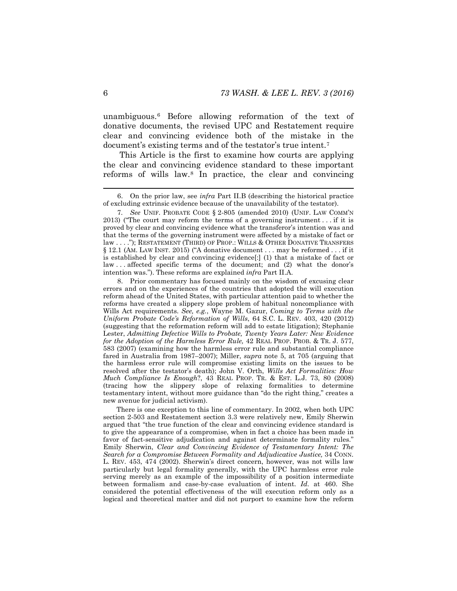unambiguous.6 Before allowing reformation of the text of donative documents, the revised UPC and Restatement require clear and convincing evidence both of the mistake in the document's existing terms and of the testator's true intent.7

This Article is the first to examine how courts are applying the clear and convincing evidence standard to these important reforms of wills law.8 In practice, the clear and convincing

8. Prior commentary has focused mainly on the wisdom of excusing clear errors and on the experiences of the countries that adopted the will execution reform ahead of the United States, with particular attention paid to whether the reforms have created a slippery slope problem of habitual noncompliance with Wills Act requirements. *See, e.g.*, Wayne M. Gazur, *Coming to Terms with the Uniform Probate Code's Reformation of Wills*, 64 S.C. L. REV. 403, 420 (2012) (suggesting that the reformation reform will add to estate litigation); Stephanie Lester, *Admitting Defective Wills to Probate, Twenty Years Later: New Evidence for the Adoption of the Harmless Error Rule,* 42 REAL PROP. PROB. & TR. J. 577, 583 (2007) (examining how the harmless error rule and substantial compliance fared in Australia from 1987–2007); Miller, *supra* note 5, at 705 (arguing that the harmless error rule will compromise existing limits on the issues to be resolved after the testator's death); John V. Orth, *Wills Act Formalities: How Much Compliance Is Enough*?, 43 REAL PROP. TR. & EST. L.J. 73, 80 (2008) (tracing how the slippery slope of relaxing formalities to determine testamentary intent, without more guidance than "do the right thing," creates a new avenue for judicial activism).

There is one exception to this line of commentary. In 2002, when both UPC section 2-503 and Restatement section 3.3 were relatively new, Emily Sherwin argued that "the true function of the clear and convincing evidence standard is to give the appearance of a compromise, when in fact a choice has been made in favor of fact-sensitive adjudication and against determinate formality rules." Emily Sherwin, *Clear and Convincing Evidence of Testamentary Intent: The Search for a Compromise Between Formality and Adjudicative Justice,* 34 CONN. L. REV. 453, 474 (2002). Sherwin's direct concern, however, was not wills law particularly but legal formality generally, with the UPC harmless error rule serving merely as an example of the impossibility of a position intermediate between formalism and case-by-case evaluation of intent. *Id*. at 460. She considered the potential effectiveness of the will execution reform only as a logical and theoretical matter and did not purport to examine how the reform

 <sup>6.</sup> On the prior law, see *infra* Part II.B (describing the historical practice of excluding extrinsic evidence because of the unavailability of the testator).

<sup>7</sup>*. See* UNIF. PROBATE CODE § 2-805 (amended 2010) (UNIF. LAW COMM'N 2013) ("The court may reform the terms of a governing instrument . . . if it is proved by clear and convincing evidence what the transferor's intention was and that the terms of the governing instrument were affected by a mistake of fact or law . . . ."); RESTATEMENT (THIRD) OF PROP.: WILLS & OTHER DONATIVE TRANSFERS § 12.1 (AM. LAW INST. 2015) ("A donative document . . . may be reformed . . . if it is established by clear and convincing evidence[:] (1) that a mistake of fact or law . . . affected specific terms of the document; and (2) what the donor's intention was."). These reforms are explained *infra* Part II.A.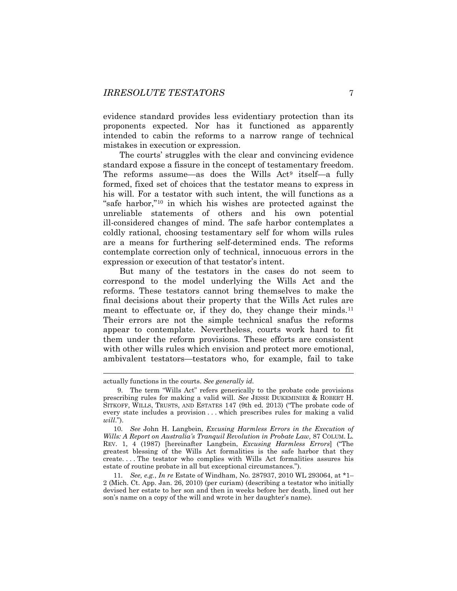evidence standard provides less evidentiary protection than its proponents expected. Nor has it functioned as apparently intended to cabin the reforms to a narrow range of technical mistakes in execution or expression.

The courts' struggles with the clear and convincing evidence standard expose a fissure in the concept of testamentary freedom. The reforms assume—as does the Wills Act<sup>9</sup> itself—a fully formed, fixed set of choices that the testator means to express in his will. For a testator with such intent, the will functions as a "safe harbor,"10 in which his wishes are protected against the unreliable statements of others and his own potential ill-considered changes of mind. The safe harbor contemplates a coldly rational, choosing testamentary self for whom wills rules are a means for furthering self-determined ends. The reforms contemplate correction only of technical, innocuous errors in the expression or execution of that testator's intent.

But many of the testators in the cases do not seem to correspond to the model underlying the Wills Act and the reforms. These testators cannot bring themselves to make the final decisions about their property that the Wills Act rules are meant to effectuate or, if they do, they change their minds.<sup>11</sup> Their errors are not the simple technical snafus the reforms appear to contemplate. Nevertheless, courts work hard to fit them under the reform provisions. These efforts are consistent with other wills rules which envision and protect more emotional, ambivalent testators—testators who, for example, fail to take

actually functions in the courts. *See generally id.*

<sup>9.</sup> The term "Wills Act" refers generically to the probate code provisions prescribing rules for making a valid will. *See* JESSE DUKEMINIER & ROBERT H. SITKOFF, WILLS, TRUSTS, AND ESTATES 147 (9th ed. 2013) ("The probate code of every state includes a provision . . . which prescribes rules for making a valid *will*.").

<sup>10</sup>*. See* John H. Langbein, *Excusing Harmless Errors in the Execution of Wills: A Report on Australia's Tranquil Revolution in Probate Law,* 87 COLUM. L. REV. 1, 4 (1987) [hereinafter Langbein, *Excusing Harmless Errors*] ("The greatest blessing of the Wills Act formalities is the safe harbor that they create. . . . The testator who complies with Wills Act formalities assures his estate of routine probate in all but exceptional circumstances.").

<sup>11</sup>*. See, e.g.*, *In re* Estate of Windham, No. 287937, 2010 WL 293064, at \*1– 2 (Mich. Ct. App. Jan. 26, 2010) (per curiam) (describing a testator who initially devised her estate to her son and then in weeks before her death, lined out her son's name on a copy of the will and wrote in her daughter's name).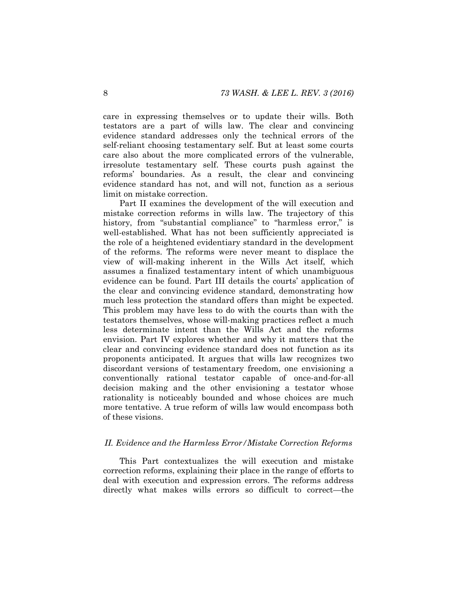care in expressing themselves or to update their wills. Both testators are a part of wills law. The clear and convincing evidence standard addresses only the technical errors of the self-reliant choosing testamentary self. But at least some courts care also about the more complicated errors of the vulnerable, irresolute testamentary self. These courts push against the reforms' boundaries. As a result, the clear and convincing evidence standard has not, and will not, function as a serious limit on mistake correction.

Part II examines the development of the will execution and mistake correction reforms in wills law. The trajectory of this history, from "substantial compliance" to "harmless error," is well-established. What has not been sufficiently appreciated is the role of a heightened evidentiary standard in the development of the reforms. The reforms were never meant to displace the view of will-making inherent in the Wills Act itself, which assumes a finalized testamentary intent of which unambiguous evidence can be found. Part III details the courts' application of the clear and convincing evidence standard, demonstrating how much less protection the standard offers than might be expected. This problem may have less to do with the courts than with the testators themselves, whose will-making practices reflect a much less determinate intent than the Wills Act and the reforms envision. Part IV explores whether and why it matters that the clear and convincing evidence standard does not function as its proponents anticipated. It argues that wills law recognizes two discordant versions of testamentary freedom, one envisioning a conventionally rational testator capable of once-and-for-all decision making and the other envisioning a testator whose rationality is noticeably bounded and whose choices are much more tentative. A true reform of wills law would encompass both of these visions.

# *II. Evidence and the Harmless Error/Mistake Correction Reforms*

This Part contextualizes the will execution and mistake correction reforms, explaining their place in the range of efforts to deal with execution and expression errors. The reforms address directly what makes wills errors so difficult to correct—the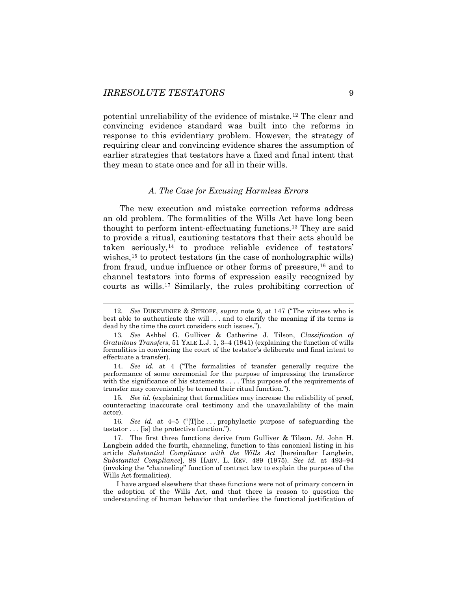potential unreliability of the evidence of mistake.12 The clear and convincing evidence standard was built into the reforms in response to this evidentiary problem. However, the strategy of requiring clear and convincing evidence shares the assumption of earlier strategies that testators have a fixed and final intent that they mean to state once and for all in their wills.

#### *A. The Case for Excusing Harmless Errors*

The new execution and mistake correction reforms address an old problem. The formalities of the Wills Act have long been thought to perform intent-effectuating functions.13 They are said to provide a ritual, cautioning testators that their acts should be taken seriously,<sup>14</sup> to produce reliable evidence of testators' wishes,<sup>15</sup> to protect testators (in the case of nonholographic wills) from fraud, undue influence or other forms of pressure,<sup>16</sup> and to channel testators into forms of expression easily recognized by courts as wills.17 Similarly, the rules prohibiting correction of

 <sup>12</sup>*. See* DUKEMINIER & SITKOFF, *supra* note 9, at 147 ("The witness who is best able to authenticate the will . . . and to clarify the meaning if its terms is dead by the time the court considers such issues.").

<sup>13</sup>*. See* Ashbel G. Gulliver & Catherine J. Tilson, *Classification of Gratuitous Transfers*, 51 YALE L.J. 1, 3–4 (1941) (explaining the function of wills formalities in convincing the court of the testator's deliberate and final intent to effectuate a transfer).

<sup>14.</sup> *See id.* at 4 ("The formalities of transfer generally require the performance of some ceremonial for the purpose of impressing the transferor with the significance of his statements . . . . This purpose of the requirements of transfer may conveniently be termed their ritual function.").

<sup>15</sup>*. See id.* (explaining that formalities may increase the reliability of proof, counteracting inaccurate oral testimony and the unavailability of the main actor).

<sup>16</sup>*. See id.* at 4–5 ("[T]he . . . prophylactic purpose of safeguarding the testator . . . [is] the protective function.").

<sup>17.</sup> The first three functions derive from Gulliver & Tilson. *Id.* John H. Langbein added the fourth, channeling, function to this canonical listing in his article *Substantial Compliance with the Wills Act* [hereinafter Langbein, *Substantial Compliance*], 88 HARV. L. REV. 489 (1975). *See id.* at 493–94 (invoking the "channeling" function of contract law to explain the purpose of the Wills Act formalities).

I have argued elsewhere that these functions were not of primary concern in the adoption of the Wills Act, and that there is reason to question the understanding of human behavior that underlies the functional justification of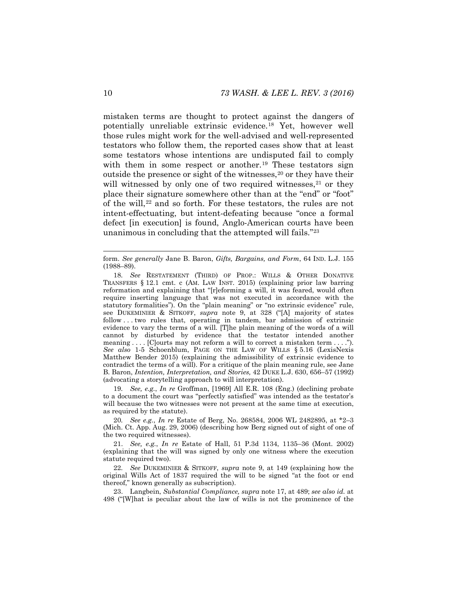mistaken terms are thought to protect against the dangers of potentially unreliable extrinsic evidence.18 Yet, however well those rules might work for the well-advised and well-represented testators who follow them, the reported cases show that at least some testators whose intentions are undisputed fail to comply with them in some respect or another.<sup>19</sup> These testators sign outside the presence or sight of the witnesses, $20$  or they have their will witnessed by only one of two required witnesses,  $21$  or they place their signature somewhere other than at the "end" or "foot" of the will,22 and so forth. For these testators, the rules are not intent-effectuating, but intent-defeating because "once a formal defect [in execution] is found, Anglo-American courts have been unanimous in concluding that the attempted will fails."23

20*. See e.g.*, *In re* Estate of Berg, No. 268584, 2006 WL 2482895, at \*2–3 (Mich. Ct. App. Aug. 29, 2006) (describing how Berg signed out of sight of one of the two required witnesses).

21. *See, e.g.*, *In re* Estate of Hall, 51 P.3d 1134, 1135–36 (Mont. 2002) (explaining that the will was signed by only one witness where the execution statute required two).

22*. See* DUKEMINIER & SITKOFF, *supra* note 9, at 149 (explaining how the original Wills Act of 1837 required the will to be signed "at the foot or end thereof," known generally as subscription).

form. *See generally* Jane B. Baron, *Gifts, Bargains, and Form*, 64 IND. L.J. <sup>155</sup> (1988–89).

<sup>18</sup>*. See* RESTATEMENT (THIRD) OF PROP.: WILLS & OTHER DONATIVE TRANSFERS § 12.1 cmt. c (AM. LAW INST. 2015) (explaining prior law barring reformation and explaining that "[r]eforming a will, it was feared, would often require inserting language that was not executed in accordance with the statutory formalities"). On the "plain meaning" or "no extrinsic evidence" rule, see DUKEMINIER & SITKOFF, *supra* note 9, at 328 ("[A] majority of states follow . . . two rules that, operating in tandem, bar admission of extrinsic evidence to vary the terms of a will. [T]he plain meaning of the words of a will cannot by disturbed by evidence that the testator intended another meaning . . . . [C]ourts may not reform a will to correct a mistaken term . . . ."). *See also* 1-5 Schoenblum, PAGE ON THE LAW OF WILLS § 5.16 (LexisNexis Matthew Bender 2015) (explaining the admissibility of extrinsic evidence to contradict the terms of a will). For a critique of the plain meaning rule, see Jane B. Baron, *Intention, Interpretation, and Stories,* 42 DUKE L.J. 630, 656–57 (1992) (advocating a storytelling approach to will interpretation).

<sup>19</sup>*. See, e.g.*, *In re* Groffman, [1969] All E.R. 108 (Eng.) (declining probate to a document the court was "perfectly satisfied" was intended as the testator's will because the two witnesses were not present at the same time at execution, as required by the statute).

<sup>23.</sup> Langbein, *Substantial Compliance, supra* note 17, at 489; *see also id.* at 498 ("[W]hat is peculiar about the law of wills is not the prominence of the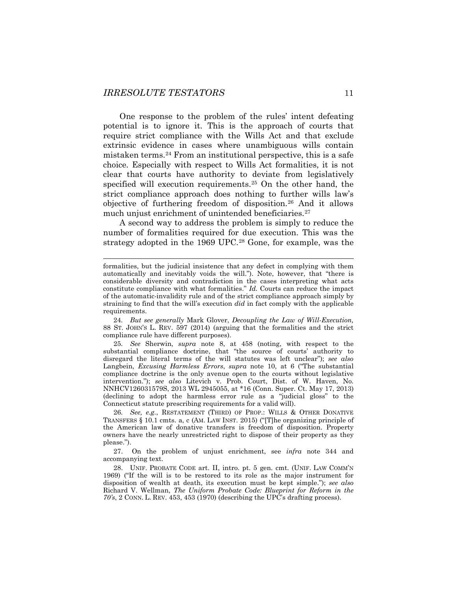One response to the problem of the rules' intent defeating potential is to ignore it. This is the approach of courts that require strict compliance with the Wills Act and that exclude extrinsic evidence in cases where unambiguous wills contain mistaken terms.24 From an institutional perspective, this is a safe choice. Especially with respect to Wills Act formalities, it is not clear that courts have authority to deviate from legislatively specified will execution requirements.25 On the other hand, the strict compliance approach does nothing to further wills law's objective of furthering freedom of disposition.26 And it allows much unjust enrichment of unintended beneficiaries.<sup>27</sup>

A second way to address the problem is simply to reduce the number of formalities required for due execution. This was the strategy adopted in the 1969 UPC.28 Gone, for example, was the

24*. But see generally* Mark Glover, *Decoupling the Law of Will-Execution,*  88 ST. JOHN'S L. REV. 597 (2014) (arguing that the formalities and the strict compliance rule have different purposes).

25*. See* Sherwin, *supra* note 8, at 458 (noting, with respect to the substantial compliance doctrine, that "the source of courts' authority to disregard the literal terms of the will statutes was left unclear"); *see also* Langbein, *Excusing Harmless Errors*, *supra* note 10, at 6 ("The substantial compliance doctrine is the only avenue open to the courts without legislative intervention."); *see also* Litevich v. Prob. Court, Dist. of W. Haven, No. NNHCV126031579S, 2013 WL 2945055, at \*16 (Conn. Super. Ct. May 17, 2013) (declining to adopt the harmless error rule as a "judicial gloss" to the Connecticut statute prescribing requirements for a valid will).

26*. See, e.g.*, RESTATEMENT (THIRD) OF PROP.: WILLS & OTHER DONATIVE TRANSFERS § 10.1 cmts. a, c (AM. LAW INST. 2015) ("[T]he organizing principle of the American law of donative transfers is freedom of disposition. Property owners have the nearly unrestricted right to dispose of their property as they please.").

27. On the problem of unjust enrichment, see *infra* note 344 and accompanying text.

28. UNIF. PROBATE CODE art. II, intro. pt. 5 gen. cmt. (UNIF. LAW COMM'N 1969) ("If the will is to be restored to its role as the major instrument for disposition of wealth at death, its execution must be kept simple."); *see also* Richard V. Wellman, *The Uniform Probate Code: Blueprint for Reform in the 70's*, 2 CONN. L. REV. 453, 453 (1970) (describing the UPC's drafting process).

formalities, but the judicial insistence that any defect in complying with them automatically and inevitably voids the will."). Note, however, that "there is considerable diversity and contradiction in the cases interpreting what acts constitute compliance with what formalities." *Id.* Courts can reduce the impact of the automatic-invalidity rule and of the strict compliance approach simply by straining to find that the will's execution *did* in fact comply with the applicable requirements.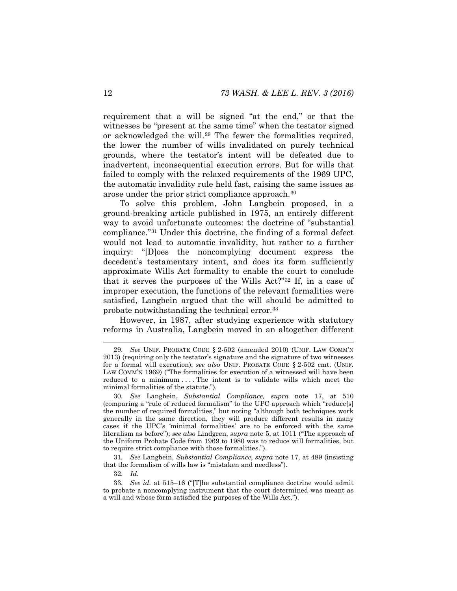requirement that a will be signed "at the end," or that the witnesses be "present at the same time" when the testator signed or acknowledged the will.29 The fewer the formalities required, the lower the number of wills invalidated on purely technical grounds, where the testator's intent will be defeated due to inadvertent, inconsequential execution errors. But for wills that failed to comply with the relaxed requirements of the 1969 UPC, the automatic invalidity rule held fast, raising the same issues as arose under the prior strict compliance approach.30

To solve this problem, John Langbein proposed, in a ground-breaking article published in 1975, an entirely different way to avoid unfortunate outcomes: the doctrine of "substantial compliance."31 Under this doctrine, the finding of a formal defect would not lead to automatic invalidity, but rather to a further inquiry: "[D]oes the noncomplying document express the decedent's testamentary intent, and does its form sufficiently approximate Wills Act formality to enable the court to conclude that it serves the purposes of the Wills Act?"32 If, in a case of improper execution, the functions of the relevant formalities were satisfied, Langbein argued that the will should be admitted to probate notwithstanding the technical error.33

However, in 1987, after studying experience with statutory reforms in Australia, Langbein moved in an altogether different

31*. See* Langbein, *Substantial Compliance*, *supra* note 17, at 489 (insisting that the formalism of wills law is "mistaken and needless").

 <sup>29</sup>*. See* UNIF. PROBATE CODE § 2-502 (amended 2010) (UNIF. LAW COMM'N 2013) (requiring only the testator's signature and the signature of two witnesses for a formal will execution); *see also* UNIF. PROBATE CODE § 2-502 cmt. (UNIF. LAW COMM'N 1969) ("The formalities for execution of a witnessed will have been reduced to a minimum . . . . The intent is to validate wills which meet the minimal formalities of the statute.").

<sup>30</sup>*. See* Langbein, *Substantial Compliance, supra* note 17, at 510 (comparing a "rule of reduced formalism" to the UPC approach which "reduce[s] the number of required formalities," but noting "although both techniques work generally in the same direction, they will produce different results in many cases if the UPC's 'minimal formalities' are to be enforced with the same literalism as before"); *see also* Lindgren, *supra* note 5, at 1011 ("The approach of the Uniform Probate Code from 1969 to 1980 was to reduce will formalities, but to require strict compliance with those formalities.").

<sup>32</sup>*. Id.*

<sup>33</sup>*. See id.* at 515–16 ("[T]he substantial compliance doctrine would admit to probate a noncomplying instrument that the court determined was meant as a will and whose form satisfied the purposes of the Wills Act.").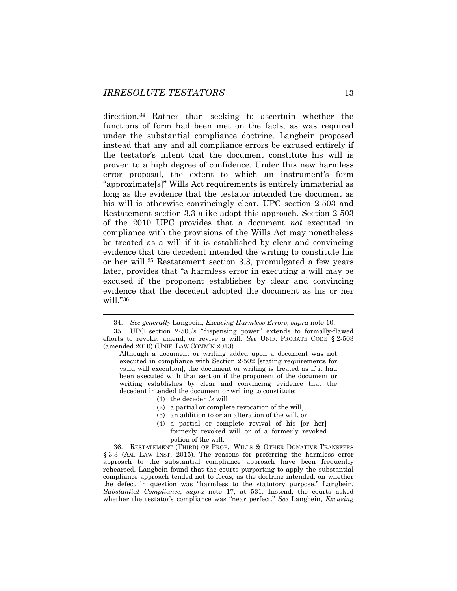direction.34 Rather than seeking to ascertain whether the functions of form had been met on the facts, as was required under the substantial compliance doctrine, Langbein proposed instead that any and all compliance errors be excused entirely if the testator's intent that the document constitute his will is proven to a high degree of confidence. Under this new harmless error proposal, the extent to which an instrument's form "approximate[s]" Wills Act requirements is entirely immaterial as long as the evidence that the testator intended the document as his will is otherwise convincingly clear. UPC section 2-503 and Restatement section 3.3 alike adopt this approach. Section 2-503 of the 2010 UPC provides that a document *not* executed in compliance with the provisions of the Wills Act may nonetheless be treated as a will if it is established by clear and convincing evidence that the decedent intended the writing to constitute his or her will.35 Restatement section 3.3, promulgated a few years later, provides that "a harmless error in executing a will may be excused if the proponent establishes by clear and convincing evidence that the decedent adopted the document as his or her will."36

- (1) the decedent's will
- (2) a partial or complete revocation of the will,
- (3) an addition to or an alteration of the will, or
- (4) a partial or complete revival of his [or her] formerly revoked will or of a formerly revoked potion of the will.

36. RESTATEMENT (THIRD) OF PROP.: WILLS & OTHER DONATIVE TRANSFERS § 3.3 (AM. LAW INST. 2015). The reasons for preferring the harmless error approach to the substantial compliance approach have been frequently rehearsed. Langbein found that the courts purporting to apply the substantial compliance approach tended not to focus, as the doctrine intended, on whether the defect in question was "harmless to the statutory purpose." Langbein, *Substantial Compliance, supra* note 17, at 531. Instead, the courts asked whether the testator's compliance was "near perfect." *See* Langbein, *Excusing* 

 <sup>34.</sup> *See generally* Langbein, *Excusing Harmless Errors*, *supra* note 10.

<sup>35.</sup> UPC section 2-503's "dispensing power" extends to formally-flawed efforts to revoke, amend, or revive a will. *See* UNIF. PROBATE CODE § 2-503 (amended 2010) (UNIF. LAW COMM'N 2013)

Although a document or writing added upon a document was not executed in compliance with Section 2-502 [stating requirements for valid will execution], the document or writing is treated as if it had been executed with that section if the proponent of the document or writing establishes by clear and convincing evidence that the decedent intended the document or writing to constitute: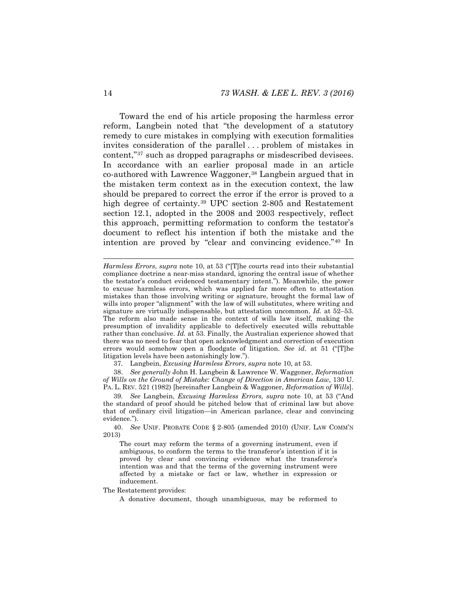Toward the end of his article proposing the harmless error reform, Langbein noted that "the development of a statutory remedy to cure mistakes in complying with execution formalities invites consideration of the parallel . . . problem of mistakes in content,"37 such as dropped paragraphs or misdescribed devisees. In accordance with an earlier proposal made in an article co-authored with Lawrence Waggoner,38 Langbein argued that in the mistaken term context as in the execution context, the law should be prepared to correct the error if the error is proved to a high degree of certainty.<sup>39</sup> UPC section 2-805 and Restatement section 12.1, adopted in the 2008 and 2003 respectively, reflect this approach, permitting reformation to conform the testator's document to reflect his intention if both the mistake and the intention are proved by "clear and convincing evidence."40 In

37*.* Langbein, *Excusing Harmless Errors*, *supra* note 10, at 53.

38. *See generally* John H. Langbein & Lawrence W. Waggoner, *Reformation of Wills on the Ground of Mistake: Change of Direction in American Law*, 130 U. PA. L. REV. 521 (1982) [hereinafter Langbein & Waggoner, *Reformation of Wills*].

The Restatement provides:

A donative document, though unambiguous, may be reformed to

 $\overline{a}$ 

*Harmless Errors*, *supra* note 10, at 53 ("[T]he courts read into their substantial compliance doctrine a near-miss standard, ignoring the central issue of whether the testator's conduct evidenced testamentary intent."). Meanwhile, the power to excuse harmless errors, which was applied far more often to attestation mistakes than those involving writing or signature, brought the formal law of wills into proper "alignment" with the law of will substitutes, where writing and signature are virtually indispensable, but attestation uncommon. *Id.* at 52–53. The reform also made sense in the context of wills law itself, making the presumption of invalidity applicable to defectively executed wills rebuttable rather than conclusive. *Id.* at 53. Finally, the Australian experience showed that there was no need to fear that open acknowledgment and correction of execution errors would somehow open a floodgate of litigation. *See id.* at 51 ("[T]he litigation levels have been astonishingly low.").

<sup>39</sup>*. See* Langbein, *Excusing Harmless Errors, supra* note 10, at 53 ("And the standard of proof should be pitched below that of criminal law but above that of ordinary civil litigation—in American parlance, clear and convincing evidence.").

<sup>40.</sup> *See* UNIF. PROBATE CODE § 2-805 (amended 2010) (UNIF. LAW COMM'N 2013)

The court may reform the terms of a governing instrument, even if ambiguous, to conform the terms to the transferor's intention if it is proved by clear and convincing evidence what the transferor's intention was and that the terms of the governing instrument were affected by a mistake or fact or law, whether in expression or inducement.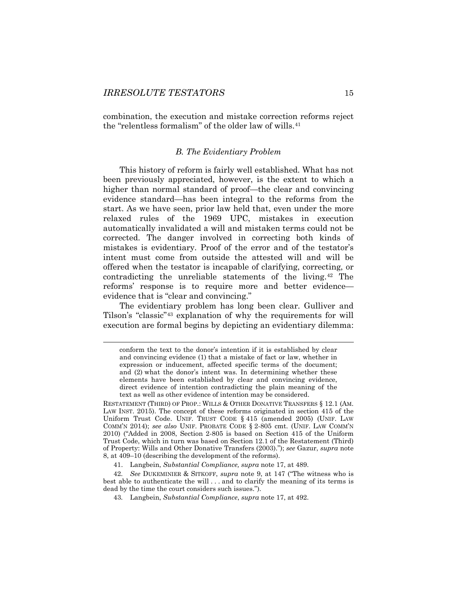combination, the execution and mistake correction reforms reject the "relentless formalism" of the older law of wills.41

#### *B. The Evidentiary Problem*

This history of reform is fairly well established. What has not been previously appreciated, however, is the extent to which a higher than normal standard of proof—the clear and convincing evidence standard—has been integral to the reforms from the start. As we have seen, prior law held that, even under the more relaxed rules of the 1969 UPC, mistakes in execution automatically invalidated a will and mistaken terms could not be corrected. The danger involved in correcting both kinds of mistakes is evidentiary. Proof of the error and of the testator's intent must come from outside the attested will and will be offered when the testator is incapable of clarifying, correcting, or contradicting the unreliable statements of the living.42 The reforms' response is to require more and better evidence evidence that is "clear and convincing."

The evidentiary problem has long been clear. Gulliver and Tilson's "classic"43 explanation of why the requirements for will execution are formal begins by depicting an evidentiary dilemma:

41. Langbein, *Substantial Compliance, supra* note 17, at 489.

conform the text to the donor's intention if it is established by clear and convincing evidence (1) that a mistake of fact or law, whether in expression or inducement, affected specific terms of the document; and (2) what the donor's intent was. In determining whether these elements have been established by clear and convincing evidence, direct evidence of intention contradicting the plain meaning of the text as well as other evidence of intention may be considered.

RESTATEMENT (THIRD) OF PROP.: WILLS & OTHER DONATIVE TRANSFERS § 12.1 (AM. LAW INST. 2015). The concept of these reforms originated in section 415 of the Uniform Trust Code. UNIF. TRUST CODE § 415 (amended 2005) (UNIF. LAW COMM'N 2014); *see also* UNIF. PROBATE CODE § 2-805 cmt. (UNIF. LAW COMM'N 2010) ("Added in 2008, Section 2-805 is based on Section 415 of the Uniform Trust Code, which in turn was based on Section 12.1 of the Restatement (Third) of Property: Wills and Other Donative Transfers (2003)."); *see* Gazur, *supra* note 8, at 409–10 (describing the development of the reforms).

<sup>42</sup>*. See* DUKEMINIER & SITKOFF, *supra* note 9, at 147 ("The witness who is best able to authenticate the will . . . and to clarify the meaning of its terms is dead by the time the court considers such issues.").

<sup>43</sup>*.* Langbein, *Substantial Compliance*, *supra* note 17, at 492.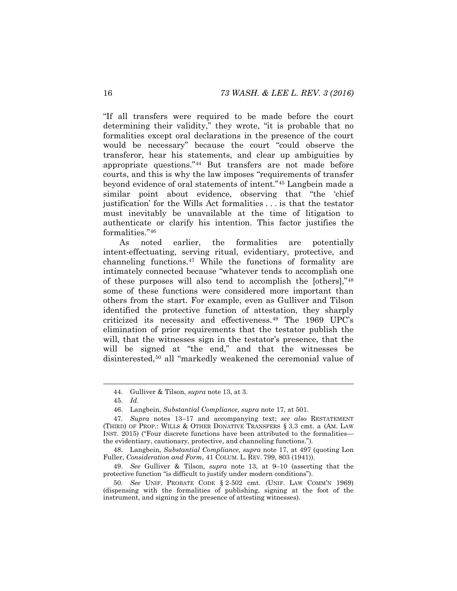"If all transfers were required to be made before the court determining their validity," they wrote, "it is probable that no formalities except oral declarations in the presence of the court would be necessary" because the court "could observe the transferor, hear his statements, and clear up ambiguities by appropriate questions."44 But transfers are not made before courts, and this is why the law imposes "requirements of transfer beyond evidence of oral statements of intent."45 Langbein made a similar point about evidence, observing that "the 'chief justification' for the Wills Act formalities . . . is that the testator must inevitably be unavailable at the time of litigation to authenticate or clarify his intention. This factor justifies the formalities."46

As noted earlier, the formalities are potentially intent-effectuating, serving ritual, evidentiary, protective, and channeling functions.47 While the functions of formality are intimately connected because "whatever tends to accomplish one of these purposes will also tend to accomplish the [others],"48 some of these functions were considered more important than others from the start. For example, even as Gulliver and Tilson identified the protective function of attestation, they sharply criticized its necessity and effectiveness.49 The 1969 UPC's elimination of prior requirements that the testator publish the will, that the witnesses sign in the testator's presence, that the will be signed at "the end," and that the witnesses be disinterested,50 all "markedly weakened the ceremonial value of

 <sup>44</sup>*.* Gulliver & Tilson, *supra* note 13, at 3.

<sup>45</sup>*. Id.*

<sup>46.</sup> Langbein, *Substantial Compliance, supra* note 17, at 501.

<sup>47</sup>*. Supra* notes 13–17 and accompanying text; *see also* RESTATEMENT (THIRD) OF PROP.: WILLS & OTHER DONATIVE TRANSFERS § 3.3 cmt. a (AM. LAW INST. 2015) ("Four discrete functions have been attributed to the formalities the evidentiary, cautionary, protective, and channeling functions.").

<sup>48.</sup> Langbein, *Substantial Compliance, supra* note 17, at 497 (quoting Lon Fuller, *Consideration and Form*, 41 COLUM. L. REV. 799, 803 (1941)).

<sup>49.</sup> *See* Gulliver & Tilson, *supra* note 13, at 9–10 (asserting that the protective function "is difficult to justify under modern conditions").

<sup>50</sup>*. See* UNIF. PROBATE CODE § 2-502 cmt. (UNIF. LAW COMM'N 1969) (dispensing with the formalities of publishing, signing at the foot of the instrument, and signing in the presence of attesting witnesses).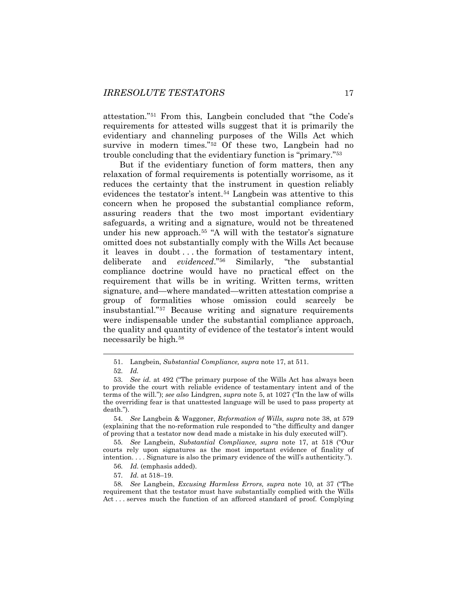attestation."51 From this, Langbein concluded that "the Code's requirements for attested wills suggest that it is primarily the evidentiary and channeling purposes of the Wills Act which survive in modern times."52 Of these two, Langbein had no trouble concluding that the evidentiary function is "primary."53

But if the evidentiary function of form matters, then any relaxation of formal requirements is potentially worrisome, as it reduces the certainty that the instrument in question reliably evidences the testator's intent.54 Langbein was attentive to this concern when he proposed the substantial compliance reform, assuring readers that the two most important evidentiary safeguards, a writing and a signature, would not be threatened under his new approach.<sup>55</sup> "A will with the testator's signature omitted does not substantially comply with the Wills Act because it leaves in doubt...the formation of testamentary intent, deliberate and *evidenced*."56 Similarly, "the substantial compliance doctrine would have no practical effect on the requirement that wills be in writing. Written terms, written signature, and—where mandated—written attestation comprise a group of formalities whose omission could scarcely be insubstantial."57 Because writing and signature requirements were indispensable under the substantial compliance approach, the quality and quantity of evidence of the testator's intent would necessarily be high.58

 <sup>51.</sup> Langbein, *Substantial Compliance, supra* note 17, at 511.

<sup>52</sup>*. Id.* 

<sup>53</sup>*. See id.* at 492 ("The primary purpose of the Wills Act has always been to provide the court with reliable evidence of testamentary intent and of the terms of the will."); *see also* Lindgren, *supra* note 5, at 1027 ("In the law of wills the overriding fear is that unattested language will be used to pass property at death.").

<sup>54</sup>*. See* Langbein & Waggoner, *Reformation of Wills, supra* note 38, at 579 (explaining that the no-reformation rule responded to "the difficulty and danger of proving that a testator now dead made a mistake in his duly executed will").

<sup>55</sup>*. See* Langbein, *Substantial Compliance, supra* note 17, at 518 ("Our courts rely upon signatures as the most important evidence of finality of intention. . . . Signature is also the primary evidence of the will's authenticity.").

<sup>56</sup>*. Id.* (emphasis added).

<sup>57</sup>*. Id.* at 518–19.

<sup>58</sup>*. See* Langbein, *Excusing Harmless Errors, supra* note 10, at 37 ("The requirement that the testator must have substantially complied with the Wills Act . . . serves much the function of an afforced standard of proof. Complying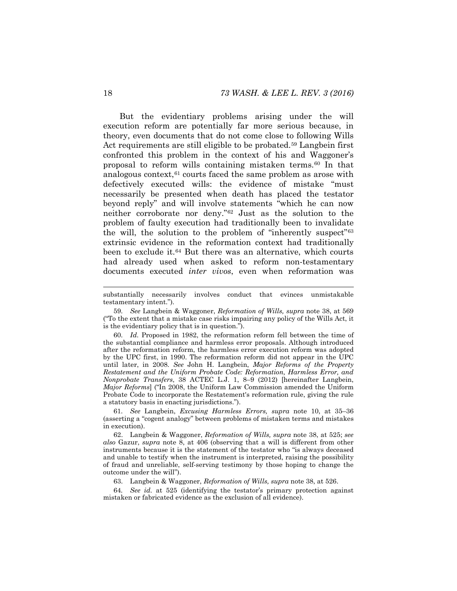But the evidentiary problems arising under the will execution reform are potentially far more serious because, in theory, even documents that do not come close to following Wills Act requirements are still eligible to be probated.59 Langbein first confronted this problem in the context of his and Waggoner's proposal to reform wills containing mistaken terms.60 In that analogous context, $61$  courts faced the same problem as arose with defectively executed wills: the evidence of mistake "must necessarily be presented when death has placed the testator beyond reply" and will involve statements "which he can now neither corroborate nor deny."62 Just as the solution to the problem of faulty execution had traditionally been to invalidate the will, the solution to the problem of "inherently suspect"63 extrinsic evidence in the reformation context had traditionally been to exclude it.<sup>64</sup> But there was an alternative, which courts had already used when asked to reform non-testamentary documents executed *inter vivos*, even when reformation was

61*. See* Langbein, *Excusing Harmless Errors, supra* note 10, at 35–36 (asserting a "cogent analogy" between problems of mistaken terms and mistakes in execution).

62. Langbein & Waggoner, *Reformation of Wills, supra* note 38, at 525; *see also* Gazur, *supra* note 8, at 406 (observing that a will is different from other instruments because it is the statement of the testator who "is always deceased and unable to testify when the instrument is interpreted, raising the possibility of fraud and unreliable, self-serving testimony by those hoping to change the outcome under the will").

63. Langbein & Waggoner, *Reformation of Wills, supra* note 38, at 526.

64*. See id.* at 525 (identifying the testator's primary protection against mistaken or fabricated evidence as the exclusion of all evidence).

substantially necessarily involves conduct that evinces unmistakable testamentary intent.").

<sup>59</sup>*. See* Langbein & Waggoner, *Reformation of Wills, supra* note 38, at 569 ("To the extent that a mistake case risks impairing any policy of the Wills Act, it is the evidentiary policy that is in question.").

<sup>60</sup>*. Id.* Proposed in 1982, the reformation reform fell between the time of the substantial compliance and harmless error proposals. Although introduced after the reformation reform, the harmless error execution reform was adopted by the UPC first, in 1990. The reformation reform did not appear in the UPC until later, in 2008. *See* John H. Langbein, *Major Reforms of the Property Restatement and the Uniform Probate Code: Reformation, Harmless Error, and Nonprobate Transfers*, 38 ACTEC L.J. 1, 8–9 (2012) [hereinafter Langbein, *Major Reforms*] ("In 2008, the Uniform Law Commission amended the Uniform Probate Code to incorporate the Restatement's reformation rule, giving the rule a statutory basis in enacting jurisdictions.").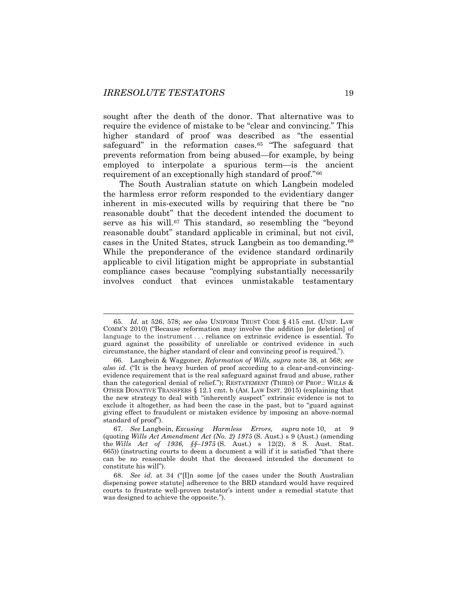sought after the death of the donor. That alternative was to require the evidence of mistake to be "clear and convincing." This higher standard of proof was described as "the essential safeguard" in the reformation cases. $65$  "The safeguard that prevents reformation from being abused—for example, by being employed to interpolate a spurious term—is the ancient requirement of an exceptionally high standard of proof."66

The South Australian statute on which Langbein modeled the harmless error reform responded to the evidentiary danger inherent in mis-executed wills by requiring that there be "no reasonable doubt" that the decedent intended the document to serve as his will.67 This standard, so resembling the "beyond reasonable doubt" standard applicable in criminal, but not civil, cases in the United States, struck Langbein as too demanding.68 While the preponderance of the evidence standard ordinarily applicable to civil litigation might be appropriate in substantial compliance cases because "complying substantially necessarily involves conduct that evinces unmistakable testamentary

 <sup>65</sup>*. Id.* at 526, 578; *see also* UNIFORM TRUST CODE § 415 cmt. (UNIF. LAW COMM'N 2010) ("Because reformation may involve the addition [or deletion] of language to the instrument . . . reliance on extrinsic evidence is essential. To guard against the possibility of unreliable or contrived evidence in such circumstance, the higher standard of clear and convincing proof is required.").

<sup>66.</sup> Langbein & Waggoner, *Reformation of Wills, supra* note 38, at 568; *see also id.* ("It is the heavy burden of proof according to a clear-and-convincingevidence requirement that is the real safeguard against fraud and abuse, rather than the categorical denial of relief."); RESTATEMENT (THIRD) OF PROP.: WILLS & OTHER DONATIVE TRANSFERS § 12.1 cmt. b (AM. LAW INST. 2015) (explaining that the new strategy to deal with "inherently suspect" extrinsic evidence is not to exclude it altogether, as had been the case in the past, but to "guard against giving effect to fraudulent or mistaken evidence by imposing an above-normal standard of proof").

<sup>67</sup>*. See* Langbein, *Excusing Harmless Errors, supra* note 10, at 9 (quoting *Wills Act Amendment Act (No. 2) 1975* (S. Aust.) s 9 (Aust.) (amending the *Wills Act of 1936, §§–1975* (S. Aust.) s 12(2), 8 S. Aust. Stat. 665)) (instructing courts to deem a document a will if it is satisfied "that there can be no reasonable doubt that the deceased intended the document to constitute his will").

<sup>68.</sup> *See id.* at 34 ("[I]n some [of the cases under the South Australian dispensing power statute] adherence to the BRD standard would have required courts to frustrate well-proven testator's intent under a remedial statute that was designed to achieve the opposite.").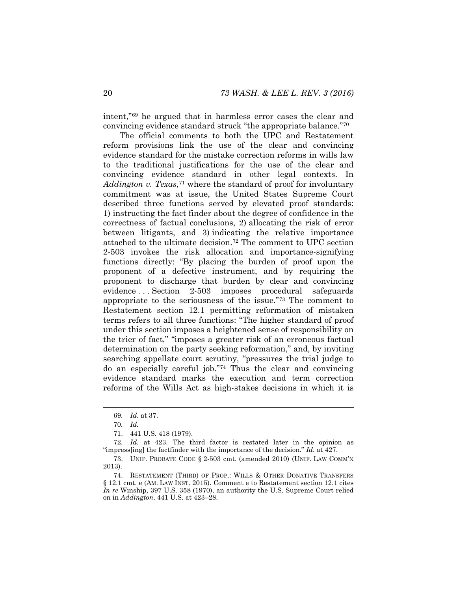intent,"69 he argued that in harmless error cases the clear and convincing evidence standard struck "the appropriate balance."70

The official comments to both the UPC and Restatement reform provisions link the use of the clear and convincing evidence standard for the mistake correction reforms in wills law to the traditional justifications for the use of the clear and convincing evidence standard in other legal contexts. In Addington v. Texas,<sup>71</sup> where the standard of proof for involuntary commitment was at issue, the United States Supreme Court described three functions served by elevated proof standards: 1) instructing the fact finder about the degree of confidence in the correctness of factual conclusions, 2) allocating the risk of error between litigants, and 3) indicating the relative importance attached to the ultimate decision.72 The comment to UPC section 2-503 invokes the risk allocation and importance-signifying functions directly: "By placing the burden of proof upon the proponent of a defective instrument, and by requiring the proponent to discharge that burden by clear and convincing evidence . . . Section 2-503 imposes procedural safeguards appropriate to the seriousness of the issue."73 The comment to Restatement section 12.1 permitting reformation of mistaken terms refers to all three functions: "The higher standard of proof under this section imposes a heightened sense of responsibility on the trier of fact," "imposes a greater risk of an erroneous factual determination on the party seeking reformation," and, by inviting searching appellate court scrutiny, "pressures the trial judge to do an especially careful job."74 Thus the clear and convincing evidence standard marks the execution and term correction reforms of the Wills Act as high-stakes decisions in which it is

 <sup>69</sup>*. Id.* at 37.

<sup>70</sup>*. Id.* 

<sup>71.</sup> 441 U.S. 418 (1979).

<sup>72</sup>*. Id.* at 423. The third factor is restated later in the opinion as "impress[ing] the factfinder with the importance of the decision." *Id.* at 427.

<sup>73.</sup> UNIF. PROBATE CODE § 2-503 cmt. (amended 2010) (UNIF. LAW COMM'N 2013).

<sup>74.</sup> RESTATEMENT (THIRD) OF PROP.: WILLS & OTHER DONATIVE TRANSFERS § 12.1 cmt. e (AM. LAW INST. 2015). Comment e to Restatement section 12.1 cites *In re* Winship, 397 U.S. 358 (1970), an authority the U.S. Supreme Court relied on in *Addington*. 441 U.S. at 423–28.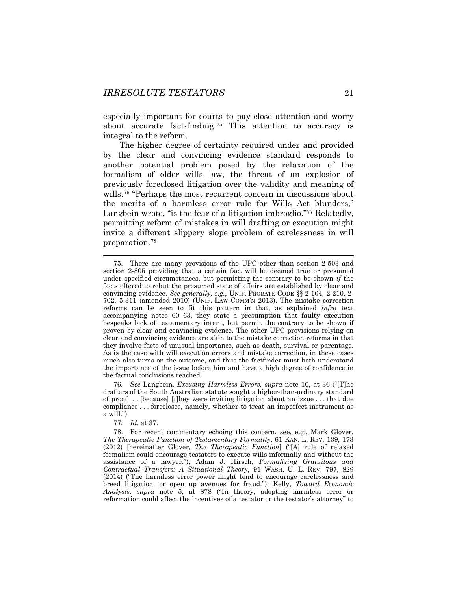especially important for courts to pay close attention and worry about accurate fact-finding.75 This attention to accuracy is integral to the reform.

The higher degree of certainty required under and provided by the clear and convincing evidence standard responds to another potential problem posed by the relaxation of the formalism of older wills law, the threat of an explosion of previously foreclosed litigation over the validity and meaning of wills.<sup>76</sup> "Perhaps the most recurrent concern in discussions about the merits of a harmless error rule for Wills Act blunders," Langbein wrote, "is the fear of a litigation imbroglio."<sup>77</sup> Relatedly, permitting reform of mistakes in will drafting or execution might invite a different slippery slope problem of carelessness in will preparation.78

76*. See* Langbein, *Excusing Harmless Errors, supra* note 10, at 36 ("[T]he drafters of the South Australian statute sought a higher-than-ordinary standard of proof . . . [because] [t]hey were inviting litigation about an issue . . . that due compliance . . . forecloses, namely, whether to treat an imperfect instrument as a will.").

77*. Id.* at 37.

 <sup>75.</sup> There are many provisions of the UPC other than section 2-503 and section 2-805 providing that a certain fact will be deemed true or presumed under specified circumstances, but permitting the contrary to be shown *if* the facts offered to rebut the presumed state of affairs are established by clear and convincing evidence. *See generally, e.g.*, UNIF. PROBATE CODE §§ 2-104, 2-210, 2- 702, 5-311 (amended 2010) (UNIF. LAW COMM'N 2013). The mistake correction reforms can be seen to fit this pattern in that, as explained *infra* text accompanying notes 60–63, they state a presumption that faulty execution bespeaks lack of testamentary intent, but permit the contrary to be shown if proven by clear and convincing evidence. The other UPC provisions relying on clear and convincing evidence are akin to the mistake correction reforms in that they involve facts of unusual importance, such as death, survival or parentage. As is the case with will execution errors and mistake correction, in these cases much also turns on the outcome, and thus the factfinder must both understand the importance of the issue before him and have a high degree of confidence in the factual conclusions reached.

<sup>78.</sup> For recent commentary echoing this concern, see, e.g., Mark Glover, *The Therapeutic Function of Testamentary Formality*, 61 KAN. L. REV. 139, 173 (2012) [hereinafter Glover, *The Therapeutic Function*] ("[A] rule of relaxed formalism could encourage testators to execute wills informally and without the assistance of a lawyer."); Adam J. Hirsch, *Formalizing Gratuitous and Contractual Transfers: A Situational Theory*, 91 WASH. U. L. REV. 797, 829 (2014) ("The harmless error power might tend to encourage carelessness and breed litigation, or open up avenues for fraud."); Kelly, *Toward Economic Analysis, supra* note 5, at 878 ("In theory, adopting harmless error or reformation could affect the incentives of a testator or the testator's attorney" to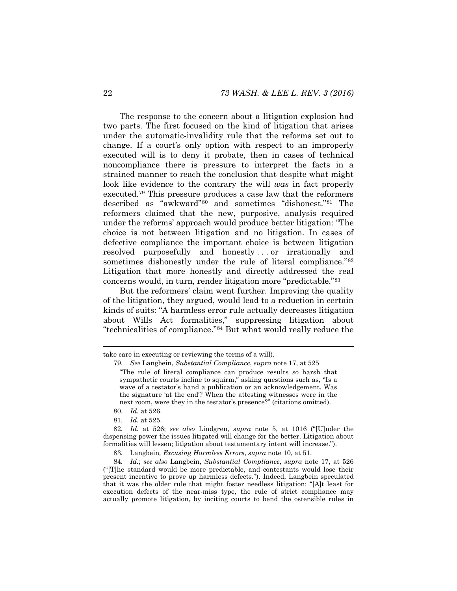The response to the concern about a litigation explosion had two parts. The first focused on the kind of litigation that arises under the automatic-invalidity rule that the reforms set out to change. If a court's only option with respect to an improperly executed will is to deny it probate, then in cases of technical noncompliance there is pressure to interpret the facts in a strained manner to reach the conclusion that despite what might look like evidence to the contrary the will *was* in fact properly executed.79 This pressure produces a case law that the reformers described as "awkward"80 and sometimes "dishonest."81 The reformers claimed that the new, purposive, analysis required under the reforms' approach would produce better litigation: "The choice is not between litigation and no litigation. In cases of defective compliance the important choice is between litigation resolved purposefully and honestly . . . or irrationally and sometimes dishonestly under the rule of literal compliance."<sup>82</sup> Litigation that more honestly and directly addressed the real concerns would, in turn, render litigation more "predictable."83

But the reformers' claim went further. Improving the quality of the litigation, they argued, would lead to a reduction in certain kinds of suits: "A harmless error rule actually decreases litigation about Wills Act formalities," suppressing litigation about "technicalities of compliance."84 But what would really reduce the

83*.* Langbein*, Excusing Harmless Errors*, *supra* note 10, at 51.

take care in executing or reviewing the terms of a will).

<sup>79</sup>*. See* Langbein, *Substantial Compliance*, *supra* note 17, at 525 "The rule of literal compliance can produce results so harsh that sympathetic courts incline to squirm," asking questions such as, "Is a wave of a testator's hand a publication or an acknowledgement. Was the signature 'at the end'? When the attesting witnesses were in the next room, were they in the testator's presence?" (citations omitted).

<sup>80</sup>*. Id.* at 526.

<sup>81</sup>*. Id.* at 525.

<sup>82</sup>*. Id.* at 526; *see also* Lindgren, *supra* note 5, at 1016 ("[U]nder the dispensing power the issues litigated will change for the better. Litigation about formalities will lessen; litigation about testamentary intent will increase.").

<sup>84</sup>*. Id.*; *see also* Langbein, *Substantial Compliance*, *supra* note 17, at 526 ("[T]he standard would be more predictable, and contestants would lose their present incentive to prove up harmless defects."). Indeed, Langbein speculated that it was the older rule that might foster needless litigation: "[A]t least for execution defects of the near-miss type, the rule of strict compliance may actually promote litigation, by inciting courts to bend the ostensible rules in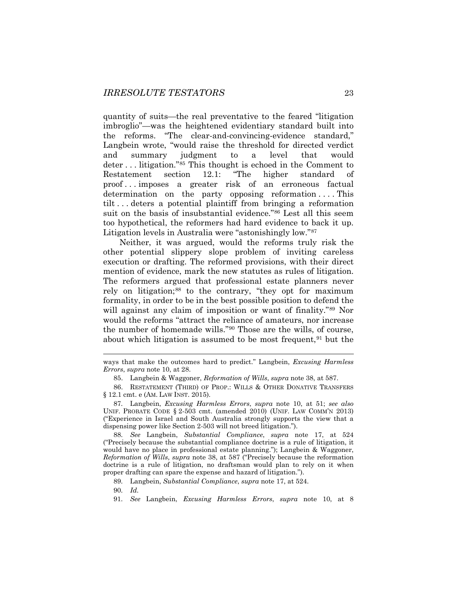quantity of suits—the real preventative to the feared "litigation imbroglio"—was the heightened evidentiary standard built into the reforms. "The clear-and-convincing-evidence standard," Langbein wrote, "would raise the threshold for directed verdict and summary judgment to a level that would deter . . . litigation."85 This thought is echoed in the Comment to Restatement section 12.1: "The higher standard of proof . . . imposes a greater risk of an erroneous factual determination on the party opposing reformation....This tilt . . . deters a potential plaintiff from bringing a reformation suit on the basis of insubstantial evidence."86 Lest all this seem too hypothetical, the reformers had hard evidence to back it up. Litigation levels in Australia were "astonishingly low."87

Neither, it was argued, would the reforms truly risk the other potential slippery slope problem of inviting careless execution or drafting. The reformed provisions, with their direct mention of evidence, mark the new statutes as rules of litigation. The reformers argued that professional estate planners never rely on litigation;<sup>88</sup> to the contrary, "they opt for maximum formality, in order to be in the best possible position to defend the will against any claim of imposition or want of finality."<sup>89</sup> Nor would the reforms "attract the reliance of amateurs, nor increase the number of homemade wills."90 Those are the wills, of course, about which litigation is assumed to be most frequent,  $91$  but the

ways that make the outcomes hard to predict." Langbein, *Excusing Harmless Errors*, *supra* note 10, at 28.

<sup>85.</sup> Langbein & Waggoner, *Reformation of Wills*, *supra* note 38, at 587.

<sup>86.</sup> RESTATEMENT (THIRD) OF PROP.: WILLS & OTHER DONATIVE TRANSFERS § 12.1 cmt. e (AM. LAW INST. 2015).

<sup>87</sup>*.* Langbein, *Excusing Harmless Errors*, *supra* note 10, at 51; *see also* UNIF. PROBATE CODE § 2-503 cmt. (amended 2010) (UNIF. LAW COMM'N 2013) ("Experience in Israel and South Australia strongly supports the view that a dispensing power like Section 2-503 will not breed litigation.").

<sup>88</sup>*. See* Langbein, *Substantial Compliance*, *supra* note 17, at 524 ("Precisely because the substantial compliance doctrine is a rule of litigation, it would have no place in professional estate planning."); Langbein & Waggoner, *Reformation of Wills*, *supra* note 38, at 587 ("Precisely because the reformation doctrine is a rule of litigation, no draftsman would plan to rely on it when proper drafting can spare the expense and hazard of litigation.").

<sup>89</sup>*.* Langbein, *Substantial Compliance*, *supra* note 17, at 524.

<sup>90</sup>*. Id.* 

<sup>91</sup>*. See* Langbein, *Excusing Harmless Errors*, *supra* note 10, at 8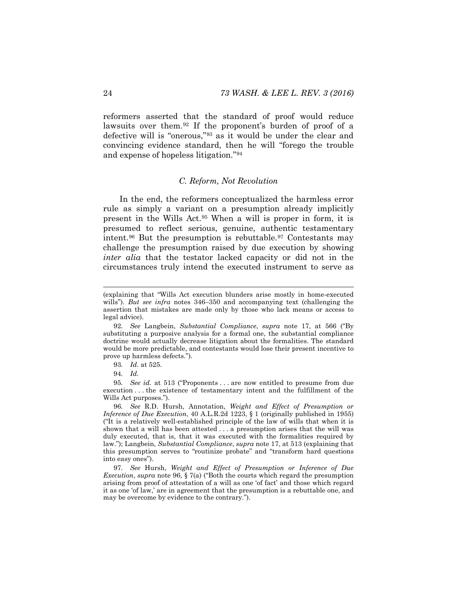reformers asserted that the standard of proof would reduce lawsuits over them.92 If the proponent's burden of proof of a defective will is "onerous,"93 as it would be under the clear and convincing evidence standard, then he will "forego the trouble and expense of hopeless litigation."94

# *C. Reform, Not Revolution*

In the end, the reformers conceptualized the harmless error rule as simply a variant on a presumption already implicitly present in the Wills Act.95 When a will is proper in form, it is presumed to reflect serious, genuine, authentic testamentary intent.<sup>96</sup> But the presumption is rebuttable.<sup>97</sup> Contestants may challenge the presumption raised by due execution by showing *inter alia* that the testator lacked capacity or did not in the circumstances truly intend the executed instrument to serve as

 <sup>(</sup>explaining that "Wills Act execution blunders arise mostly in home-executed wills"). *But see infra* notes 346–350 and accompanying text (challenging the assertion that mistakes are made only by those who lack means or access to legal advice).

<sup>92</sup>*. See* Langbein, *Substantial Compliance*, *supra* note 17, at 566 ("By substituting a purposive analysis for a formal one, the substantial compliance doctrine would actually decrease litigation about the formalities. The standard would be more predictable, and contestants would lose their present incentive to prove up harmless defects.").

<sup>93</sup>*. Id.* at 525.

<sup>94</sup>*. Id.*

<sup>95</sup>*. See id.* at 513 ("Proponents . . . are now entitled to presume from due execution . . . the existence of testamentary intent and the fulfillment of the Wills Act purposes.").

<sup>96</sup>*. See* R.D. Hursh, Annotation, *Weight and Effect of Presumption or Inference of Due Execution*, 40 A.L.R.2d 1223, § 1 (originally published in 1955) ("It is a relatively well-established principle of the law of wills that when it is shown that a will has been attested . . . a presumption arises that the will was duly executed, that is, that it was executed with the formalities required by law."); Langbein, *Substantial Compliance*, *supra* note 17, at 513 (explaining that this presumption serves to "routinize probate" and "transform hard questions into easy ones").

<sup>97</sup>*. See* Hursh, *Weight and Effect of Presumption or Inference of Due Execution*, *supra* note 96, § 7(a) ("Both the courts which regard the presumption arising from proof of attestation of a will as one 'of fact' and those which regard it as one 'of law,' are in agreement that the presumption is a rebuttable one, and may be overcome by evidence to the contrary.").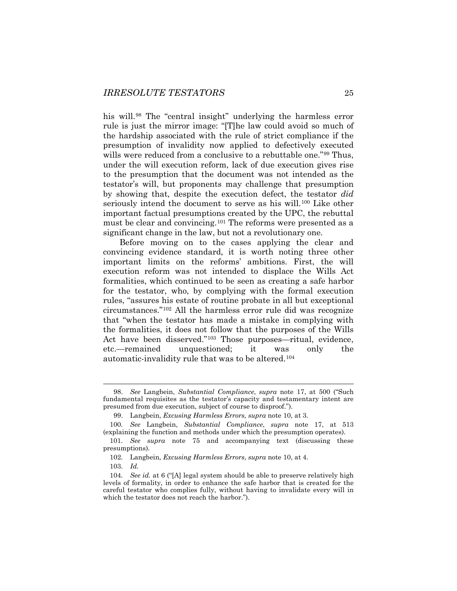his will.<sup>98</sup> The "central insight" underlying the harmless error rule is just the mirror image: "[T]he law could avoid so much of the hardship associated with the rule of strict compliance if the presumption of invalidity now applied to defectively executed wills were reduced from a conclusive to a rebuttable one."<sup>99</sup> Thus, under the will execution reform, lack of due execution gives rise to the presumption that the document was not intended as the testator's will, but proponents may challenge that presumption by showing that, despite the execution defect, the testator *did* seriously intend the document to serve as his will.<sup>100</sup> Like other important factual presumptions created by the UPC, the rebuttal must be clear and convincing.101 The reforms were presented as a significant change in the law, but not a revolutionary one.

Before moving on to the cases applying the clear and convincing evidence standard, it is worth noting three other important limits on the reforms' ambitions. First, the will execution reform was not intended to displace the Wills Act formalities, which continued to be seen as creating a safe harbor for the testator, who, by complying with the formal execution rules, "assures his estate of routine probate in all but exceptional circumstances."102 All the harmless error rule did was recognize that "when the testator has made a mistake in complying with the formalities, it does not follow that the purposes of the Wills Act have been disserved."103 Those purposes—ritual, evidence, etc.—remained unquestioned; it was only the automatic-invalidity rule that was to be altered.104

 <sup>98.</sup> *See* Langbein, *Substantial Compliance*, *supra* note 17, at 500 ("Such fundamental requisites as the testator's capacity and testamentary intent are presumed from due execution, subject of course to disproof.").

<sup>99.</sup> Langbein, *Excusing Harmless Errors, supra* note 10, at 3.

<sup>100</sup>*. See* Langbein, *Substantial Compliance*, *supra* note 17, at 513 (explaining the function and methods under which the presumption operates).

<sup>101</sup>*. See supra* note 75 and accompanying text (discussing these presumptions).

<sup>102</sup>*.* Langbein, *Excusing Harmless Errors*, *supra* note 10, at 4.

<sup>103</sup>*. Id.* 

<sup>104</sup>*. See id.* at 6 ("[A] legal system should be able to preserve relatively high levels of formality, in order to enhance the safe harbor that is created for the careful testator who complies fully, without having to invalidate every will in which the testator does not reach the harbor.").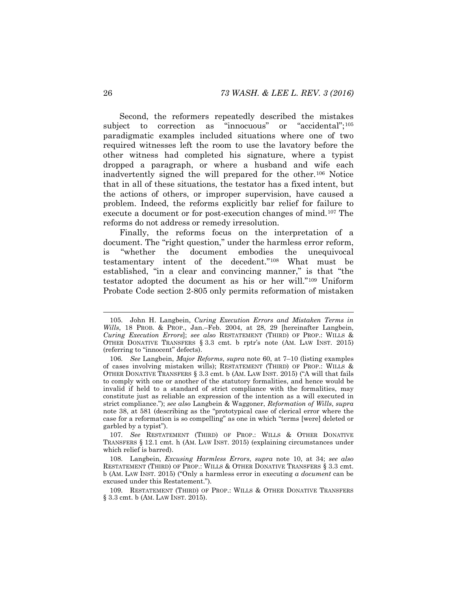Second, the reformers repeatedly described the mistakes subject to correction as "innocuous" or "accidental";<sup>105</sup> paradigmatic examples included situations where one of two required witnesses left the room to use the lavatory before the other witness had completed his signature, where a typist dropped a paragraph, or where a husband and wife each inadvertently signed the will prepared for the other.106 Notice that in all of these situations, the testator has a fixed intent, but the actions of others, or improper supervision, have caused a problem. Indeed, the reforms explicitly bar relief for failure to execute a document or for post-execution changes of mind.107 The reforms do not address or remedy irresolution.

Finally, the reforms focus on the interpretation of a document. The "right question," under the harmless error reform, is "whether the document embodies the unequivocal testamentary intent of the decedent."108 What must be established, "in a clear and convincing manner," is that "the testator adopted the document as his or her will."109 Uniform Probate Code section 2-805 only permits reformation of mistaken

107*. See* RESTATEMENT (THIRD) OF PROP.: WILLS & OTHER DONATIVE TRANSFERS § 12.1 cmt. h (AM. LAW INST. 2015) (explaining circumstances under which relief is barred).

 <sup>105</sup>*.* John H. Langbein, *Curing Execution Errors and Mistaken Terms in Wills*, 18 PROB. & PROP., Jan.–Feb. 2004, at 28, 29 [hereinafter Langbein, *Curing Execution Errors*]; *see also* RESTATEMENT (THIRD) OF PROP.: WILLS & OTHER DONATIVE TRANSFERS § 3.3 cmt. b rptr's note (AM. LAW INST. 2015) (referring to "innocent" defects).

<sup>106</sup>*. See* Langbein, *Major Reforms*, *supra* note 60, at 7–10 (listing examples of cases involving mistaken wills); RESTATEMENT (THIRD) OF PROP.: WILLS & OTHER DONATIVE TRANSFERS § 3.3 cmt. b (AM. LAW INST. 2015) ("A will that fails to comply with one or another of the statutory formalities, and hence would be invalid if held to a standard of strict compliance with the formalities, may constitute just as reliable an expression of the intention as a will executed in strict compliance."); *see also* Langbein & Waggoner, *Reformation of Wills*, *supra* note 38, at 581 (describing as the "prototypical case of clerical error where the case for a reformation is so compelling" as one in which "terms [were] deleted or garbled by a typist").

<sup>108</sup>*.* Langbein, *Excusing Harmless Errors*, *supra* note 10, at 34; *see also* RESTATEMENT (THIRD) OF PROP.: WILLS & OTHER DONATIVE TRANSFERS § 3.3 cmt. b (AM. LAW INST. 2015) ("Only a harmless error in executing *a document* can be excused under this Restatement.").

<sup>109</sup>*.* RESTATEMENT (THIRD) OF PROP.: WILLS & OTHER DONATIVE TRANSFERS § 3.3 cmt. b (AM. LAW INST. 2015).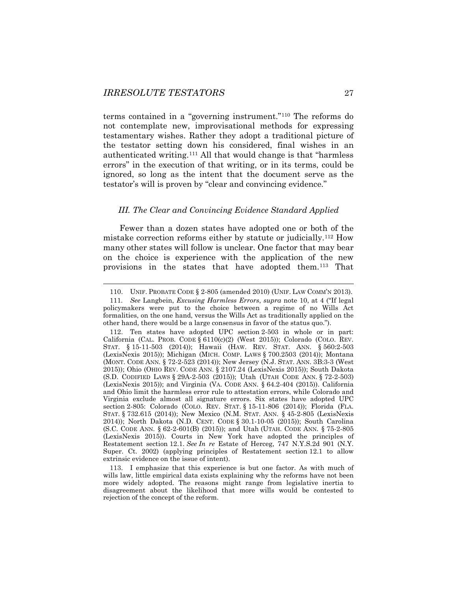terms contained in a "governing instrument."110 The reforms do not contemplate new, improvisational methods for expressing testamentary wishes. Rather they adopt a traditional picture of the testator setting down his considered, final wishes in an authenticated writing.111 All that would change is that "harmless errors" in the execution of that writing, or in its terms, could be ignored, so long as the intent that the document serve as the testator's will is proven by "clear and convincing evidence."

#### *III. The Clear and Convincing Evidence Standard Applied*

Fewer than a dozen states have adopted one or both of the mistake correction reforms either by statute or judicially.112 How many other states will follow is unclear. One factor that may bear on the choice is experience with the application of the new provisions in the states that have adopted them.113 That

 <sup>110.</sup> UNIF. PROBATE CODE § 2-805 (amended 2010) (UNIF. LAW COMM'N 2013).

<sup>111</sup>*. See* Langbein, *Excusing Harmless Errors*, *supra* note 10, at 4 ("If legal policymakers were put to the choice between a regime of no Wills Act formalities, on the one hand, versus the Wills Act as traditionally applied on the other hand, there would be a large consensus in favor of the status quo.").

<sup>112.</sup> Ten states have adopted UPC section 2-503 in whole or in part: California (CAL. PROB. CODE § 6110(c)(2) (West 2015)); Colorado (COLO. REV. STAT. § 15-11-503 (2014)); Hawaii (HAW. REV. STAT. ANN. § 560:2-503 (LexisNexis 2015)); Michigan (MICH. COMP. LAWS § 700.2503 (2014)); Montana (MONT. CODE ANN. § 72-2-523 (2014)); New Jersey (N.J. STAT. ANN. 3B:3-3 (West 2015)); Ohio (OHIO REV. CODE ANN. § 2107.24 (LexisNexis 2015)); South Dakota (S.D. CODIFIED LAWS § 29A-2-503 (2015)); Utah (UTAH CODE ANN. § 72-2-503) (LexisNexis 2015)); and Virginia (VA. CODE ANN. § 64.2-404 (2015)). California and Ohio limit the harmless error rule to attestation errors, while Colorado and Virginia exclude almost all signature errors. Six states have adopted UPC section 2-805: Colorado (COLO. REV. STAT. § 15-11-806 (2014)); Florida (FLA. STAT. § 732.615 (2014)); New Mexico (N.M. STAT. ANN. § 45-2-805 (LexisNexis 2014)); North Dakota (N.D. CENT. CODE § 30.1-10-05 (2015)); South Carolina (S.C. CODE ANN. § 62-2-601(B) (2015)); and Utah (UTAH. CODE ANN. § 75-2-805 (LexisNexis 2015)). Courts in New York have adopted the principles of Restatement section 12.1. *See In re* Estate of Herceg, 747 N.Y.S.2d 901 (N.Y. Super. Ct. 2002) (applying principles of Restatement section 12.1 to allow extrinsic evidence on the issue of intent).

<sup>113.</sup> I emphasize that this experience is but one factor. As with much of wills law, little empirical data exists explaining why the reforms have not been more widely adopted. The reasons might range from legislative inertia to disagreement about the likelihood that more wills would be contested to rejection of the concept of the reform.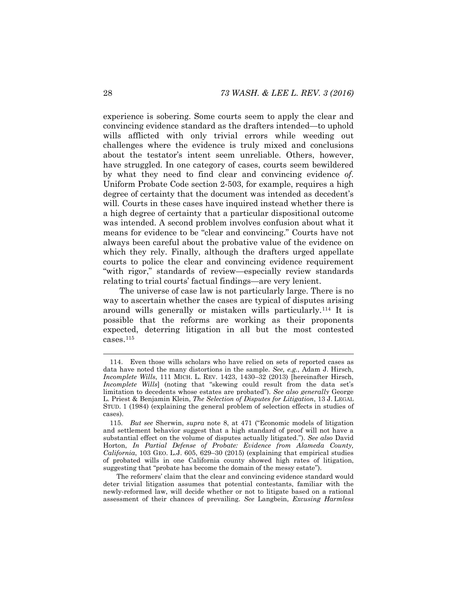experience is sobering. Some courts seem to apply the clear and convincing evidence standard as the drafters intended—to uphold wills afflicted with only trivial errors while weeding out challenges where the evidence is truly mixed and conclusions about the testator's intent seem unreliable. Others, however, have struggled. In one category of cases, courts seem bewildered by what they need to find clear and convincing evidence *of*. Uniform Probate Code section 2-503, for example, requires a high degree of certainty that the document was intended as decedent's will. Courts in these cases have inquired instead whether there is a high degree of certainty that a particular dispositional outcome was intended. A second problem involves confusion about what it means for evidence to be "clear and convincing." Courts have not always been careful about the probative value of the evidence on which they rely. Finally, although the drafters urged appellate courts to police the clear and convincing evidence requirement "with rigor," standards of review—especially review standards relating to trial courts' factual findings—are very lenient.

The universe of case law is not particularly large. There is no way to ascertain whether the cases are typical of disputes arising around wills generally or mistaken wills particularly.114 It is possible that the reforms are working as their proponents expected, deterring litigation in all but the most contested  $cases$ .<sup>115</sup>

The reformers' claim that the clear and convincing evidence standard would deter trivial litigation assumes that potential contestants, familiar with the newly-reformed law, will decide whether or not to litigate based on a rational assessment of their chances of prevailing. *See* Langbein, *Excusing Harmless* 

 <sup>114.</sup> Even those wills scholars who have relied on sets of reported cases as data have noted the many distortions in the sample. *See, e.g.*, Adam J. Hirsch, *Incomplete Wills*, 111 MICH. L. REV. 1423, 1430–32 (2013) [hereinafter Hirsch, *Incomplete Wills*] (noting that "skewing could result from the data set's limitation to decedents whose estates are probated"). *See also generally* George L. Priest & Benjamin Klein, *The Selection of Disputes for Litigation*, 13 J. LEGAL STUD. 1 (1984) (explaining the general problem of selection effects in studies of cases).

<sup>115</sup>*. But see* Sherwin, *supra* note 8, at 471 ("Economic models of litigation and settlement behavior suggest that a high standard of proof will not have a substantial effect on the volume of disputes actually litigated."). *See also* David Horton, *In Partial Defense of Probate: Evidence from Alameda County, California*, 103 GEO. L.J. 605, 629–30 (2015) (explaining that empirical studies of probated wills in one California county showed high rates of litigation, suggesting that "probate has become the domain of the messy estate").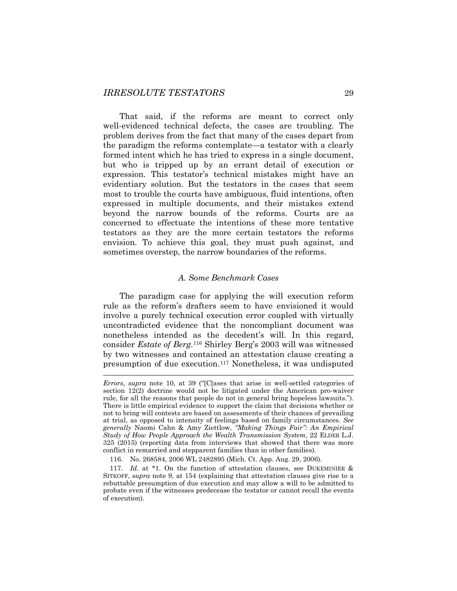$\overline{a}$ 

That said, if the reforms are meant to correct only well-evidenced technical defects, the cases are troubling. The problem derives from the fact that many of the cases depart from the paradigm the reforms contemplate—a testator with a clearly formed intent which he has tried to express in a single document, but who is tripped up by an errant detail of execution or expression. This testator's technical mistakes might have an evidentiary solution. But the testators in the cases that seem most to trouble the courts have ambiguous, fluid intentions, often expressed in multiple documents, and their mistakes extend beyond the narrow bounds of the reforms. Courts are as concerned to effectuate the intentions of these more tentative testators as they are the more certain testators the reforms envision. To achieve this goal, they must push against, and sometimes overstep, the narrow boundaries of the reforms.

#### *A. Some Benchmark Cases*

The paradigm case for applying the will execution reform rule as the reform's drafters seem to have envisioned it would involve a purely technical execution error coupled with virtually uncontradicted evidence that the noncompliant document was nonetheless intended as the decedent's will. In this regard, consider *Estate of Berg*.116 Shirley Berg's 2003 will was witnessed by two witnesses and contained an attestation clause creating a presumption of due execution.117 Nonetheless, it was undisputed

*Errors*, *supra* note 10, at 39 ("[C]ases that arise in well-settled categories of section 12(2) doctrine would not be litigated under the American pro-waiver rule, for all the reasons that people do not in general bring hopeless lawsuits."). There is little empirical evidence to support the claim that decisions whether or not to bring will contests are based on assessments of their chances of prevailing at trial, as opposed to intensity of feelings based on family circumstances. *See generally* Naomi Cahn & Amy Ziettlow, *"Making Things Fair": An Empirical Study of How People Approach the Wealth Transmission System*, 22 ELDER L.J. 325 (2015) (reporting data from interviews that showed that there was more conflict in remarried and stepparent families than in other families).

<sup>116.</sup> No. 268584, 2006 WL 2482895 (Mich. Ct. App. Aug. 29, 2006).

<sup>117</sup>*. Id.* at \*1. On the function of attestation clauses, see DUKEMINIER & SITKOFF, *supra* note 9, at 154 (explaining that attestation clauses give rise to a rebuttable presumption of due execution and may allow a will to be admitted to probate even if the witnesses predecease the testator or cannot recall the events of execution).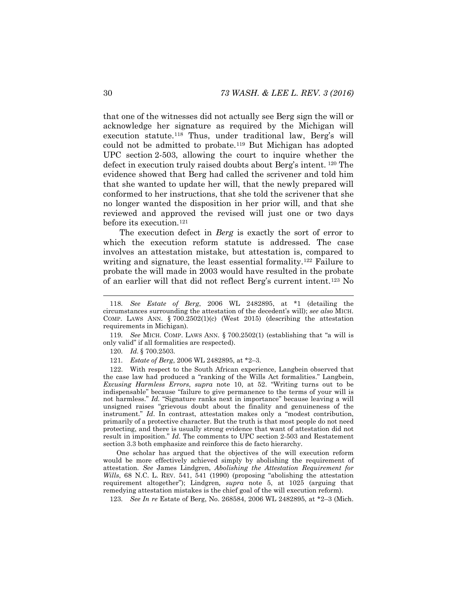that one of the witnesses did not actually see Berg sign the will or acknowledge her signature as required by the Michigan will execution statute.<sup>118</sup> Thus, under traditional law, Berg's will could not be admitted to probate.119 But Michigan has adopted UPC section 2-503, allowing the court to inquire whether the defect in execution truly raised doubts about Berg's intent. <sup>120</sup> The evidence showed that Berg had called the scrivener and told him that she wanted to update her will, that the newly prepared will conformed to her instructions, that she told the scrivener that she no longer wanted the disposition in her prior will, and that she reviewed and approved the revised will just one or two days before its execution.121

The execution defect in *Berg* is exactly the sort of error to which the execution reform statute is addressed. The case involves an attestation mistake, but attestation is, compared to writing and signature, the least essential formality.<sup>122</sup> Failure to probate the will made in 2003 would have resulted in the probate of an earlier will that did not reflect Berg's current intent.123 No

119*. See* MICH. COMP. LAWS ANN. § 700.2502(1) (establishing that "a will is only valid" if all formalities are respected).

120*. Id.* § 700.2503.

121*. Estate of Berg*, 2006 WL 2482895, at \*2–3.

122. With respect to the South African experience, Langbein observed that the case law had produced a "ranking of the Wills Act formalities." Langbein, *Excusing Harmless Errors*, *supra* note 10, at 52. "Writing turns out to be indispensable" because "failure to give permanence to the terms of your will is not harmless." *Id.* "Signature ranks next in importance" because leaving a will unsigned raises "grievous doubt about the finality and genuineness of the instrument." *Id*. In contrast, attestation makes only a "modest contribution, primarily of a protective character. But the truth is that most people do not need protecting, and there is usually strong evidence that want of attestation did not result in imposition." *Id*. The comments to UPC section 2-503 and Restatement section 3.3 both emphasize and reinforce this de facto hierarchy.

One scholar has argued that the objectives of the will execution reform would be more effectively achieved simply by abolishing the requirement of attestation. *See* James Lindgren, *Abolishing the Attestation Requirement for Wills*, 68 N.C. L. REV. 541, 541 (1990) (proposing "abolishing the attestation requirement altogether"); Lindgren*, supra* note 5, at 1025 (arguing that remedying attestation mistakes is the chief goal of the will execution reform).

123*. See In re* Estate of Berg, No. 268584, 2006 WL 2482895, at \*2–3 (Mich.

 <sup>118</sup>*. See Estate of Berg*, 2006 WL 2482895, at \*1 (detailing the circumstances surrounding the attestation of the decedent's will); *see also* MICH. COMP. LAWS ANN.  $\S 700.2502(1)(c)$  (West 2015) (describing the attestation requirements in Michigan).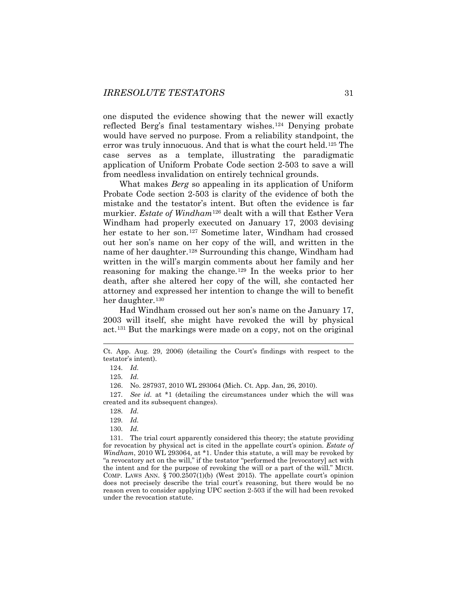one disputed the evidence showing that the newer will exactly reflected Berg's final testamentary wishes.124 Denying probate would have served no purpose. From a reliability standpoint, the error was truly innocuous. And that is what the court held.125 The case serves as a template, illustrating the paradigmatic application of Uniform Probate Code section 2-503 to save a will from needless invalidation on entirely technical grounds.

What makes *Berg* so appealing in its application of Uniform Probate Code section 2-503 is clarity of the evidence of both the mistake and the testator's intent. But often the evidence is far murkier. *Estate of Windham*<sup>126</sup> dealt with a will that Esther Vera Windham had properly executed on January 17, 2003 devising her estate to her son.127 Sometime later, Windham had crossed out her son's name on her copy of the will, and written in the name of her daughter.128 Surrounding this change, Windham had written in the will's margin comments about her family and her reasoning for making the change.129 In the weeks prior to her death, after she altered her copy of the will, she contacted her attorney and expressed her intention to change the will to benefit her daughter.<sup>130</sup>

Had Windham crossed out her son's name on the January 17, 2003 will itself, she might have revoked the will by physical act.131 But the markings were made on a copy, not on the original

131. The trial court apparently considered this theory; the statute providing for revocation by physical act is cited in the appellate court's opinion. *Estate of Windham*, 2010 WL 293064, at \*1. Under this statute, a will may be revoked by "a revocatory act on the will," if the testator "performed the [revocatory] act with the intent and for the purpose of revoking the will or a part of the will." MICH. COMP. LAWS ANN.  $\S 700.2507(1)(b)$  (West 2015). The appellate court's opinion does not precisely describe the trial court's reasoning, but there would be no reason even to consider applying UPC section 2-503 if the will had been revoked under the revocation statute.

Ct. App. Aug. 29, 2006) (detailing the Court's findings with respect to the testator's intent).

<sup>124</sup>*. Id.*

<sup>125</sup>*. Id.*

<sup>126.</sup> No. 287937, 2010 WL 293064 (Mich. Ct. App. Jan, 26, 2010).

<sup>127</sup>*. See id.* at \*1 (detailing the circumstances under which the will was created and its subsequent changes).

<sup>128</sup>*. Id.*

<sup>129</sup>*. Id.*

<sup>130</sup>*. Id.*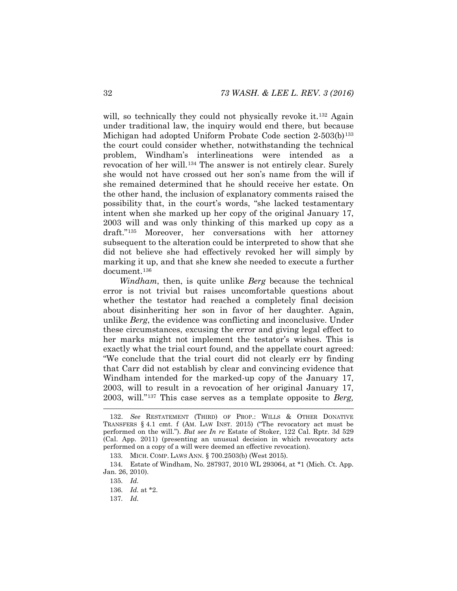will, so technically they could not physically revoke it.<sup>132</sup> Again under traditional law, the inquiry would end there, but because Michigan had adopted Uniform Probate Code section 2-503(b)<sup>133</sup> the court could consider whether, notwithstanding the technical problem, Windham's interlineations were intended as a revocation of her will.134 The answer is not entirely clear. Surely she would not have crossed out her son's name from the will if she remained determined that he should receive her estate. On the other hand, the inclusion of explanatory comments raised the possibility that, in the court's words, "she lacked testamentary intent when she marked up her copy of the original January 17, 2003 will and was only thinking of this marked up copy as a draft."135 Moreover, her conversations with her attorney subsequent to the alteration could be interpreted to show that she did not believe she had effectively revoked her will simply by marking it up, and that she knew she needed to execute a further document.136

*Windham*, then, is quite unlike *Berg* because the technical error is not trivial but raises uncomfortable questions about whether the testator had reached a completely final decision about disinheriting her son in favor of her daughter. Again, unlike *Berg*, the evidence was conflicting and inconclusive. Under these circumstances, excusing the error and giving legal effect to her marks might not implement the testator's wishes. This is exactly what the trial court found, and the appellate court agreed: "We conclude that the trial court did not clearly err by finding that Carr did not establish by clear and convincing evidence that Windham intended for the marked-up copy of the January 17, 2003, will to result in a revocation of her original January 17, 2003, will."137 This case serves as a template opposite to *Berg,*

 <sup>132.</sup> *See* RESTATEMENT (THIRD) OF PROP.: WILLS & OTHER DONATIVE TRANSFERS § 4.1 cmt. f (AM. LAW INST. 2015) ("The revocatory act must be performed on the will."). *But see In re* Estate of Stoker, 122 Cal. Rptr. 3d 529 (Cal. App. 2011) (presenting an unusual decision in which revocatory acts performed on a copy of a will were deemed an effective revocation).

<sup>133</sup>*.* MICH. COMP. LAWS ANN. § 700.2503(b) (West 2015).

<sup>134</sup>*.* Estate of Windham, No. 287937, 2010 WL 293064, at \*1 (Mich. Ct. App. Jan. 26, 2010).

<sup>135</sup>*. Id.*

<sup>136</sup>*. Id.* at \*2.

<sup>137</sup>*. Id.*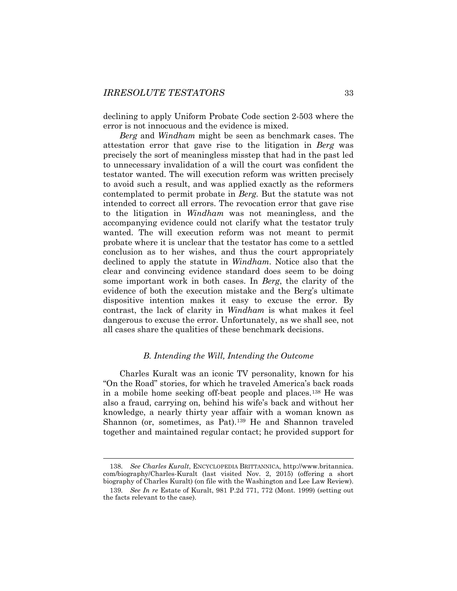declining to apply Uniform Probate Code section 2-503 where the error is not innocuous and the evidence is mixed.

*Berg* and *Windham* might be seen as benchmark cases. The attestation error that gave rise to the litigation in *Berg* was precisely the sort of meaningless misstep that had in the past led to unnecessary invalidation of a will the court was confident the testator wanted. The will execution reform was written precisely to avoid such a result, and was applied exactly as the reformers contemplated to permit probate in *Berg*. But the statute was not intended to correct all errors. The revocation error that gave rise to the litigation in *Windham* was not meaningless, and the accompanying evidence could not clarify what the testator truly wanted. The will execution reform was not meant to permit probate where it is unclear that the testator has come to a settled conclusion as to her wishes, and thus the court appropriately declined to apply the statute in *Windham*. Notice also that the clear and convincing evidence standard does seem to be doing some important work in both cases. In *Berg*, the clarity of the evidence of both the execution mistake and the Berg's ultimate dispositive intention makes it easy to excuse the error. By contrast, the lack of clarity in *Windham* is what makes it feel dangerous to excuse the error. Unfortunately, as we shall see, not all cases share the qualities of these benchmark decisions.

# *B. Intending the Will, Intending the Outcome*

Charles Kuralt was an iconic TV personality, known for his "On the Road" stories, for which he traveled America's back roads in a mobile home seeking off-beat people and places.138 He was also a fraud, carrying on, behind his wife's back and without her knowledge, a nearly thirty year affair with a woman known as Shannon (or, sometimes, as Pat).139 He and Shannon traveled together and maintained regular contact; he provided support for

 <sup>138</sup>*. See Charles Kuralt*, ENCYCLOPEDIA BRITTANNICA, http://www.britannica. com/biography/Charles-Kuralt (last visited Nov. 2, 2015) (offering a short biography of Charles Kuralt) (on file with the Washington and Lee Law Review).

<sup>139</sup>*. See In re* Estate of Kuralt, 981 P.2d 771, 772 (Mont. 1999) (setting out the facts relevant to the case).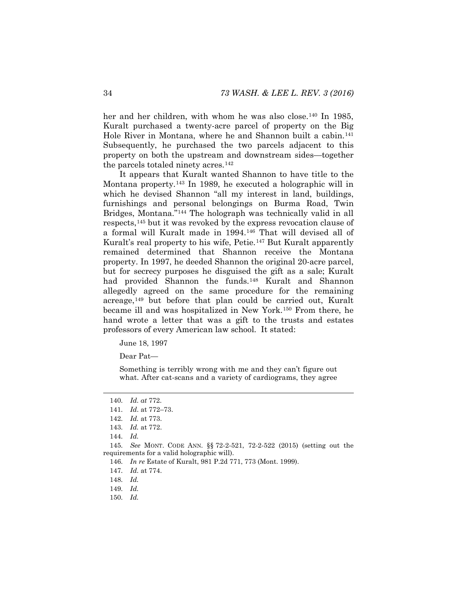her and her children, with whom he was also close.<sup>140</sup> In 1985, Kuralt purchased a twenty-acre parcel of property on the Big Hole River in Montana, where he and Shannon built a cabin.<sup>141</sup> Subsequently, he purchased the two parcels adjacent to this property on both the upstream and downstream sides—together the parcels totaled ninety acres.142

It appears that Kuralt wanted Shannon to have title to the Montana property.143 In 1989, he executed a holographic will in which he devised Shannon "all my interest in land, buildings, furnishings and personal belongings on Burma Road, Twin Bridges, Montana."144 The holograph was technically valid in all respects,145 but it was revoked by the express revocation clause of a formal will Kuralt made in 1994.146 That will devised all of Kuralt's real property to his wife, Petie.147 But Kuralt apparently remained determined that Shannon receive the Montana property. In 1997, he deeded Shannon the original 20-acre parcel, but for secrecy purposes he disguised the gift as a sale; Kuralt had provided Shannon the funds.148 Kuralt and Shannon allegedly agreed on the same procedure for the remaining acreage,149 but before that plan could be carried out, Kuralt became ill and was hospitalized in New York.150 From there, he hand wrote a letter that was a gift to the trusts and estates professors of every American law school. It stated:

June 18, 1997

Dear Pat—

Something is terribly wrong with me and they can't figure out what. After cat-scans and a variety of cardiograms, they agree

 <sup>140</sup>*. Id. at* 772.

<sup>141</sup>*. Id*. at 772–73.

<sup>142</sup>*. Id.* at 773.

<sup>143</sup>*. Id.* at 772.

<sup>144</sup>*. Id.*

<sup>145</sup>*. See* MONT. CODE ANN. §§ 72-2-521, 72-2-522 (2015) (setting out the requirements for a valid holographic will).

<sup>146</sup>*. In re* Estate of Kuralt, 981 P.2d 771, 773 (Mont. 1999).

<sup>147</sup>*. Id.* at 774.

<sup>148</sup>*. Id.*

<sup>149</sup>*. Id.*

<sup>150</sup>*. Id.*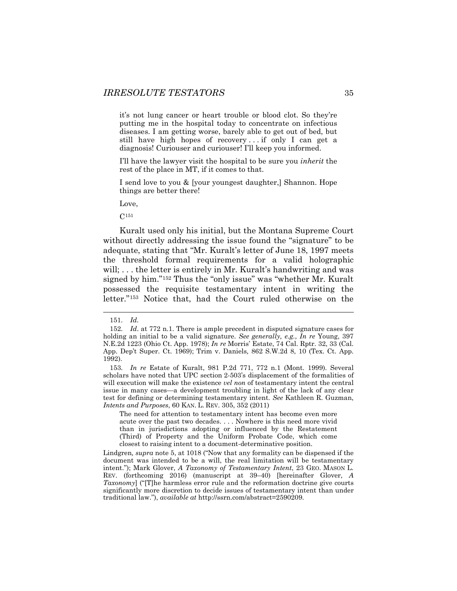# *IRRESOLUTE TESTATORS* 35

it's not lung cancer or heart trouble or blood clot. So they're putting me in the hospital today to concentrate on infectious diseases. I am getting worse, barely able to get out of bed, but still have high hopes of recovery . . . if only I can get a diagnosis! Curiouser and curiouser! I'll keep you informed.

I'll have the lawyer visit the hospital to be sure you *inherit* the rest of the place in MT, if it comes to that.

I send love to you & [your youngest daughter,] Shannon. Hope things are better there!

Love,

 $C<sup>151</sup>$ 

Kuralt used only his initial, but the Montana Supreme Court without directly addressing the issue found the "signature" to be adequate, stating that "Mr. Kuralt's letter of June 18, 1997 meets the threshold formal requirements for a valid holographic will; ... the letter is entirely in Mr. Kuralt's handwriting and was signed by him."152 Thus the "only issue" was "whether Mr. Kuralt possessed the requisite testamentary intent in writing the letter."153 Notice that, had the Court ruled otherwise on the

The need for attention to testamentary intent has become even more acute over the past two decades. . . . Nowhere is this need more vivid than in jurisdictions adopting or influenced by the Restatement (Third) of Property and the Uniform Probate Code, which come closest to raising intent to a document-determinative position.

 <sup>151</sup>*. Id.*

<sup>152</sup>*. Id*. at 772 n.1. There is ample precedent in disputed signature cases for holding an initial to be a valid signature. *See generally, e.g.*, *In re* Young, 397 N.E.2d 1223 (Ohio Ct. App. 1978); *In re* Morris' Estate, 74 Cal. Rptr. 32, 33 (Cal. App. Dep't Super. Ct. 1969); Trim v. Daniels*,* 862 S.W.2d 8, 10 (Tex. Ct. App. 1992).

<sup>153</sup>*. In re* Estate of Kuralt, 981 P.2d 771, 772 n.1 (Mont. 1999). Several scholars have noted that UPC section 2-503's displacement of the formalities of will execution will make the existence *vel non* of testamentary intent the central issue in many cases—a development troubling in light of the lack of any clear test for defining or determining testamentary intent. *See* Kathleen R. Guzman, *Intents and Purposes*, 60 KAN. L. REV. 305, 352 (2011)

Lindgren*, supra* note 5, at 1018 ("Now that any formality can be dispensed if the document was intended to be a will, the real limitation will be testamentary intent."); Mark Glover, *A Taxonomy of Testamentary Intent*, 23 GEO. MASON L. REV. (forthcoming 2016) (manuscript at 39–40) [hereinafter Glover, *A Taxonomy*] ("[T]he harmless error rule and the reformation doctrine give courts significantly more discretion to decide issues of testamentary intent than under traditional law."), *available at* http://ssrn.com/abstract=2590209.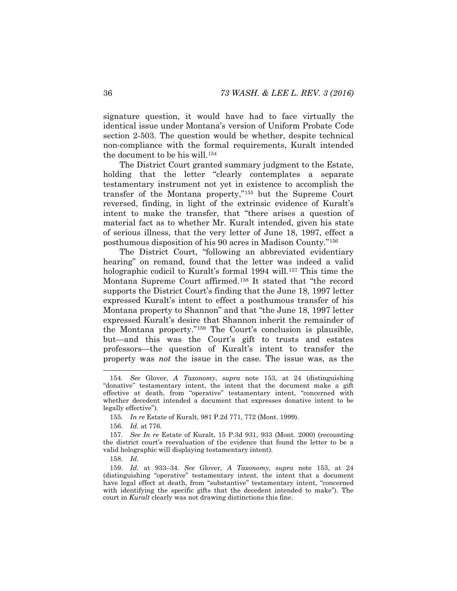signature question, it would have had to face virtually the identical issue under Montana's version of Uniform Probate Code section 2-503. The question would be whether, despite technical non-compliance with the formal requirements, Kuralt intended the document to be his will.154

The District Court granted summary judgment to the Estate, holding that the letter "clearly contemplates a separate testamentary instrument not yet in existence to accomplish the transfer of the Montana property,"155 but the Supreme Court reversed, finding, in light of the extrinsic evidence of Kuralt's intent to make the transfer, that "there arises a question of material fact as to whether Mr. Kuralt intended, given his state of serious illness, that the very letter of June 18, 1997, effect a posthumous disposition of his 90 acres in Madison County."156

The District Court, "following an abbreviated evidentiary hearing" on remand, found that the letter was indeed a valid holographic codicil to Kuralt's formal 1994 will.<sup>157</sup> This time the Montana Supreme Court affirmed.158 It stated that "the record supports the District Court's finding that the June 18, 1997 letter expressed Kuralt's intent to effect a posthumous transfer of his Montana property to Shannon" and that "the June 18, 1997 letter expressed Kuralt's desire that Shannon inherit the remainder of the Montana property."159 The Court's conclusion is plausible, but—and this was the Court's gift to trusts and estates professors—the question of Kuralt's intent to transfer the property was *not* the issue in the case. The issue was, as the

156*. Id.* at 776.

 <sup>154</sup>*. See* Glover, *A Taxonomy*, *supra* note 153, at 24 (distinguishing "donative" testamentary intent, the intent that the document make a gift effective at death, from "operative" testamentary intent, "concerned with whether decedent intended a document that expresses donative intent to be legally effective").

<sup>155</sup>*. In re* Estate of Kuralt, 981 P.2d 771, 772 (Mont. 1999).

<sup>157</sup>*. See In re* Estate of Kuralt, 15 P.3d 931, 933 (Mont. 2000) (recounting the district court's reevaluation of the evidence that found the letter to be a valid holographic will displaying testamentary intent).

<sup>158</sup>*. Id*.

<sup>159</sup>*. Id.* at 933–34. *See* Glover*, A Taxonomy, supra* note 153, at 24 (distinguishing "operative" testamentary intent, the intent that a document have legal effect at death, from "substantive" testamentary intent, "concerned with identifying the specific gifts that the decedent intended to make"). The court in *Kuralt* clearly was not drawing distinctions this fine.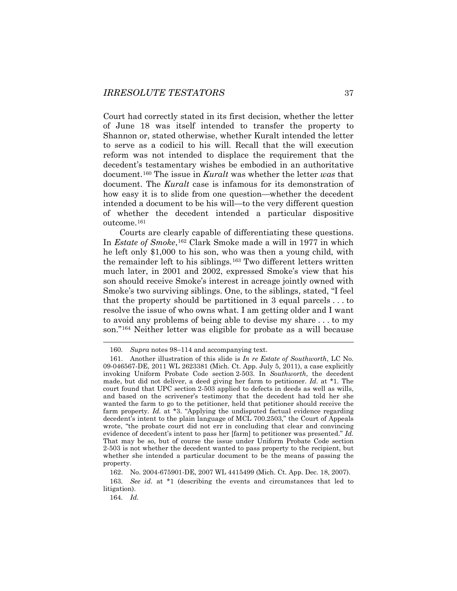Court had correctly stated in its first decision, whether the letter of June 18 was itself intended to transfer the property to Shannon or, stated otherwise, whether Kuralt intended the letter to serve as a codicil to his will. Recall that the will execution reform was not intended to displace the requirement that the decedent's testamentary wishes be embodied in an authoritative document.160 The issue in *Kuralt* was whether the letter *was* that document. The *Kuralt* case is infamous for its demonstration of how easy it is to slide from one question—whether the decedent intended a document to be his will—to the very different question of whether the decedent intended a particular dispositive outcome.161

Courts are clearly capable of differentiating these questions. In *Estate of Smoke*,162 Clark Smoke made a will in 1977 in which he left only \$1,000 to his son, who was then a young child, with the remainder left to his siblings.163 Two different letters written much later, in 2001 and 2002, expressed Smoke's view that his son should receive Smoke's interest in acreage jointly owned with Smoke's two surviving siblings. One, to the siblings, stated, "I feel that the property should be partitioned in 3 equal parcels . . . to resolve the issue of who owns what. I am getting older and I want to avoid any problems of being able to devise my share . . . to my son."164 Neither letter was eligible for probate as a will because

 <sup>160</sup>*. Supra* notes 98–114 and accompanying text.

<sup>161.</sup> Another illustration of this slide is *In re Estate of Southworth*, LC No. 09-046567-DE, 2011 WL 2623381 (Mich. Ct. App. July 5, 2011), a case explicitly invoking Uniform Probate Code section 2-503. In *Southworth*, the decedent made, but did not deliver, a deed giving her farm to petitioner. *Id*. at \*1. The court found that UPC section 2-503 applied to defects in deeds as well as wills, and based on the scrivener's testimony that the decedent had told her she wanted the farm to go to the petitioner, held that petitioner should receive the farm property*. Id.* at \*3. "Applying the undisputed factual evidence regarding decedent's intent to the plain language of MCL 700.2503," the Court of Appeals wrote, "the probate court did not err in concluding that clear and convincing evidence of decedent's intent to pass her [farm] to petitioner was presented." *Id.* That may be so, but of course the issue under Uniform Probate Code section 2-503 is not whether the decedent wanted to pass property to the recipient, but whether she intended a particular document to be the means of passing the property.

<sup>162.</sup> No. 2004-675901-DE, 2007 WL 4415499 (Mich. Ct. App. Dec. 18, 2007).

<sup>163</sup>*. See id.* at \*1 (describing the events and circumstances that led to litigation).

<sup>164</sup>*. Id.*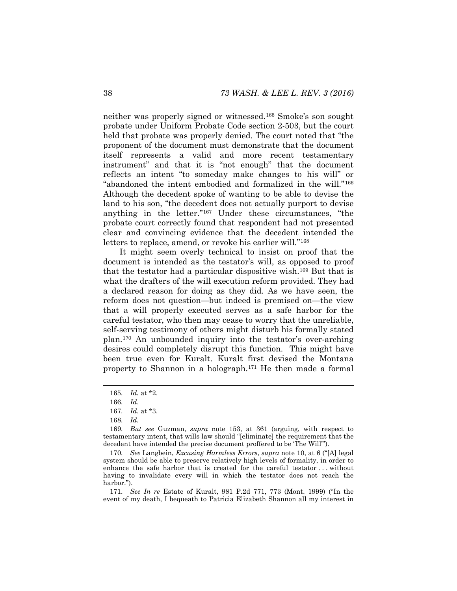neither was properly signed or witnessed.165 Smoke's son sought probate under Uniform Probate Code section 2-503, but the court held that probate was properly denied. The court noted that "the proponent of the document must demonstrate that the document itself represents a valid and more recent testamentary instrument" and that it is "not enough" that the document reflects an intent "to someday make changes to his will" or "abandoned the intent embodied and formalized in the will."166 Although the decedent spoke of wanting to be able to devise the land to his son, "the decedent does not actually purport to devise anything in the letter."167 Under these circumstances, "the probate court correctly found that respondent had not presented clear and convincing evidence that the decedent intended the letters to replace, amend, or revoke his earlier will."168

It might seem overly technical to insist on proof that the document is intended as the testator's will, as opposed to proof that the testator had a particular dispositive wish.169 But that is what the drafters of the will execution reform provided. They had a declared reason for doing as they did. As we have seen, the reform does not question—but indeed is premised on—the view that a will properly executed serves as a safe harbor for the careful testator, who then may cease to worry that the unreliable, self-serving testimony of others might disturb his formally stated plan.170 An unbounded inquiry into the testator's over-arching desires could completely disrupt this function. This might have been true even for Kuralt. Kuralt first devised the Montana property to Shannon in a holograph.171 He then made a formal

171*. See In re* Estate of Kuralt, 981 P.2d 771, 773 (Mont. 1999) ("In the event of my death, I bequeath to Patricia Elizabeth Shannon all my interest in

 <sup>165</sup>*. Id.* at \*2.

<sup>166</sup>*. Id*.

<sup>167</sup>*. Id.* at \*3.

<sup>168</sup>*. Id.*

<sup>169</sup>*. But see* Guzman, *supra* note 153, at 361 (arguing, with respect to testamentary intent, that wills law should "[eliminate] the requirement that the decedent have intended the precise document proffered to be 'The Will'").

<sup>170</sup>*. See* Langbein, *Excusing Harmless Errors*, *supra* note 10, at 6 ("[A] legal system should be able to preserve relatively high levels of formality, in order to enhance the safe harbor that is created for the careful testator . . . without having to invalidate every will in which the testator does not reach the harbor.").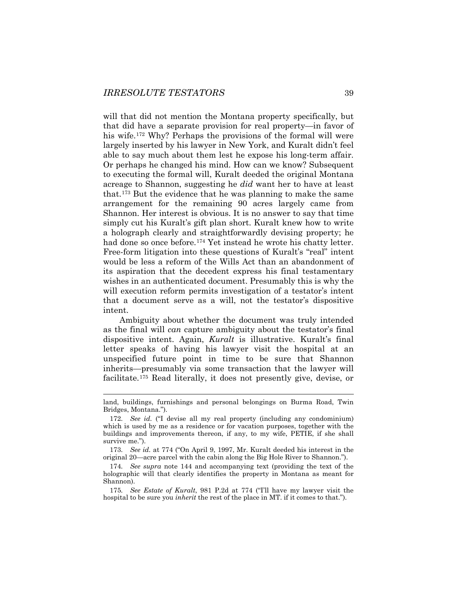will that did not mention the Montana property specifically, but that did have a separate provision for real property—in favor of his wife.172 Why? Perhaps the provisions of the formal will were largely inserted by his lawyer in New York, and Kuralt didn't feel able to say much about them lest he expose his long-term affair. Or perhaps he changed his mind. How can we know? Subsequent to executing the formal will, Kuralt deeded the original Montana acreage to Shannon, suggesting he *did* want her to have at least that.173 But the evidence that he was planning to make the same arrangement for the remaining 90 acres largely came from Shannon. Her interest is obvious. It is no answer to say that time simply cut his Kuralt's gift plan short. Kuralt knew how to write a holograph clearly and straightforwardly devising property; he had done so once before.174 Yet instead he wrote his chatty letter. Free-form litigation into these questions of Kuralt's "real" intent would be less a reform of the Wills Act than an abandonment of its aspiration that the decedent express his final testamentary wishes in an authenticated document. Presumably this is why the will execution reform permits investigation of a testator's intent that a document serve as a will, not the testator's dispositive intent.

Ambiguity about whether the document was truly intended as the final will *can* capture ambiguity about the testator's final dispositive intent. Again, *Kuralt* is illustrative. Kuralt's final letter speaks of having his lawyer visit the hospital at an unspecified future point in time to be sure that Shannon inherits—presumably via some transaction that the lawyer will facilitate.175 Read literally, it does not presently give, devise, or

land, buildings, furnishings and personal belongings on Burma Road, Twin Bridges, Montana.").

<sup>172</sup>*. See id.* ("I devise all my real property (including any condominium) which is used by me as a residence or for vacation purposes, together with the buildings and improvements thereon, if any, to my wife, PETIE, if she shall survive me.").

<sup>173</sup>*. See id.* at 774 ("On April 9, 1997, Mr. Kuralt deeded his interest in the original 20—acre parcel with the cabin along the Big Hole River to Shannon.").

<sup>174</sup>*. See supra* note 144 and accompanying text (providing the text of the holographic will that clearly identifies the property in Montana as meant for Shannon).

<sup>175</sup>*. See Estate of Kuralt*, 981 P.2d at 774 ("I'll have my lawyer visit the hospital to be sure you *inherit* the rest of the place in MT. if it comes to that.").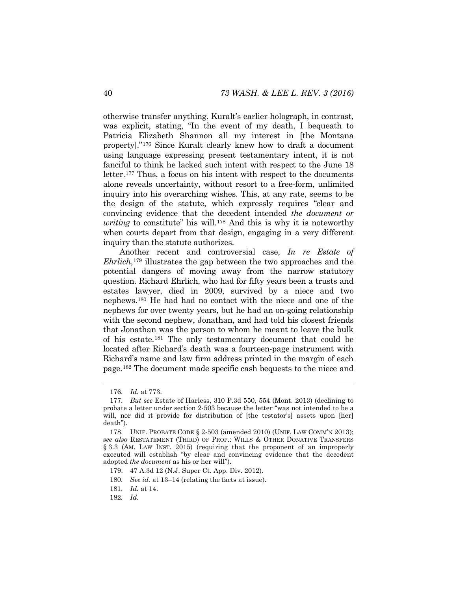otherwise transfer anything. Kuralt's earlier holograph, in contrast, was explicit, stating, "In the event of my death, I bequeath to Patricia Elizabeth Shannon all my interest in [the Montana property]."176 Since Kuralt clearly knew how to draft a document using language expressing present testamentary intent, it is not fanciful to think he lacked such intent with respect to the June 18 letter.177 Thus, a focus on his intent with respect to the documents alone reveals uncertainty, without resort to a free-form, unlimited inquiry into his overarching wishes. This, at any rate, seems to be the design of the statute, which expressly requires "clear and convincing evidence that the decedent intended *the document or writing* to constitute" his will.<sup>178</sup> And this is why it is noteworthy when courts depart from that design, engaging in a very different inquiry than the statute authorizes.

Another recent and controversial case, *In re Estate of Ehrlich*,179 illustrates the gap between the two approaches and the potential dangers of moving away from the narrow statutory question. Richard Ehrlich, who had for fifty years been a trusts and estates lawyer, died in 2009, survived by a niece and two nephews.180 He had had no contact with the niece and one of the nephews for over twenty years, but he had an on-going relationship with the second nephew, Jonathan, and had told his closest friends that Jonathan was the person to whom he meant to leave the bulk of his estate.181 The only testamentary document that could be located after Richard's death was a fourteen-page instrument with Richard's name and law firm address printed in the margin of each page.182 The document made specific cash bequests to the niece and

 <sup>176</sup>*. Id.* at 773.

<sup>177</sup>*. But see* Estate of Harless, 310 P.3d 550, 554 (Mont. 2013) (declining to probate a letter under section 2-503 because the letter "was not intended to be a will, nor did it provide for distribution of [the testator's] assets upon [her] death").

<sup>178</sup>*.* UNIF. PROBATE CODE § 2-503 (amended 2010) (UNIF. LAW COMM'N 2013); *see also* RESTATEMENT (THIRD) OF PROP.: WILLS & OTHER DONATIVE TRANSFERS § 3.3 (AM. LAW INST. 2015) (requiring that the proponent of an improperly executed will establish "by clear and convincing evidence that the decedent adopted *the document* as his or her will").

<sup>179.</sup> 47 A.3d 12 (N.J. Super Ct. App. Div. 2012).

<sup>180</sup>*. See id.* at 13–14 (relating the facts at issue).

<sup>181</sup>*. Id.* at 14.

<sup>182</sup>*. Id.*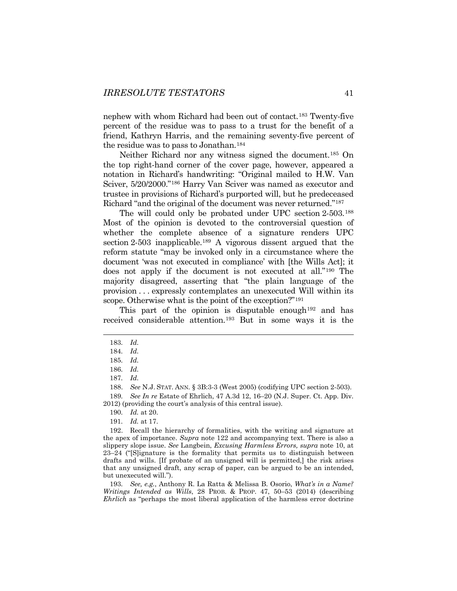nephew with whom Richard had been out of contact.183 Twenty-five percent of the residue was to pass to a trust for the benefit of a friend, Kathryn Harris, and the remaining seventy-five percent of the residue was to pass to Jonathan.184

Neither Richard nor any witness signed the document.185 On the top right-hand corner of the cover page, however, appeared a notation in Richard's handwriting: "Original mailed to H.W. Van Sciver, 5/20/2000."186 Harry Van Sciver was named as executor and trustee in provisions of Richard's purported will, but he predeceased Richard "and the original of the document was never returned."187

The will could only be probated under UPC section 2-503.188 Most of the opinion is devoted to the controversial question of whether the complete absence of a signature renders UPC section 2-503 inapplicable.<sup>189</sup> A vigorous dissent argued that the reform statute "may be invoked only in a circumstance where the document 'was not executed in compliance' with [the Wills Act]; it does not apply if the document is not executed at all."190 The majority disagreed, asserting that "the plain language of the provision . . . expressly contemplates an unexecuted Will within its scope. Otherwise what is the point of the exception?"191

This part of the opinion is disputable enough  $192$  and has received considerable attention.193 But in some ways it is the

193*. See, e.g.*, Anthony R. La Ratta & Melissa B. Osorio, *What's in a Name? Writings Intended as Wills*, 28 PROB. & PROP. 47, 50–53 (2014) (describing *Ehrlich* as "perhaps the most liberal application of the harmless error doctrine

 <sup>183</sup>*. Id.*

<sup>184</sup>*. Id.*

<sup>185</sup>*. Id.*

<sup>186</sup>*. Id.*

<sup>187</sup>*. Id.*

<sup>188.</sup> *See* N.J. STAT. ANN. § 3B:3-3 (West 2005) (codifying UPC section 2-503).

<sup>189</sup>*. See In re* Estate of Ehrlich, 47 A.3d 12, 16–20 (N.J. Super. Ct. App. Div. 2012) (providing the court's analysis of this central issue).

<sup>190</sup>*. Id.* at 20.

<sup>191</sup>*. Id.* at 17.

<sup>192.</sup> Recall the hierarchy of formalities, with the writing and signature at the apex of importance. *Supra* note 122 and accompanying text. There is also a slippery slope issue. *See* Langbein, *Excusing Harmless Errors, supra* note 10, at 23–24 ("[S]ignature is the formality that permits us to distinguish between drafts and wills. [If probate of an unsigned will is permitted,] the risk arises that any unsigned draft, any scrap of paper, can be argued to be an intended, but unexecuted will.").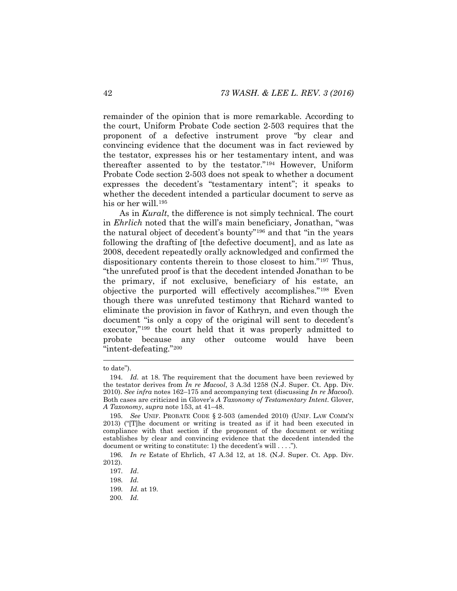remainder of the opinion that is more remarkable. According to the court, Uniform Probate Code section 2-503 requires that the proponent of a defective instrument prove "by clear and convincing evidence that the document was in fact reviewed by the testator, expresses his or her testamentary intent, and was thereafter assented to by the testator."194 However, Uniform Probate Code section 2-503 does not speak to whether a document expresses the decedent's "testamentary intent"; it speaks to whether the decedent intended a particular document to serve as his or her will.<sup>195</sup>

As in *Kuralt*, the difference is not simply technical. The court in *Ehrlich* noted that the will's main beneficiary, Jonathan, "was the natural object of decedent's bounty"196 and that "in the years following the drafting of [the defective document], and as late as 2008, decedent repeatedly orally acknowledged and confirmed the dispositionary contents therein to those closest to him."197 Thus, "the unrefuted proof is that the decedent intended Jonathan to be the primary, if not exclusive, beneficiary of his estate, an objective the purported will effectively accomplishes."198 Even though there was unrefuted testimony that Richard wanted to eliminate the provision in favor of Kathryn, and even though the document "is only a copy of the original will sent to decedent's executor,"199 the court held that it was properly admitted to probate because any other outcome would have been "intent-defeating."200

to date").

<sup>194</sup>*. Id.* at 18. The requirement that the document have been reviewed by the testator derives from *In re Macool*, 3 A.3d 1258 (N.J. Super. Ct. App. Div. 2010). *See infra* notes 162–175 and accompanying text (discussing *In re Macool*). Both cases are criticized in Glover's *A Taxonomy of Testamentary Intent*. Glover, *A Taxonomy*, *supra* note 153, at 41–48.

<sup>195</sup>*. See* UNIF. PROBATE CODE § 2-503 (amended 2010) (UNIF. LAW COMM'N 2013) ("[T]he document or writing is treated as if it had been executed in compliance with that section if the proponent of the document or writing establishes by clear and convincing evidence that the decedent intended the document or writing to constitute: 1) the decedent's will . . . .").

<sup>196</sup>*. In re* Estate of Ehrlich, 47 A.3d 12, at 18. (N.J. Super. Ct. App. Div. 2012).

<sup>197</sup>*. Id*.

<sup>198</sup>*. Id.*

<sup>199</sup>*. Id.* at 19.

<sup>200</sup>*. Id.*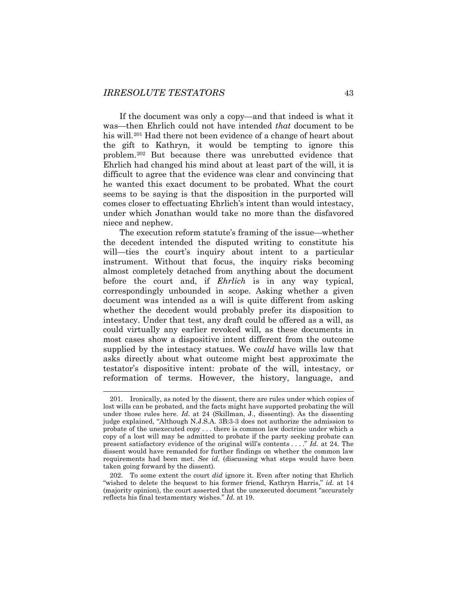If the document was only a copy—and that indeed is what it was—then Ehrlich could not have intended *that* document to be his will.<sup>201</sup> Had there not been evidence of a change of heart about the gift to Kathryn, it would be tempting to ignore this problem.202 But because there was unrebutted evidence that Ehrlich had changed his mind about at least part of the will, it is difficult to agree that the evidence was clear and convincing that he wanted this exact document to be probated. What the court seems to be saying is that the disposition in the purported will comes closer to effectuating Ehrlich's intent than would intestacy, under which Jonathan would take no more than the disfavored niece and nephew.

The execution reform statute's framing of the issue—whether the decedent intended the disputed writing to constitute his will—ties the court's inquiry about intent to a particular instrument. Without that focus, the inquiry risks becoming almost completely detached from anything about the document before the court and, if *Ehrlich* is in any way typical, correspondingly unbounded in scope. Asking whether a given document was intended as a will is quite different from asking whether the decedent would probably prefer its disposition to intestacy. Under that test, any draft could be offered as a will, as could virtually any earlier revoked will, as these documents in most cases show a dispositive intent different from the outcome supplied by the intestacy statues. We *could* have wills law that asks directly about what outcome might best approximate the testator's dispositive intent: probate of the will, intestacy, or reformation of terms. However, the history, language, and

 <sup>201.</sup> Ironically, as noted by the dissent, there are rules under which copies of lost wills can be probated, and the facts might have supported probating the will under those rules here. *Id.* at 24 (Skillman, J., dissenting). As the dissenting judge explained, "Although N.J.S.A. 3B:3-3 does not authorize the admission to probate of the unexecuted copy . . . there is common law doctrine under which a copy of a lost will may be admitted to probate if the party seeking probate can present satisfactory evidence of the original will's contents . . . ." *Id.* at 24. The dissent would have remanded for further findings on whether the common law requirements had been met. *See id.* (discussing what steps would have been taken going forward by the dissent)*.*

<sup>202.</sup> To some extent the court *did* ignore it. Even after noting that Ehrlich "wished to delete the bequest to his former friend, Kathryn Harris," *id.* at 14 (majority opinion), the court asserted that the unexecuted document "accurately reflects his final testamentary wishes." *Id.* at 19.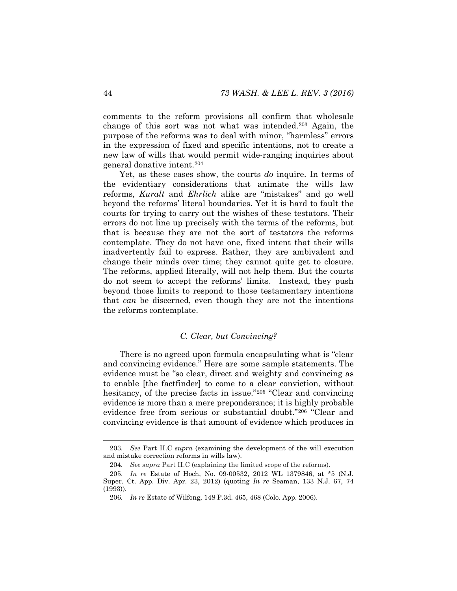comments to the reform provisions all confirm that wholesale change of this sort was not what was intended.203 Again, the purpose of the reforms was to deal with minor, "harmless" errors in the expression of fixed and specific intentions, not to create a new law of wills that would permit wide-ranging inquiries about general donative intent.204

Yet, as these cases show, the courts *do* inquire. In terms of the evidentiary considerations that animate the wills law reforms, *Kuralt* and *Ehrlich* alike are "mistakes" and go well beyond the reforms' literal boundaries. Yet it is hard to fault the courts for trying to carry out the wishes of these testators. Their errors do not line up precisely with the terms of the reforms, but that is because they are not the sort of testators the reforms contemplate. They do not have one, fixed intent that their wills inadvertently fail to express. Rather, they are ambivalent and change their minds over time; they cannot quite get to closure. The reforms, applied literally, will not help them. But the courts do not seem to accept the reforms' limits. Instead, they push beyond those limits to respond to those testamentary intentions that *can* be discerned, even though they are not the intentions the reforms contemplate.

# *C. Clear, but Convincing?*

There is no agreed upon formula encapsulating what is "clear and convincing evidence." Here are some sample statements. The evidence must be "so clear, direct and weighty and convincing as to enable [the factfinder] to come to a clear conviction, without hesitancy, of the precise facts in issue."<sup>205</sup> "Clear and convincing evidence is more than a mere preponderance; it is highly probable evidence free from serious or substantial doubt."206 "Clear and convincing evidence is that amount of evidence which produces in

 <sup>203</sup>*. See* Part II.C *supra* (examining the development of the will execution and mistake correction reforms in wills law).

<sup>204</sup>*. See supra* Part II.C (explaining the limited scope of the reforms).

<sup>205</sup>*. In re* Estate of Hoch, No. 09-00532, 2012 WL 1379846, at \*5 (N.J. Super. Ct. App. Div. Apr. 23, 2012) (quoting *In re* Seaman, 133 N.J. 67, 74 (1993)).

<sup>206</sup>*. In re* Estate of Wilfong, 148 P.3d. 465, 468 (Colo. App. 2006).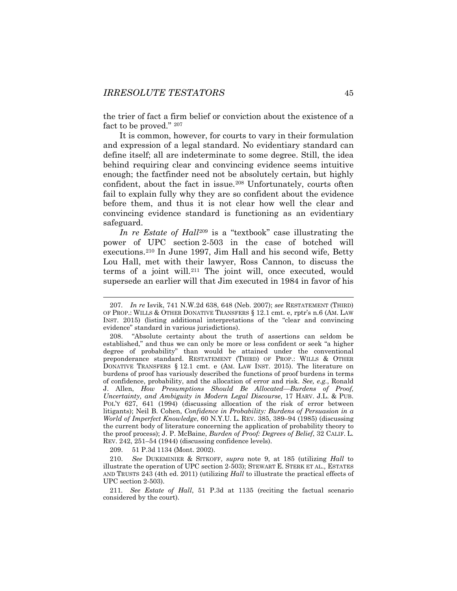the trier of fact a firm belief or conviction about the existence of a fact to be proved." 207

It is common, however, for courts to vary in their formulation and expression of a legal standard. No evidentiary standard can define itself; all are indeterminate to some degree. Still, the idea behind requiring clear and convincing evidence seems intuitive enough; the factfinder need not be absolutely certain, but highly confident, about the fact in issue.208 Unfortunately, courts often fail to explain fully why they are so confident about the evidence before them, and thus it is not clear how well the clear and convincing evidence standard is functioning as an evidentiary safeguard.

*In re Estate of Hall*<sup>209</sup> is a "textbook" case illustrating the power of UPC section 2-503 in the case of botched will executions.210 In June 1997, Jim Hall and his second wife, Betty Lou Hall, met with their lawyer, Ross Cannon, to discuss the terms of a joint will.211 The joint will, once executed, would supersede an earlier will that Jim executed in 1984 in favor of his

209. 51 P.3d 1134 (Mont. 2002).

210. *See* DUKEMINIER & SITKOFF, *supra* note 9, at 185 (utilizing *Hall* to illustrate the operation of UPC section 2-503); STEWART E. STERK ET AL., ESTATES AND TRUSTS 243 (4th ed. 2011) (utilizing *Hall* to illustrate the practical effects of UPC section 2-503).

211*. See Estate of Hall*, 51 P.3d at 1135 (reciting the factual scenario considered by the court).

 <sup>207</sup>*. In re* Isvik, 741 N.W.2d 638, 648 (Neb. 2007); *see* RESTATEMENT (THIRD) OF PROP.: WILLS & OTHER DONATIVE TRANSFERS § 12.1 cmt. e, rptr's n.6 (AM. LAW INST. 2015) (listing additional interpretations of the "clear and convincing evidence" standard in various jurisdictions).

<sup>208.</sup> "Absolute certainty about the truth of assertions can seldom be established," and thus we can only be more or less confident or seek "a higher degree of probability" than would be attained under the conventional preponderance standard. RESTATEMENT (THIRD) OF PROP.: WILLS & OTHER DONATIVE TRANSFERS § 12.1 cmt. e (AM. LAW INST. 2015). The literature on burdens of proof has variously described the functions of proof burdens in terms of confidence, probability, and the allocation of error and risk. *See, e.g.*, Ronald J. Allen, *How Presumptions Should Be Allocated—Burdens of Proof, Uncertainty, and Ambiguity in Modern Legal Discourse*, 17 HARV. J.L. & PUB. POL'Y 627, 641 (1994) (discussing allocation of the risk of error between litigants); Neil B. Cohen, *Confidence in Probability: Burdens of Persuasion in a World of Imperfect Knowledge*, 60 N.Y.U. L. REV. 385, 389–94 (1985) (discussing the current body of literature concerning the application of probability theory to the proof process); J. P. McBaine, *Burden of Proof: Degrees of Belief*, 32 CALIF. L. REV. 242, 251–54 (1944) (discussing confidence levels).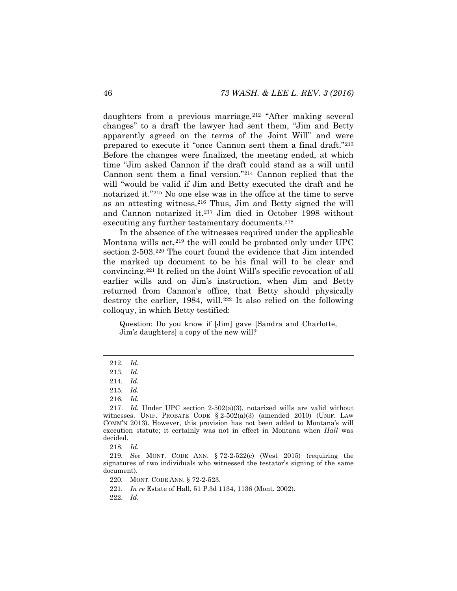daughters from a previous marriage.<sup>212</sup> "After making several changes" to a draft the lawyer had sent them, "Jim and Betty apparently agreed on the terms of the Joint Will" and were prepared to execute it "once Cannon sent them a final draft."213 Before the changes were finalized, the meeting ended, at which time "Jim asked Cannon if the draft could stand as a will until Cannon sent them a final version."214 Cannon replied that the will "would be valid if Jim and Betty executed the draft and he notarized it."215 No one else was in the office at the time to serve as an attesting witness.216 Thus, Jim and Betty signed the will and Cannon notarized it.217 Jim died in October 1998 without executing any further testamentary documents.<sup>218</sup>

In the absence of the witnesses required under the applicable Montana wills act.<sup>219</sup> the will could be probated only under UPC section 2-503.220 The court found the evidence that Jim intended the marked up document to be his final will to be clear and convincing.221 It relied on the Joint Will's specific revocation of all earlier wills and on Jim's instruction, when Jim and Betty returned from Cannon's office, that Betty should physically destroy the earlier, 1984, will.<sup>222</sup> It also relied on the following colloquy, in which Betty testified:

Question: Do you know if [Jim] gave [Sandra and Charlotte, Jim's daughters] a copy of the new will?

218*. Id.*

220*.* MONT. CODE ANN. § 72-2-523.

221*. In re* Estate of Hall, 51 P.3d 1134, 1136 (Mont. 2002).

222*. Id.*

 <sup>212</sup>*. Id.* 

<sup>213</sup>*. Id.* 

<sup>214</sup>*. Id.*

<sup>215</sup>*. Id.*

<sup>216</sup>*. Id.* 

<sup>217.</sup> *Id.* Under UPC section 2-502(a)(3), notarized wills are valid without witnesses. UNIF. PROBATE CODE  $\S 2-502(a)(3)$  (amended 2010) (UNIF. LAW COMM'N 2013). However, this provision has not been added to Montana's will execution statute; it certainly was not in effect in Montana when *Hall* was decided.

<sup>219</sup>*. See* MONT. CODE ANN. § 72-2-522(c) (West 2015) (requiring the signatures of two individuals who witnessed the testator's signing of the same document).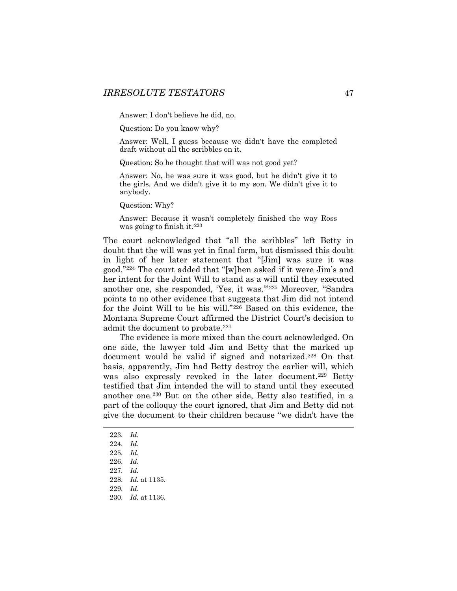Answer: I don't believe he did, no.

Question: Do you know why?

Answer: Well, I guess because we didn't have the completed draft without all the scribbles on it.

Question: So he thought that will was not good yet?

Answer: No, he was sure it was good, but he didn't give it to the girls. And we didn't give it to my son. We didn't give it to anybody.

Question: Why?

Answer: Because it wasn't completely finished the way Ross was going to finish it.223

The court acknowledged that "all the scribbles" left Betty in doubt that the will was yet in final form, but dismissed this doubt in light of her later statement that "[Jim] was sure it was good."224 The court added that "[w]hen asked if it were Jim's and her intent for the Joint Will to stand as a will until they executed another one, she responded, 'Yes, it was.'"225 Moreover, "Sandra points to no other evidence that suggests that Jim did not intend for the Joint Will to be his will."226 Based on this evidence, the Montana Supreme Court affirmed the District Court's decision to admit the document to probate.<sup>227</sup>

The evidence is more mixed than the court acknowledged. On one side, the lawyer told Jim and Betty that the marked up document would be valid if signed and notarized.<sup>228</sup> On that basis, apparently, Jim had Betty destroy the earlier will, which was also expressly revoked in the later document.<sup>229</sup> Betty testified that Jim intended the will to stand until they executed another one.230 But on the other side, Betty also testified, in a part of the colloquy the court ignored, that Jim and Betty did not give the document to their children because "we didn't have the

- 223*. Id.*
- 224*. Id.*
- 225*. Id.*
- 226*. Id.*
- 227*. Id.*
- 228*. Id.* at 1135.
- 229*. Id.*
- 230*. Id.* at 1136.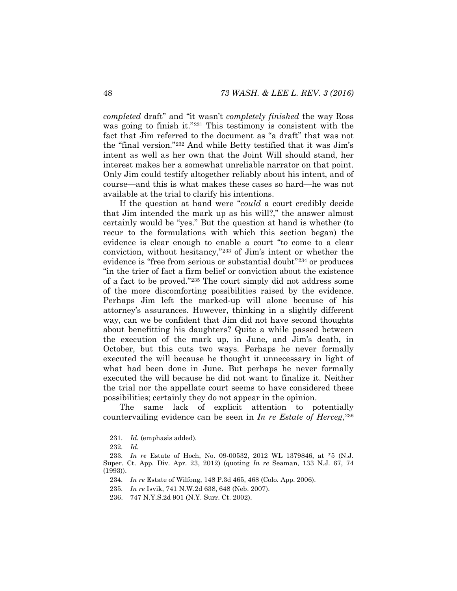*completed* draft" and "it wasn't *completely finished* the way Ross was going to finish it."231 This testimony is consistent with the fact that Jim referred to the document as "a draft" that was not the "final version."232 And while Betty testified that it was Jim's intent as well as her own that the Joint Will should stand, her interest makes her a somewhat unreliable narrator on that point. Only Jim could testify altogether reliably about his intent, and of course—and this is what makes these cases so hard—he was not available at the trial to clarify his intentions.

If the question at hand were "*could* a court credibly decide that Jim intended the mark up as his will?," the answer almost certainly would be "yes." But the question at hand is whether (to recur to the formulations with which this section began) the evidence is clear enough to enable a court "to come to a clear conviction, without hesitancy,"233 of Jim's intent or whether the evidence is "free from serious or substantial doubt"234 or produces "in the trier of fact a firm belief or conviction about the existence of a fact to be proved."235 The court simply did not address some of the more discomforting possibilities raised by the evidence. Perhaps Jim left the marked-up will alone because of his attorney's assurances. However, thinking in a slightly different way, can we be confident that Jim did not have second thoughts about benefitting his daughters? Quite a while passed between the execution of the mark up, in June, and Jim's death, in October, but this cuts two ways. Perhaps he never formally executed the will because he thought it unnecessary in light of what had been done in June. But perhaps he never formally executed the will because he did not want to finalize it. Neither the trial nor the appellate court seems to have considered these possibilities; certainly they do not appear in the opinion.

The same lack of explicit attention to potentially countervailing evidence can be seen in *In re Estate of Herceg*<sup>236</sup>

 <sup>231</sup>*. Id.* (emphasis added).

<sup>232</sup>*. Id.*

<sup>233</sup>*. In re* Estate of Hoch, No. 09-00532, 2012 WL 1379846, at \*5 (N.J. Super. Ct. App. Div. Apr. 23, 2012) (quoting *In re* Seaman, 133 N.J. 67, 74 (1993)).

<sup>234</sup>*. In re* Estate of Wilfong, 148 P.3d 465, 468 (Colo. App. 2006).

<sup>235</sup>*. In re* Isvik, 741 N.W.2d 638, 648 (Neb. 2007).

<sup>236.</sup> 747 N.Y.S.2d 901 (N.Y. Surr. Ct. 2002).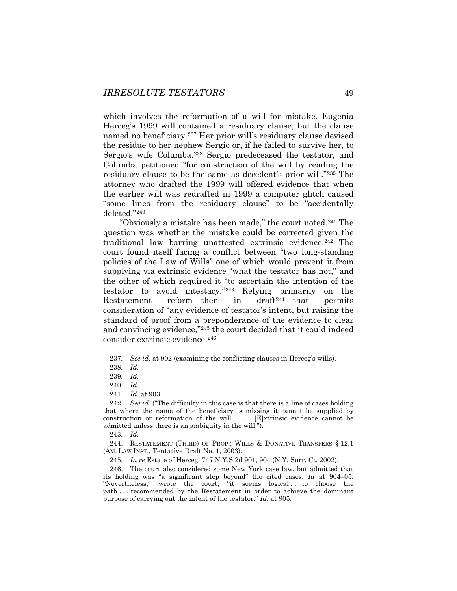which involves the reformation of a will for mistake. Eugenia Herceg's 1999 will contained a residuary clause, but the clause named no beneficiary.237 Her prior will's residuary clause devised the residue to her nephew Sergio or, if he failed to survive her, to Sergio's wife Columba.<sup>238</sup> Sergio predeceased the testator, and Columba petitioned "for construction of the will by reading the residuary clause to be the same as decedent's prior will."239 The attorney who drafted the 1999 will offered evidence that when the earlier will was redrafted in 1999 a computer glitch caused "some lines from the residuary clause" to be "accidentally deleted."240

"Obviously a mistake has been made," the court noted.241 The question was whether the mistake could be corrected given the traditional law barring unattested extrinsic evidence.<sup>242</sup> The court found itself facing a conflict between "two long-standing policies of the Law of Wills" one of which would prevent it from supplying via extrinsic evidence "what the testator has not," and the other of which required it "to ascertain the intention of the testator to avoid intestacy."243 Relying primarily on the Restatement reform—then in draft<sup>244</sup>—that permits consideration of "any evidence of testator's intent, but raising the standard of proof from a preponderance of the evidence to clear and convincing evidence,"245 the court decided that it could indeed consider extrinsic evidence.246

 <sup>237</sup>*. See id.* at 902 (examining the conflicting clauses in Herceg's wills).

<sup>238</sup>*. Id.*

<sup>239</sup>*. Id.*

<sup>240</sup>*. Id.*

<sup>241</sup>*. Id.* at 903.

<sup>242</sup>*. See id.* ("The difficulty in this case is that there is a line of cases holding that where the name of the beneficiary is missing it cannot be supplied by construction or reformation of the will. . . . [E]xtrinsic evidence cannot be admitted unless there is an ambiguity in the will.").

<sup>243</sup>*. Id.* 

<sup>244.</sup> RESTATEMENT (THIRD) OF PROP.: WILLS & DONATIVE TRANSFERS § 12.1 (AM. LAW INST., Tentative Draft No. 1, 2003).

<sup>245</sup>*. In re* Estate of Herceg, 747 N.Y.S.2d 901, 904 (N.Y. Surr. Ct. 2002).

<sup>246.</sup> The court also considered some New York case law, but admitted that its holding was "a significant step beyond" the cited cases. *Id* at 904–05. "Nevertheless," wrote the court, "it seems logical . . . to choose the path . . . recommended by the Restatement in order to achieve the dominant purpose of carrying out the intent of the testator." *Id.* at 905.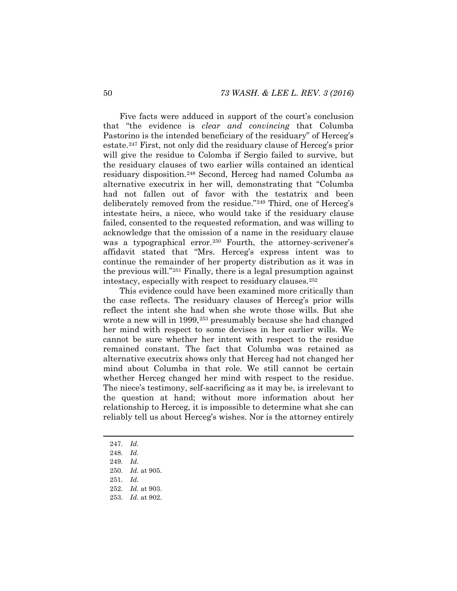Five facts were adduced in support of the court's conclusion that "the evidence is *clear and convincing* that Columba Pastorino is the intended beneficiary of the residuary" of Herceg's estate.247 First, not only did the residuary clause of Herceg's prior will give the residue to Colomba if Sergio failed to survive, but the residuary clauses of two earlier wills contained an identical residuary disposition.248 Second, Herceg had named Columba as alternative executrix in her will, demonstrating that "Columba had not fallen out of favor with the testatrix and been deliberately removed from the residue."249 Third, one of Herceg's intestate heirs, a niece, who would take if the residuary clause failed, consented to the requested reformation, and was willing to acknowledge that the omission of a name in the residuary clause was a typographical error.<sup>250</sup> Fourth, the attorney-scrivener's affidavit stated that "Mrs. Herceg's express intent was to continue the remainder of her property distribution as it was in the previous will."251 Finally, there is a legal presumption against intestacy, especially with respect to residuary clauses.252

This evidence could have been examined more critically than the case reflects. The residuary clauses of Herceg's prior wills reflect the intent she had when she wrote those wills. But she wrote a new will in 1999,<sup>253</sup> presumably because she had changed her mind with respect to some devises in her earlier wills. We cannot be sure whether her intent with respect to the residue remained constant. The fact that Columba was retained as alternative executrix shows only that Herceg had not changed her mind about Columba in that role. We still cannot be certain whether Herceg changed her mind with respect to the residue. The niece's testimony, self-sacrificing as it may be, is irrelevant to the question at hand; without more information about her relationship to Herceg, it is impossible to determine what she can reliably tell us about Herceg's wishes. Nor is the attorney entirely

- 247*. Id.*
- 248*. Id.*
- 249*. Id.*
- 250*. Id.* at 905.
- 251*. Id.*
- 252*. Id.* at 903.
- 253*. Id*. at 902.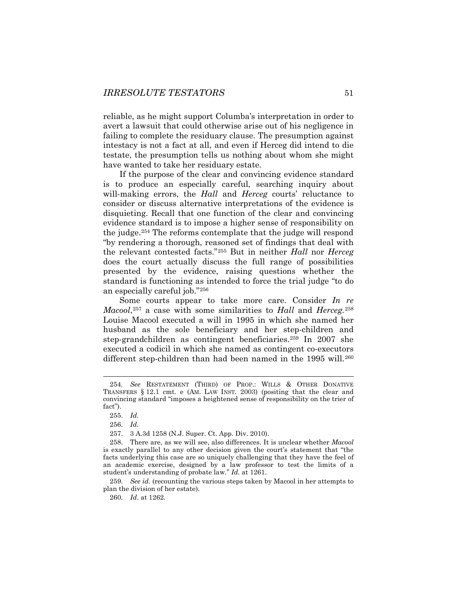reliable, as he might support Columba's interpretation in order to avert a lawsuit that could otherwise arise out of his negligence in failing to complete the residuary clause. The presumption against intestacy is not a fact at all, and even if Herceg did intend to die testate, the presumption tells us nothing about whom she might have wanted to take her residuary estate.

If the purpose of the clear and convincing evidence standard is to produce an especially careful, searching inquiry about will-making errors, the *Hall* and *Herceg* courts' reluctance to consider or discuss alternative interpretations of the evidence is disquieting. Recall that one function of the clear and convincing evidence standard is to impose a higher sense of responsibility on the judge.254 The reforms contemplate that the judge will respond "by rendering a thorough, reasoned set of findings that deal with the relevant contested facts."255 But in neither *Hall* nor *Herceg* does the court actually discuss the full range of possibilities presented by the evidence, raising questions whether the standard is functioning as intended to force the trial judge "to do an especially careful job."256

Some courts appear to take more care. Consider *In re Macool*,257 a case with some similarities to *Hall* and *Herceg.*<sup>258</sup> Louise Macool executed a will in 1995 in which she named her husband as the sole beneficiary and her step-children and step-grandchildren as contingent beneficiaries.259 In 2007 she executed a codicil in which she named as contingent co-executors different step-children than had been named in the 1995 will.<sup>260</sup>

259*. See id.* (recounting the various steps taken by Macool in her attempts to plan the division of her estate).

260*. Id*. at 1262.

 <sup>254</sup>*. See* RESTATEMENT (THIRD) OF PROP.: WILLS & OTHER DONATIVE TRANSFERS § 12.1 cmt. e (AM. LAW INST. 2003) (positing that the clear and convincing standard "imposes a heightened sense of responsibility on the trier of fact").

<sup>255.</sup> *Id.*

<sup>256</sup>*. Id.*

<sup>257.</sup> 3 A.3d 1258 (N.J. Super. Ct. App. Div. 2010).

<sup>258.</sup> There are, as we will see, also differences. It is unclear whether *Macool* is exactly parallel to any other decision given the court's statement that "the facts underlying this case are so uniquely challenging that they have the feel of an academic exercise, designed by a law professor to test the limits of a student's understanding of probate law." *Id.* at 1261.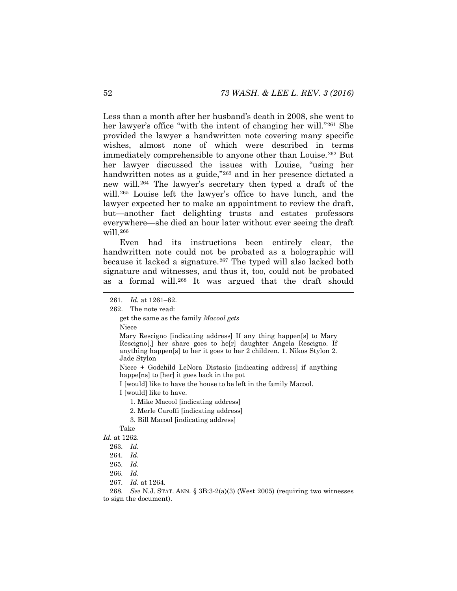Less than a month after her husband's death in 2008, she went to her lawyer's office "with the intent of changing her will."261 She provided the lawyer a handwritten note covering many specific wishes, almost none of which were described in terms immediately comprehensible to anyone other than Louise.262 But her lawyer discussed the issues with Louise, "using her handwritten notes as a guide,"263 and in her presence dictated a new will.264 The lawyer's secretary then typed a draft of the will.<sup>265</sup> Louise left the lawyer's office to have lunch, and the lawyer expected her to make an appointment to review the draft, but—another fact delighting trusts and estates professors everywhere—she died an hour later without ever seeing the draft will.266

Even had its instructions been entirely clear, the handwritten note could not be probated as a holographic will because it lacked a signature.267 The typed will also lacked both signature and witnesses, and thus it, too, could not be probated as a formal will.268 It was argued that the draft should

get the same as the family *Macool gets*

Niece

I [would] like to have the house to be left in the family Macool.

I [would] like to have.

- 1. Mike Macool [indicating address]
- 2. Merle Caroffi [indicating address]
- 3. Bill Macool [indicating address]

Take

 <sup>261</sup>*. Id.* at 1261–62.

<sup>262.</sup> The note read:

Mary Rescigno [indicating address] If any thing happen[s] to Mary Rescigno[,] her share goes to he[r] daughter Angela Rescigno. If anything happen[s] to her it goes to her 2 children. 1. Nikos Stylon 2. Jade Stylon

Niece + Godchild LeNora Distasio [indicating address] if anything happe[ns] to [her] it goes back in the pot

*Id.* at 1262.

<sup>263</sup>*. Id.*

<sup>264</sup>*. Id.*

<sup>265</sup>*. Id.*

<sup>266</sup>*. Id.*

<sup>267</sup>*. Id.* at 1264.

<sup>268</sup>*. See* N.J. STAT. ANN. § 3B:3-2(a)(3) (West 2005) (requiring two witnesses to sign the document).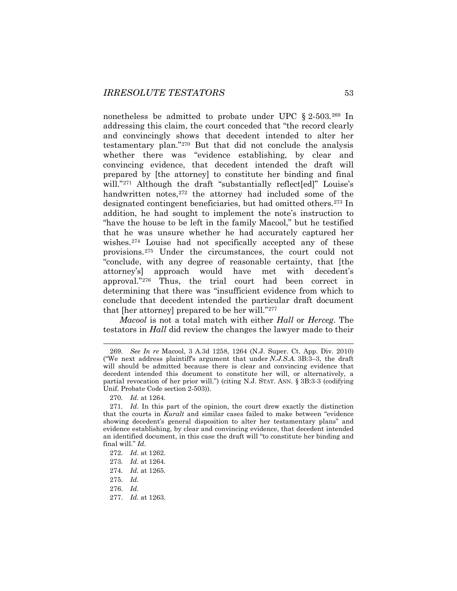nonetheless be admitted to probate under UPC § 2-503.269 In addressing this claim, the court conceded that "the record clearly and convincingly shows that decedent intended to alter her testamentary plan."270 But that did not conclude the analysis whether there was "evidence establishing, by clear and convincing evidence, that decedent intended the draft will prepared by [the attorney] to constitute her binding and final will."<sup>271</sup> Although the draft "substantially reflect[ed]" Louise's handwritten notes,<sup>272</sup> the attorney had included some of the designated contingent beneficiaries, but had omitted others.273 In addition, he had sought to implement the note's instruction to "have the house to be left in the family Macool," but he testified that he was unsure whether he had accurately captured her wishes.274 Louise had not specifically accepted any of these provisions.275 Under the circumstances, the court could not "conclude, with any degree of reasonable certainty, that [the attorney's] approach would have met with decedent's approval."276 Thus, the trial court had been correct in determining that there was "insufficient evidence from which to conclude that decedent intended the particular draft document that [her attorney] prepared to be her will."277

*Macool* is not a total match with either *Hall* or *Herceg*. The testators in *Hall* did review the changes the lawyer made to their

 <sup>269</sup>*. See In re* Macool, 3 A.3d 1258, 1264 (N.J. Super. Ct. App. Div. 2010) ("We next address plaintiff's argument that under  $N.S.A.$   $3B:\widetilde{3}$ -3, the draft will should be admitted because there is clear and convincing evidence that decedent intended this document to constitute her will, or alternatively, a partial revocation of her prior will.") (citing N.J. STAT. ANN. § 3B:3-3 (codifying Unif. Probate Code section 2-503)).

<sup>270</sup>*. Id.* at 1264.

<sup>271</sup>*. Id.* In this part of the opinion, the court drew exactly the distinction that the courts in *Kuralt* and similar cases failed to make between "evidence showing decedent's general disposition to alter her testamentary plans" and evidence establishing, by clear and convincing evidence, that decedent intended an identified document, in this case the draft will "to constitute her binding and final will." *Id*.

<sup>272</sup>*. Id.* at 1262.

<sup>273</sup>*. Id.* at 1264.

<sup>274</sup>*. Id.* at 1265.

<sup>275</sup>*. Id.*

<sup>276.</sup> *Id.*

<sup>277.</sup> *Id.* at 1263.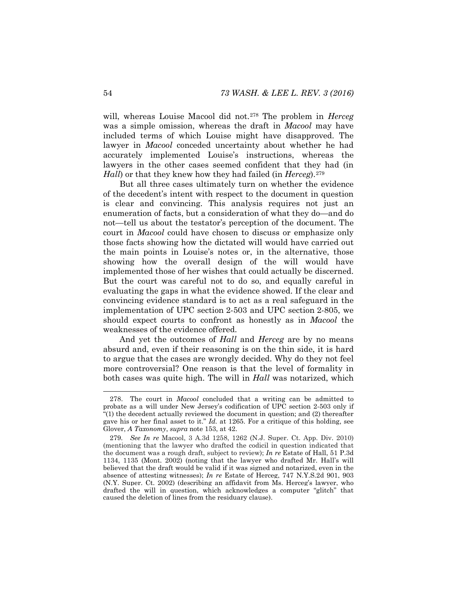will, whereas Louise Macool did not.278 The problem in *Herceg* was a simple omission, whereas the draft in *Macool* may have included terms of which Louise might have disapproved. The lawyer in *Macool* conceded uncertainty about whether he had accurately implemented Louise's instructions, whereas the lawyers in the other cases seemed confident that they had (in *Hall*) or that they knew how they had failed (in *Herceg*).<sup>279</sup>

But all three cases ultimately turn on whether the evidence of the decedent's intent with respect to the document in question is clear and convincing. This analysis requires not just an enumeration of facts, but a consideration of what they do—and do not—tell us about the testator's perception of the document. The court in *Macool* could have chosen to discuss or emphasize only those facts showing how the dictated will would have carried out the main points in Louise's notes or, in the alternative, those showing how the overall design of the will would have implemented those of her wishes that could actually be discerned. But the court was careful not to do so, and equally careful in evaluating the gaps in what the evidence showed. If the clear and convincing evidence standard is to act as a real safeguard in the implementation of UPC section 2-503 and UPC section 2-805, we should expect courts to confront as honestly as in *Macool* the weaknesses of the evidence offered.

And yet the outcomes of *Hall* and *Herceg* are by no means absurd and, even if their reasoning is on the thin side, it is hard to argue that the cases are wrongly decided. Why do they not feel more controversial? One reason is that the level of formality in both cases was quite high. The will in *Hall* was notarized, which

 <sup>278.</sup> The court in *Macool* concluded that a writing can be admitted to probate as a will under New Jersey's codification of UPC section 2-503 only if "(1) the decedent actually reviewed the document in question; and (2) thereafter gave his or her final asset to it." *Id.* at 1265. For a critique of this holding, see Glover, *A Taxonomy*, *supra* note 153, at 42.

<sup>279</sup>*. See In re* Macool, 3 A.3d 1258, 1262 (N.J. Super. Ct. App. Div. 2010) (mentioning that the lawyer who drafted the codicil in question indicated that the document was a rough draft, subject to review); *In re* Estate of Hall, 51 P.3d 1134, 1135 (Mont. 2002) (noting that the lawyer who drafted Mr. Hall's will believed that the draft would be valid if it was signed and notarized, even in the absence of attesting witnesses); *In re* Estate of Herceg, 747 N.Y.S.2d 901, 903 (N.Y. Super. Ct. 2002) (describing an affidavit from Ms. Herceg's lawyer, who drafted the will in question, which acknowledges a computer "glitch" that caused the deletion of lines from the residuary clause).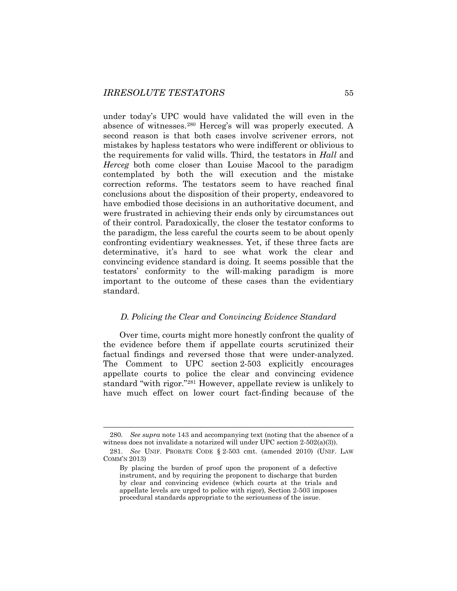under today's UPC would have validated the will even in the absence of witnesses.280 Herceg's will was properly executed. A second reason is that both cases involve scrivener errors, not mistakes by hapless testators who were indifferent or oblivious to the requirements for valid wills. Third, the testators in *Hall* and *Herceg* both come closer than Louise Macool to the paradigm contemplated by both the will execution and the mistake correction reforms. The testators seem to have reached final conclusions about the disposition of their property, endeavored to have embodied those decisions in an authoritative document, and were frustrated in achieving their ends only by circumstances out of their control. Paradoxically, the closer the testator conforms to the paradigm, the less careful the courts seem to be about openly confronting evidentiary weaknesses. Yet, if these three facts are determinative, it's hard to see what work the clear and convincing evidence standard is doing. It seems possible that the testators' conformity to the will-making paradigm is more important to the outcome of these cases than the evidentiary standard.

### *D. Policing the Clear and Convincing Evidence Standard*

Over time, courts might more honestly confront the quality of the evidence before them if appellate courts scrutinized their factual findings and reversed those that were under-analyzed. The Comment to UPC section 2-503 explicitly encourages appellate courts to police the clear and convincing evidence standard "with rigor."281 However, appellate review is unlikely to have much effect on lower court fact-finding because of the

 <sup>280</sup>*. See supra* note 143 and accompanying text (noting that the absence of a witness does not invalidate a notarized will under UPC section 2-502(a)(3)).

<sup>281</sup>*. See* UNIF. PROBATE CODE § 2-503 cmt. (amended 2010) (UNIF. LAW COMM'N 2013)

By placing the burden of proof upon the proponent of a defective instrument, and by requiring the proponent to discharge that burden by clear and convincing evidence (which courts at the trials and appellate levels are urged to police with rigor), Section 2-503 imposes procedural standards appropriate to the seriousness of the issue.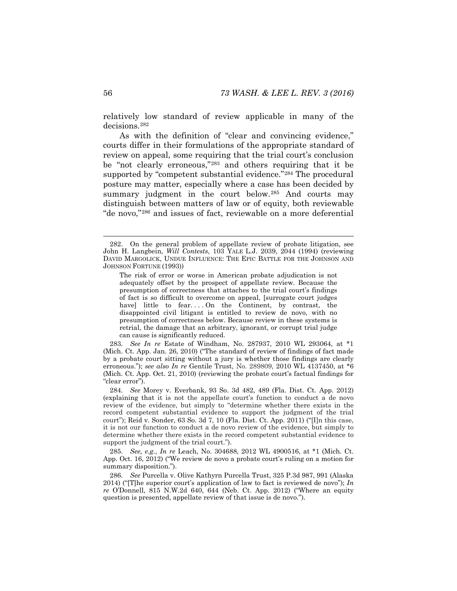relatively low standard of review applicable in many of the decisions.282

As with the definition of "clear and convincing evidence," courts differ in their formulations of the appropriate standard of review on appeal, some requiring that the trial court's conclusion be "not clearly erroneous,"283 and others requiring that it be supported by "competent substantial evidence."<sup>284</sup> The procedural posture may matter, especially where a case has been decided by summary judgment in the court below.<sup>285</sup> And courts may distinguish between matters of law or of equity, both reviewable "de novo,"286 and issues of fact, reviewable on a more deferential

283*. See In re* Estate of Windham, No. 287937, 2010 WL 293064, at \*1 (Mich. Ct. App. Jan. 26, 2010) ("The standard of review of findings of fact made by a probate court sitting without a jury is whether those findings are clearly erroneous."); *see also In re* Gentile Trust, No. 289809, 2010 WL 4137450, at \*6 (Mich. Ct. App. Oct. 21, 2010) (reviewing the probate court's factual findings for "clear error").

284*. See* Morey v. Everbank, 93 So. 3d 482, 489 (Fla. Dist. Ct. App. 2012) (explaining that it is not the appellate court's function to conduct a de novo review of the evidence, but simply to "determine whether there exists in the record competent substantial evidence to support the judgment of the trial court"); Reid v. Sonder, 63 So. 3d 7, 10 (Fla. Dist. Ct. App. 2011) ("[I]n this case, it is not our function to conduct a de novo review of the evidence, but simply to determine whether there exists in the record competent substantial evidence to support the judgment of the trial court.").

285*. See, e.g.*, *In re* Leach, No. 304688, 2012 WL 4900516, at \*1 (Mich. Ct. App. Oct. 16, 2012) ("We review de novo a probate court's ruling on a motion for summary disposition.").

286*. See* Purcella v. Olive Kathyrn Purcella Trust, 325 P.3d 987, 991 (Alaska 2014) ("[T]he superior court's application of law to fact is reviewed de novo"); *In re* O'Donnell, 815 N.W.2d 640, 644 (Neb. Ct. App. 2012) ("Where an equity question is presented, appellate review of that issue is de novo.").

 <sup>282.</sup> On the general problem of appellate review of probate litigation, see John H. Langbein, *Will Contests*, 103 YALE L.J. 2039, 2044 (1994) (reviewing DAVID MARGOLICK, UNDUE INFLUENCE: THE EPIC BATTLE FOR THE JOHNSON AND JOHNSON FORTUNE (1993))

The risk of error or worse in American probate adjudication is not adequately offset by the prospect of appellate review. Because the presumption of correctness that attaches to the trial court's findings of fact is so difficult to overcome on appeal, [surrogate court judges havel little to fear.... $On$  the Continent, by contrast, the disappointed civil litigant is entitled to review de novo, with no presumption of correctness below. Because review in these systems is retrial, the damage that an arbitrary, ignorant, or corrupt trial judge can cause is significantly reduced.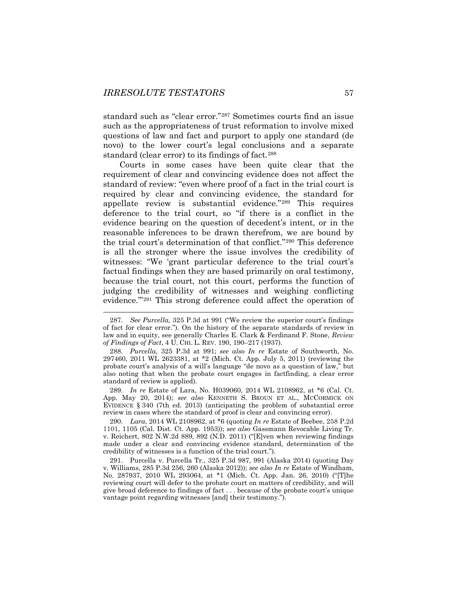standard such as "clear error."287 Sometimes courts find an issue such as the appropriateness of trust reformation to involve mixed questions of law and fact and purport to apply one standard (de novo) to the lower court's legal conclusions and a separate standard (clear error) to its findings of fact.<sup>288</sup>

Courts in some cases have been quite clear that the requirement of clear and convincing evidence does not affect the standard of review: "even where proof of a fact in the trial court is required by clear and convincing evidence, the standard for appellate review is substantial evidence."289 This requires deference to the trial court, so "if there is a conflict in the evidence bearing on the question of decedent's intent, or in the reasonable inferences to be drawn therefrom, we are bound by the trial court's determination of that conflict."290 This deference is all the stronger where the issue involves the credibility of witnesses: "We 'grant particular deference to the trial court's factual findings when they are based primarily on oral testimony, because the trial court, not this court, performs the function of judging the credibility of witnesses and weighing conflicting evidence.'"291 This strong deference could affect the operation of

289*. In re* Estate of Lara, No. H039060, 2014 WL 2108962, at \*6 (Cal. Ct. App. May 20, 2014); *see also* KENNETH S. BROUN ET AL., MCCORMICK ON EVIDENCE § 340 (7th ed. 2013) (anticipating the problem of substantial error review in cases where the standard of proof is clear and convincing error).

290. *Lara*, 2014 WL 2108962, at \*6 (quoting *In re* Estate of Beebee, 258 P.2d 1101, 1105 (Cal. Dist. Ct. App. 1953)); *see also* Gassmann Revocable Living Tr. v. Reichert, 802 N.W.2d 889, 892 (N.D. 2011) ("[E]ven when reviewing findings made under a clear and convincing evidence standard, determination of the credibility of witnesses is a function of the trial court.").

291. Purcella v. Purcella Tr., 325 P.3d 987, 991 (Alaska 2014) (quoting Day v. Williams, 285 P.3d 256, 260 (Alaska 2012)); *see also In re* Estate of Windham, No. 287937, 2010 WL 293064, at \*1 (Mich. Ct. App. Jan. 26, 2010) ("[T]he reviewing court will defer to the probate court on matters of credibility, and will give broad deference to findings of fact . . . because of the probate court's unique vantage point regarding witnesses [and] their testimony.").

 <sup>287</sup>*. See Purcella,* 325 P.3d at 991 ("We review the superior court's findings of fact for clear error."). On the history of the separate standards of review in law and in equity, see generally Charles E. Clark & Ferdinand F. Stone, *Review of Findings of Fact*, 4 U. CHI. L. REV. 190, 190–217 (1937).

<sup>288</sup>*. Purcella*, 325 P.3d at 991; *see also In re* Estate of Southworth, No. 297460, 2011 WL 2623381, at \*2 (Mich. Ct. App. July 5, 2011) (reviewing the probate court's analysis of a will's language "de novo as a question of law," but also noting that when the probate court engages in factfinding, a clear error standard of review is applied).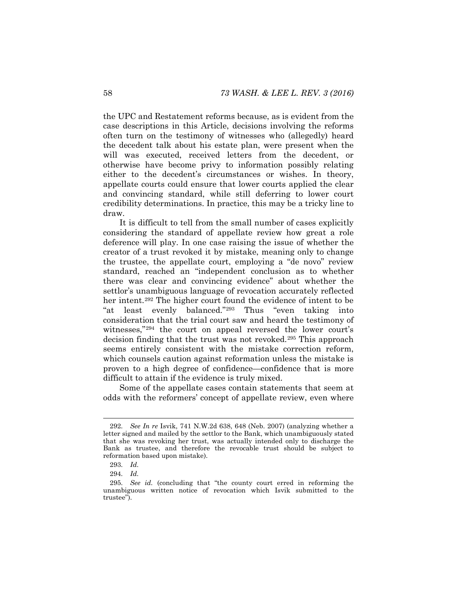the UPC and Restatement reforms because, as is evident from the case descriptions in this Article, decisions involving the reforms often turn on the testimony of witnesses who (allegedly) heard the decedent talk about his estate plan, were present when the will was executed, received letters from the decedent, or otherwise have become privy to information possibly relating either to the decedent's circumstances or wishes. In theory, appellate courts could ensure that lower courts applied the clear and convincing standard, while still deferring to lower court credibility determinations. In practice, this may be a tricky line to draw.

It is difficult to tell from the small number of cases explicitly considering the standard of appellate review how great a role deference will play. In one case raising the issue of whether the creator of a trust revoked it by mistake, meaning only to change the trustee, the appellate court, employing a "de novo" review standard, reached an "independent conclusion as to whether there was clear and convincing evidence" about whether the settlor's unambiguous language of revocation accurately reflected her intent.<sup>292</sup> The higher court found the evidence of intent to be "at least evenly balanced."293 Thus "even taking into consideration that the trial court saw and heard the testimony of witnesses,"294 the court on appeal reversed the lower court's decision finding that the trust was not revoked.295 This approach seems entirely consistent with the mistake correction reform, which counsels caution against reformation unless the mistake is proven to a high degree of confidence—confidence that is more difficult to attain if the evidence is truly mixed.

Some of the appellate cases contain statements that seem at odds with the reformers' concept of appellate review, even where

 <sup>292</sup>*. See In re* Isvik, 741 N.W.2d 638, 648 (Neb. 2007) (analyzing whether a letter signed and mailed by the settlor to the Bank, which unambiguously stated that she was revoking her trust, was actually intended only to discharge the Bank as trustee, and therefore the revocable trust should be subject to reformation based upon mistake).

<sup>293</sup>*. Id.*

<sup>294</sup>*. Id.*

<sup>295</sup>*. See id.* (concluding that "the county court erred in reforming the unambiguous written notice of revocation which Isvik submitted to the trustee").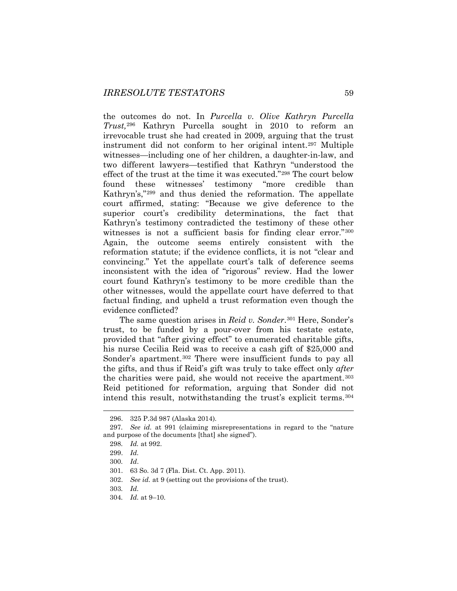the outcomes do not. In *Purcella v. Olive Kathryn Purcella Trust,*<sup>296</sup> Kathryn Purcella sought in 2010 to reform an irrevocable trust she had created in 2009, arguing that the trust instrument did not conform to her original intent.297 Multiple witnesses—including one of her children, a daughter-in-law, and two different lawyers—testified that Kathryn "understood the effect of the trust at the time it was executed."298 The court below found these witnesses' testimony "more credible than Kathryn's,"299 and thus denied the reformation. The appellate court affirmed, stating: "Because we give deference to the superior court's credibility determinations, the fact that Kathryn's testimony contradicted the testimony of these other witnesses is not a sufficient basis for finding clear error."<sup>300</sup> Again, the outcome seems entirely consistent with the reformation statute; if the evidence conflicts, it is not "clear and convincing." Yet the appellate court's talk of deference seems inconsistent with the idea of "rigorous" review. Had the lower court found Kathryn's testimony to be more credible than the other witnesses, would the appellate court have deferred to that factual finding, and upheld a trust reformation even though the evidence conflicted?

The same question arises in *Reid v. Sonder*.301 Here, Sonder's trust, to be funded by a pour-over from his testate estate, provided that "after giving effect" to enumerated charitable gifts, his nurse Cecilia Reid was to receive a cash gift of \$25,000 and Sonder's apartment.<sup>302</sup> There were insufficient funds to pay all the gifts, and thus if Reid's gift was truly to take effect only *after* the charities were paid, she would not receive the apartment.303 Reid petitioned for reformation, arguing that Sonder did not intend this result, notwithstanding the trust's explicit terms.304

 <sup>296.</sup> 325 P.3d 987 (Alaska 2014).

<sup>297</sup>*. See id.* at 991 (claiming misrepresentations in regard to the "nature and purpose of the documents [that] she signed").

<sup>298</sup>*. Id.* at 992.

<sup>299.</sup> *Id.*

<sup>300</sup>*. Id*.

<sup>301.</sup> 63 So. 3d 7 (Fla. Dist. Ct. App. 2011).

<sup>302.</sup> *See id.* at 9 (setting out the provisions of the trust).

<sup>303</sup>*. Id.*

<sup>304</sup>*. Id.* at 9–10.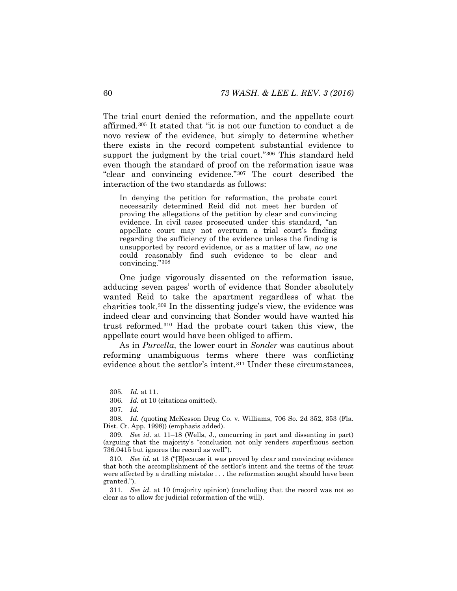The trial court denied the reformation, and the appellate court affirmed.305 It stated that "it is not our function to conduct a de novo review of the evidence, but simply to determine whether there exists in the record competent substantial evidence to support the judgment by the trial court."<sup>306</sup> This standard held even though the standard of proof on the reformation issue was "clear and convincing evidence."307 The court described the interaction of the two standards as follows:

In denying the petition for reformation, the probate court necessarily determined Reid did not meet her burden of proving the allegations of the petition by clear and convincing evidence. In civil cases prosecuted under this standard, "an appellate court may not overturn a trial court's finding regarding the sufficiency of the evidence unless the finding is unsupported by record evidence, or as a matter of law, *no one*  could reasonably find such evidence to be clear and convincing."308

One judge vigorously dissented on the reformation issue, adducing seven pages' worth of evidence that Sonder absolutely wanted Reid to take the apartment regardless of what the charities took.309 In the dissenting judge's view, the evidence was indeed clear and convincing that Sonder would have wanted his trust reformed.310 Had the probate court taken this view, the appellate court would have been obliged to affirm.

As in *Purcella*, the lower court in *Sonder* was cautious about reforming unambiguous terms where there was conflicting evidence about the settlor's intent.<sup>311</sup> Under these circumstances,

 <sup>305</sup>*. Id.* at 11.

<sup>306</sup>*. Id.* at 10 (citations omitted).

<sup>307</sup>*. Id.* 

<sup>308</sup>*. Id. (*quoting McKesson Drug Co. v. Williams, 706 So. 2d 352, 353 (Fla. Dist. Ct. App. 1998)) (emphasis added).

<sup>309</sup>*. See id.* at 11–18 (Wells, J., concurring in part and dissenting in part) (arguing that the majority's "conclusion not only renders superfluous section 736.0415 but ignores the record as well").

<sup>310</sup>*. See id.* at 18 ("[B]ecause it was proved by clear and convincing evidence that both the accomplishment of the settlor's intent and the terms of the trust were affected by a drafting mistake . . . the reformation sought should have been granted.").

<sup>311</sup>*. See id.* at 10 (majority opinion) (concluding that the record was not so clear as to allow for judicial reformation of the will).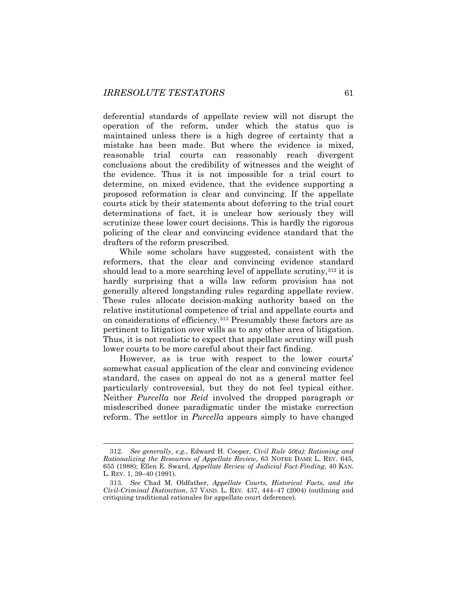deferential standards of appellate review will not disrupt the operation of the reform, under which the status quo is maintained unless there is a high degree of certainty that a mistake has been made. But where the evidence is mixed, reasonable trial courts can reasonably reach divergent conclusions about the credibility of witnesses and the weight of the evidence. Thus it is not impossible for a trial court to determine, on mixed evidence, that the evidence supporting a proposed reformation is clear and convincing. If the appellate courts stick by their statements about deferring to the trial court determinations of fact, it is unclear how seriously they will scrutinize these lower court decisions. This is hardly the rigorous policing of the clear and convincing evidence standard that the drafters of the reform prescribed.

While some scholars have suggested, consistent with the reformers, that the clear and convincing evidence standard should lead to a more searching level of appellate scrutiny,<sup>312</sup> it is hardly surprising that a wills law reform provision has not generally altered longstanding rules regarding appellate review. These rules allocate decision-making authority based on the relative institutional competence of trial and appellate courts and on considerations of efficiency.313 Presumably these factors are as pertinent to litigation over wills as to any other area of litigation. Thus, it is not realistic to expect that appellate scrutiny will push lower courts to be more careful about their fact finding.

However, as is true with respect to the lower courts' somewhat casual application of the clear and convincing evidence standard, the cases on appeal do not as a general matter feel particularly controversial, but they do not feel typical either. Neither *Purcella* nor *Reid* involved the dropped paragraph or misdescribed donee paradigmatic under the mistake correction reform. The settlor in *Purcella* appears simply to have changed

 <sup>312</sup>*. See generally, e.g.*, Edward H. Cooper, *Civil Rule 50(a): Rationing and Rationalizing the Resources of Appellate Review*, 63 NOTRE DAME L. REV. 645, 655 (1988); Ellen E. Sward, *Appellate Review of Judicial Fact-Finding*, 40 KAN. L. REV. 1, 39–40 (1991).

<sup>313</sup>*. See* Chad M. Oldfather, *Appellate Courts, Historical Facts, and the Civil-Criminal Distinction*, 57 VAND. L. REV. 437, 444–47 (2004) (outlining and critiquing traditional rationales for appellate court deference).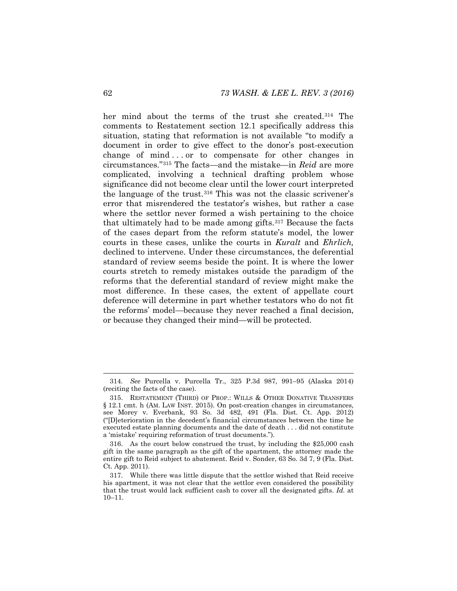her mind about the terms of the trust she created.314 The comments to Restatement section 12.1 specifically address this situation, stating that reformation is not available "to modify a document in order to give effect to the donor's post-execution change of mind . . . or to compensate for other changes in circumstances."315 The facts—and the mistake—in *Reid* are more complicated, involving a technical drafting problem whose significance did not become clear until the lower court interpreted the language of the trust.316 This was not the classic scrivener's error that misrendered the testator's wishes, but rather a case where the settlor never formed a wish pertaining to the choice that ultimately had to be made among gifts.317 Because the facts of the cases depart from the reform statute's model, the lower courts in these cases, unlike the courts in *Kuralt* and *Ehrlich,*  declined to intervene. Under these circumstances, the deferential standard of review seems beside the point. It is where the lower courts stretch to remedy mistakes outside the paradigm of the reforms that the deferential standard of review might make the most difference. In these cases, the extent of appellate court deference will determine in part whether testators who do not fit the reforms' model—because they never reached a final decision, or because they changed their mind—will be protected.

 <sup>314</sup>*. See* Purcella v. Purcella Tr., 325 P.3d 987, 991–95 (Alaska 2014) (reciting the facts of the case).

<sup>315.</sup> RESTATEMENT (THIRD) OF PROP.: WILLS & OTHER DONATIVE TRANSFERS § 12.1 cmt. h (AM. LAW INST. 2015). On post-creation changes in circumstances, see Morey v. Everbank, 93 So. 3d 482, 491 (Fla. Dist. Ct. App. 2012) ("[D]eterioration in the decedent's financial circumstances between the time he executed estate planning documents and the date of death . . . did not constitute a 'mistake' requiring reformation of trust documents.").

<sup>316.</sup> As the court below construed the trust, by including the \$25,000 cash gift in the same paragraph as the gift of the apartment, the attorney made the entire gift to Reid subject to abatement. Reid v. Sonder, 63 So. 3d 7, 9 (Fla. Dist. Ct. App. 2011).

<sup>317.</sup> While there was little dispute that the settlor wished that Reid receive his apartment, it was not clear that the settlor even considered the possibility that the trust would lack sufficient cash to cover all the designated gifts. *Id.* at 10–11.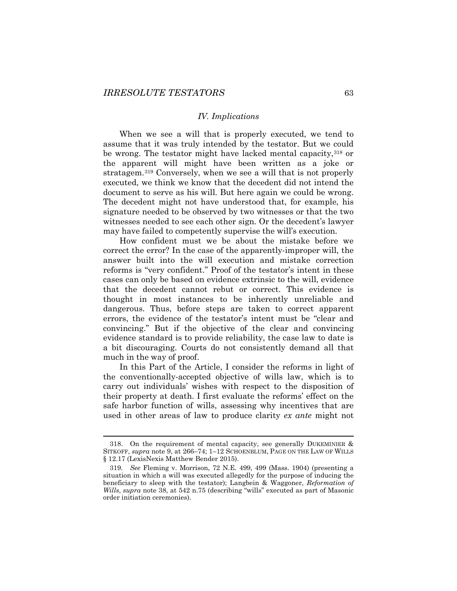#### *IV. Implications*

When we see a will that is properly executed, we tend to assume that it was truly intended by the testator. But we could be wrong. The testator might have lacked mental capacity, <sup>318</sup> or the apparent will might have been written as a joke or stratagem.319 Conversely, when we see a will that is not properly executed, we think we know that the decedent did not intend the document to serve as his will. But here again we could be wrong. The decedent might not have understood that, for example, his signature needed to be observed by two witnesses or that the two witnesses needed to see each other sign. Or the decedent's lawyer may have failed to competently supervise the will's execution.

How confident must we be about the mistake before we correct the error? In the case of the apparently-improper will, the answer built into the will execution and mistake correction reforms is "very confident." Proof of the testator's intent in these cases can only be based on evidence extrinsic to the will, evidence that the decedent cannot rebut or correct. This evidence is thought in most instances to be inherently unreliable and dangerous. Thus, before steps are taken to correct apparent errors, the evidence of the testator's intent must be "clear and convincing." But if the objective of the clear and convincing evidence standard is to provide reliability, the case law to date is a bit discouraging. Courts do not consistently demand all that much in the way of proof.

In this Part of the Article, I consider the reforms in light of the conventionally-accepted objective of wills law, which is to carry out individuals' wishes with respect to the disposition of their property at death. I first evaluate the reforms' effect on the safe harbor function of wills, assessing why incentives that are used in other areas of law to produce clarity *ex ante* might not

 <sup>318.</sup> On the requirement of mental capacity, see generally DUKEMINIER & SITKOFF, *supra* note 9, at 266–74; 1–12 SCHOENBLUM, PAGE ON THE LAW OF WILLS § 12.17 (LexisNexis Matthew Bender 2015).

<sup>319</sup>*. See* Fleming v. Morrison, 72 N.E. 499, 499 (Mass. 1904) (presenting a situation in which a will was executed allegedly for the purpose of inducing the beneficiary to sleep with the testator); Langbein & Waggoner, *Reformation of Wills*, *supra* note 38, at 542 n.75 (describing "wills" executed as part of Masonic order initiation ceremonies).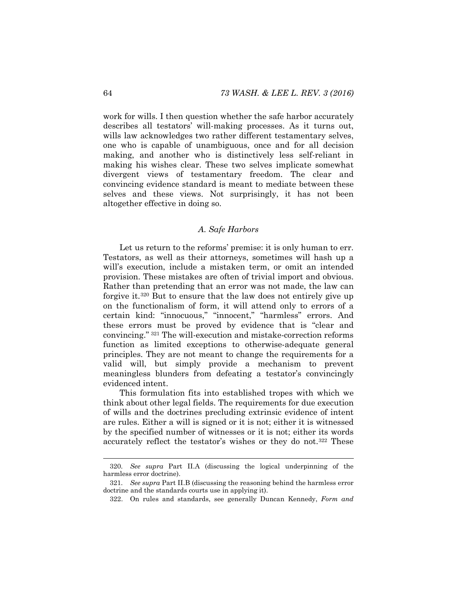work for wills. I then question whether the safe harbor accurately describes all testators' will-making processes. As it turns out, wills law acknowledges two rather different testamentary selves, one who is capable of unambiguous, once and for all decision making, and another who is distinctively less self-reliant in making his wishes clear. These two selves implicate somewhat divergent views of testamentary freedom. The clear and convincing evidence standard is meant to mediate between these selves and these views. Not surprisingly, it has not been altogether effective in doing so.

## *A. Safe Harbors*

Let us return to the reforms' premise: it is only human to err. Testators, as well as their attorneys, sometimes will hash up a will's execution, include a mistaken term, or omit an intended provision. These mistakes are often of trivial import and obvious. Rather than pretending that an error was not made, the law can forgive it.320 But to ensure that the law does not entirely give up on the functionalism of form, it will attend only to errors of a certain kind: "innocuous," "innocent," "harmless" errors. And these errors must be proved by evidence that is "clear and convincing." <sup>321</sup> The will-execution and mistake-correction reforms function as limited exceptions to otherwise-adequate general principles. They are not meant to change the requirements for a valid will, but simply provide a mechanism to prevent meaningless blunders from defeating a testator's convincingly evidenced intent.

This formulation fits into established tropes with which we think about other legal fields. The requirements for due execution of wills and the doctrines precluding extrinsic evidence of intent are rules. Either a will is signed or it is not; either it is witnessed by the specified number of witnesses or it is not; either its words accurately reflect the testator's wishes or they do not.<sup>322</sup> These

 <sup>320</sup>*. See supra* Part II.A (discussing the logical underpinning of the harmless error doctrine).

<sup>321</sup>*. See supra* Part II.B (discussing the reasoning behind the harmless error doctrine and the standards courts use in applying it).

<sup>322.</sup> On rules and standards, see generally Duncan Kennedy, *Form and*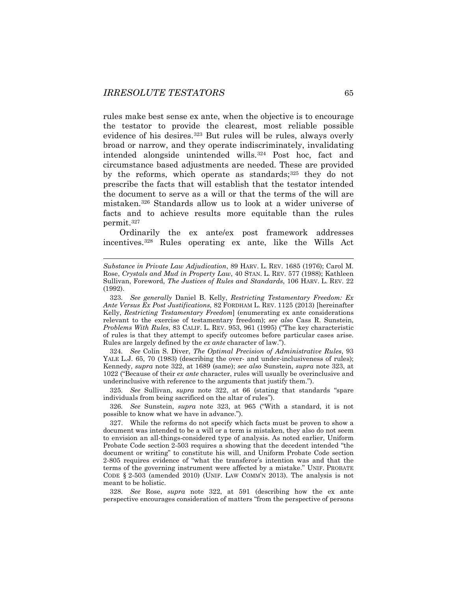$\overline{a}$ 

rules make best sense ex ante, when the objective is to encourage the testator to provide the clearest, most reliable possible evidence of his desires.<sup>323</sup> But rules will be rules, always overly broad or narrow, and they operate indiscriminately, invalidating intended alongside unintended wills.324 Post hoc, fact and circumstance based adjustments are needed. These are provided by the reforms, which operate as standards;<sup>325</sup> they do not prescribe the facts that will establish that the testator intended the document to serve as a will or that the terms of the will are mistaken.326 Standards allow us to look at a wider universe of facts and to achieve results more equitable than the rules permit.327

Ordinarily the ex ante/ex post framework addresses incentives.328 Rules operating ex ante, like the Wills Act

324*. See* Colin S. Diver, *The Optimal Precision of Administrative Rules*, 93 YALE L.J. 65, 70 (1983) (describing the over- and under-inclusiveness of rules); Kennedy, *supra* note 322, at 1689 (same); *see also* Sunstein, *supra* note 323, at 1022 ("Because of their *ex ante* character, rules will usually be overinclusive and underinclusive with reference to the arguments that justify them.").

325*. See* Sullivan, *supra* note 322, at 66 (stating that standards "spare individuals from being sacrificed on the altar of rules").

326*. See* Sunstein, *supra* note 323, at 965 ("With a standard, it is not possible to know what we have in advance.").

328*. See* Rose, *supra* note 322, at 591 (describing how the ex ante perspective encourages consideration of matters "from the perspective of persons

*Substance in Private Law Adjudication*, 89 HARV. L. REV. 1685 (1976); Carol M. Rose, *Crystals and Mud in Property Law*, 40 STAN. L. REV. 577 (1988); Kathleen Sullivan, Foreword, *The Justices of Rules and Standards*, 106 HARV. L. REV. 22 (1992).

<sup>323</sup>*. See generally* Daniel B. Kelly, *Restricting Testamentary Freedom: Ex Ante Versus Ex Post Justifications*, 82 FORDHAM L. REV. 1125 (2013) [hereinafter Kelly, *Restricting Testamentary Freedom*] (enumerating ex ante considerations relevant to the exercise of testamentary freedom); *see also* Cass R. Sunstein, *Problems With Rules*, 83 CALIF. L. REV. 953, 961 (1995) ("The key characteristic of rules is that they attempt to specify outcomes before particular cases arise. Rules are largely defined by the *ex ante* character of law.").

<sup>327.</sup> While the reforms do not specify which facts must be proven to show a document was intended to be a will or a term is mistaken, they also do not seem to envision an all-things-considered type of analysis. As noted earlier, Uniform Probate Code section 2-503 requires a showing that the decedent intended "the document or writing" to constitute his will, and Uniform Probate Code section 2-805 requires evidence of "what the transferor's intention was and that the terms of the governing instrument were affected by a mistake." UNIF. PROBATE CODE § 2-503 (amended 2010) (UNIF. LAW COMM'N 2013). The analysis is not meant to be holistic.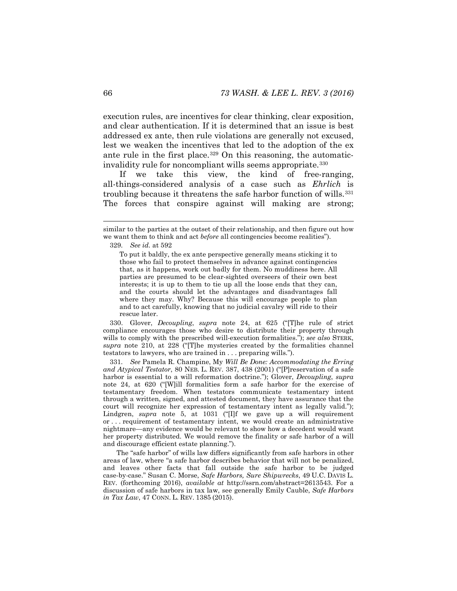execution rules, are incentives for clear thinking, clear exposition, and clear authentication. If it is determined that an issue is best addressed ex ante, then rule violations are generally not excused, lest we weaken the incentives that led to the adoption of the ex ante rule in the first place.<sup>329</sup> On this reasoning, the automaticinvalidity rule for noncompliant wills seems appropriate.<sup>330</sup>

If we take this view, the kind of free-ranging, all-things-considered analysis of a case such as *Ehrlich* is troubling because it threatens the safe harbor function of wills.<sup>331</sup> The forces that conspire against will making are strong;

329*. See id.* at 592

To put it baldly, the ex ante perspective generally means sticking it to those who fail to protect themselves in advance against contingencies that, as it happens, work out badly for them. No muddiness here. All parties are presumed to be clear-sighted overseers of their own best interests; it is up to them to tie up all the loose ends that they can, and the courts should let the advantages and disadvantages fall where they may. Why? Because this will encourage people to plan and to act carefully, knowing that no judicial cavalry will ride to their rescue later.

330. Glover, *Decoupling*, *supra* note 24, at 625 ("[T]he rule of strict compliance encourages those who desire to distribute their property through wills to comply with the prescribed will-execution formalities."); *see also* STERK, *supra* note 210, at 228 ("[T]he mysteries created by the formalities channel testators to lawyers, who are trained in . . . preparing wills.").

331*. See* Pamela R. Champine, My *Will Be Done: Accommodating the Erring and Atypical Testator*, 80 NEB. L. REV. 387, 438 (2001) ("[P]reservation of a safe harbor is essential to a will reformation doctrine."); Glover, *Decoupling*, *supra* note 24, at 620 ("[W]ill formalities form a safe harbor for the exercise of testamentary freedom. When testators communicate testamentary intent through a written, signed, and attested document, they have assurance that the court will recognize her expression of testamentary intent as legally valid."); Lindgren, *supra* note 5, at 1031 ("[I]f we gave up a will requirement or . . . requirement of testamentary intent, we would create an administrative nightmare—any evidence would be relevant to show how a decedent would want her property distributed. We would remove the finality or safe harbor of a will and discourage efficient estate planning.").

The "safe harbor" of wills law differs significantly from safe harbors in other areas of law, where "a safe harbor describes behavior that will not be penalized, and leaves other facts that fall outside the safe harbor to be judged case-by-case." Susan C. Morse, *Safe Harbors, Sure Shipwrecks*, 49 U.C. DAVIS L. REV. (forthcoming 2016), *available at* http://ssrn.com/abstract=2613543. For a discussion of safe harbors in tax law, see generally Emily Cauble, *Safe Harbors in Tax Law*, 47 CONN. L. REV. 1385 (2015).

similar to the parties at the outset of their relationship, and then figure out how we want them to think and act *before* all contingencies become realities").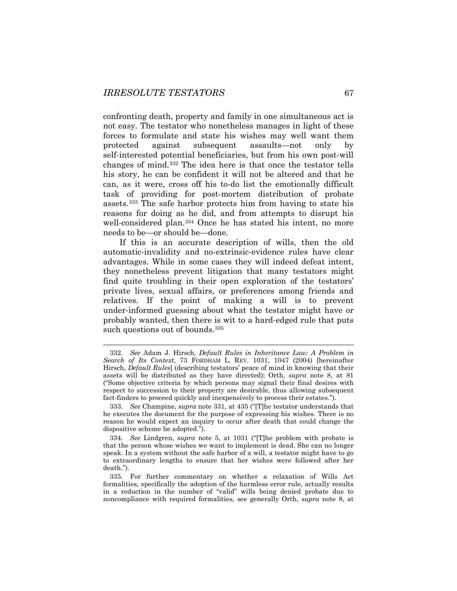confronting death, property and family in one simultaneous act is not easy. The testator who nonetheless manages in light of these forces to formulate and state his wishes may well want them protected against subsequent assaults—not only by self-interested potential beneficiaries, but from his own post-will changes of mind.332 The idea here is that once the testator tells his story, he can be confident it will not be altered and that he can, as it were, cross off his to-do list the emotionally difficult task of providing for post-mortem distribution of probate assets.333 The safe harbor protects him from having to state his reasons for doing as he did, and from attempts to disrupt his well-considered plan.334 Once he has stated his intent, no more needs to be—or should be—done.

If this is an accurate description of wills, then the old automatic-invalidity and no-extrinsic-evidence rules have clear advantages. While in some cases they will indeed defeat intent, they nonetheless prevent litigation that many testators might find quite troubling in their open exploration of the testators' private lives, sexual affairs, or preferences among friends and relatives. If the point of making a will is to prevent under-informed guessing about what the testator might have or probably wanted, then there is wit to a hard-edged rule that puts such questions out of bounds.<sup>335</sup>

 <sup>332</sup>*. See* Adam J. Hirsch, *Default Rules in Inheritance Law: A Problem in Search of Its Context*, 73 FORDHAM L. REV. 1031, 1047 (2004) [hereinafter Hirsch, *Default Rules*] (describing testators' peace of mind in knowing that their assets will be distributed as they have directed); Orth, *supra* note 8, at 81 ("Some objective criteria by which persons may signal their final desires with respect to succession to their property are desirable, thus allowing subsequent fact-finders to proceed quickly and inexpensively to process their estates.").

<sup>333.</sup> *See* Champine, *supra* note 331, at 435 ("[T]he testator understands that he executes the document for the purpose of expressing his wishes. There is no reason he would expect an inquiry to occur after death that could change the dispositive scheme he adopted.").

<sup>334</sup>*. See* Lindgren, *supra* note 5, at 1031 ("[T]he problem with probate is that the person whose wishes we want to implement is dead. She can no longer speak. In a system without the safe harbor of a will, a testator might have to go to extraordinary lengths to ensure that her wishes were followed after her death.").

<sup>335.</sup> For further commentary on whether a relaxation of Wills Act formalities, specifically the adoption of the harmless error rule, actually results in a reduction in the number of "valid" wills being denied probate due to noncompliance with required formalities, see generally Orth, *supra* note 8, at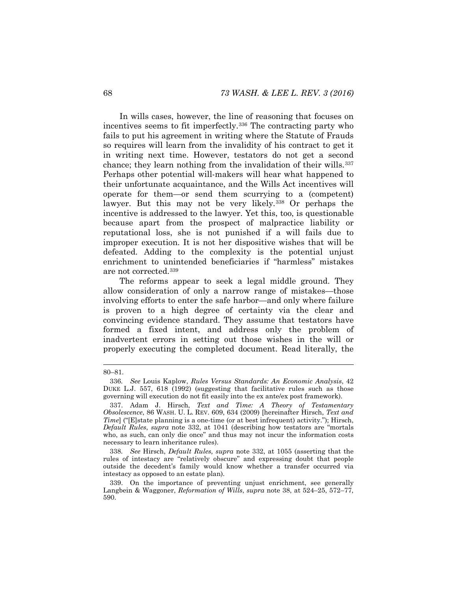In wills cases, however, the line of reasoning that focuses on incentives seems to fit imperfectly.336 The contracting party who fails to put his agreement in writing where the Statute of Frauds so requires will learn from the invalidity of his contract to get it in writing next time. However, testators do not get a second chance; they learn nothing from the invalidation of their wills.<sup>337</sup> Perhaps other potential will-makers will hear what happened to their unfortunate acquaintance, and the Wills Act incentives will operate for them—or send them scurrying to a (competent) lawyer. But this may not be very likely.<sup>338</sup> Or perhaps the incentive is addressed to the lawyer. Yet this, too, is questionable because apart from the prospect of malpractice liability or reputational loss, she is not punished if a will fails due to improper execution. It is not her dispositive wishes that will be defeated. Adding to the complexity is the potential unjust enrichment to unintended beneficiaries if "harmless" mistakes are not corrected.339

The reforms appear to seek a legal middle ground. They allow consideration of only a narrow range of mistakes—those involving efforts to enter the safe harbor—and only where failure is proven to a high degree of certainty via the clear and convincing evidence standard. They assume that testators have formed a fixed intent, and address only the problem of inadvertent errors in setting out those wishes in the will or properly executing the completed document. Read literally, the

 <sup>80–81.</sup>

<sup>336</sup>*. See* Louis Kaplow, *Rules Versus Standards: An Economic Analysis*, 42 DUKE L.J. 557, 618 (1992) (suggesting that facilitative rules such as those governing will execution do not fit easily into the ex ante/ex post framework).

<sup>337.</sup> Adam J. Hirsch, *Text and Time: A Theory of Testamentary Obsolescence*, 86 WASH. U. L. REV. 609, 634 (2009) [hereinafter Hirsch, *Text and Time*] ("[E]state planning is a one-time (or at best infrequent) activity."); Hirsch, *Default Rules*, *supra* note 332, at 1041 (describing how testators are "mortals who, as such, can only die once" and thus may not incur the information costs necessary to learn inheritance rules).

<sup>338</sup>*. See* Hirsch, *Default Rules, supra* note 332, at 1055 (asserting that the rules of intestacy are "relatively obscure" and expressing doubt that people outside the decedent's family would know whether a transfer occurred via intestacy as opposed to an estate plan).

<sup>339.</sup> On the importance of preventing unjust enrichment, see generally Langbein & Waggoner, *Reformation of Wills*, *supra* note 38, at 524–25, 572–77, 590.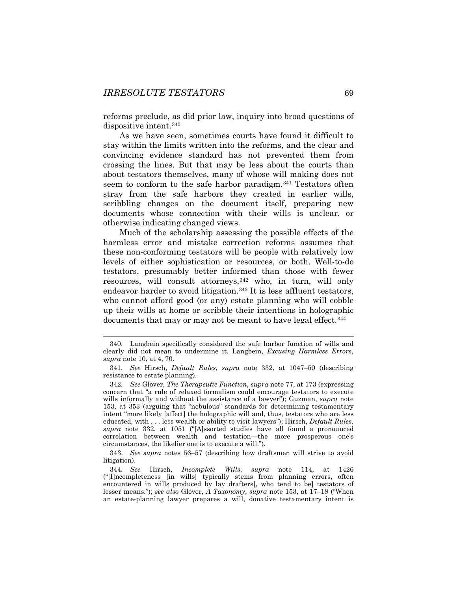reforms preclude, as did prior law, inquiry into broad questions of dispositive intent.340

As we have seen, sometimes courts have found it difficult to stay within the limits written into the reforms, and the clear and convincing evidence standard has not prevented them from crossing the lines. But that may be less about the courts than about testators themselves, many of whose will making does not seem to conform to the safe harbor paradigm.<sup>341</sup> Testators often stray from the safe harbors they created in earlier wills, scribbling changes on the document itself, preparing new documents whose connection with their wills is unclear, or otherwise indicating changed views.

Much of the scholarship assessing the possible effects of the harmless error and mistake correction reforms assumes that these non-conforming testators will be people with relatively low levels of either sophistication or resources, or both. Well-to-do testators, presumably better informed than those with fewer resources, will consult attorneys,342 who, in turn, will only endeavor harder to avoid litigation.<sup>343</sup> It is less affluent testators, who cannot afford good (or any) estate planning who will cobble up their wills at home or scribble their intentions in holographic documents that may or may not be meant to have legal effect.<sup>344</sup>

343. *See supra* notes 56–57 (describing how draftsmen will strive to avoid litigation).

 <sup>340</sup>*.* Langbein specifically considered the safe harbor function of wills and clearly did not mean to undermine it. Langbein, *Excusing Harmless Errors*, *supra* note 10, at 4, 70.

<sup>341</sup>*. See* Hirsch, *Default Rules*, *supra* note 332, at 1047–50 (describing resistance to estate planning).

<sup>342</sup>*. See* Glover, *The Therapeutic Function*, *supra* note 77, at 173 (expressing concern that "a rule of relaxed formalism could encourage testators to execute wills informally and without the assistance of a lawyer"); Guzman, *supra* note 153, at 353 (arguing that "nebulous" standards for determining testamentary intent "more likely [affect] the holographic will and, thus, testators who are less educated, with . . . less wealth or ability to visit lawyers"); Hirsch, *Default Rules*, *supra* note 332, at 1051 ("[A]ssorted studies have all found a pronounced correlation between wealth and testation—the more prosperous one's circumstances, the likelier one is to execute a will.").

<sup>344</sup>*. See* Hirsch, *Incomplete Wills*, *supra* note 114, at 1426 ("[I]ncompleteness [in wills] typically stems from planning errors, often encountered in wills produced by lay drafters[, who tend to be] testators of lesser means."); *see also* Glover, *A Taxonomy*, *supra* note 153, at 17–18 ("When an estate-planning lawyer prepares a will, donative testamentary intent is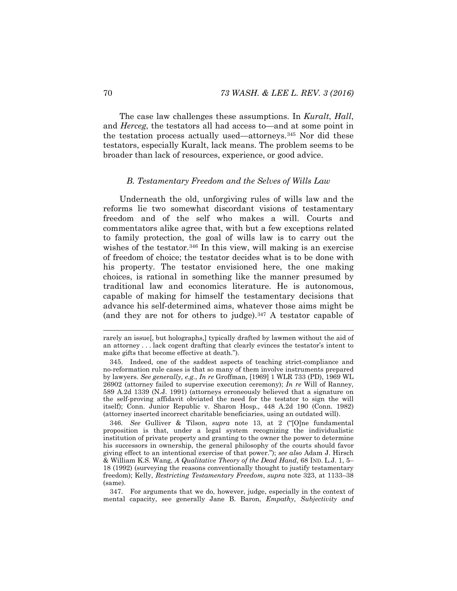The case law challenges these assumptions. In *Kuralt*, *Hall*, and *Herceg*, the testators all had access to—and at some point in the testation process actually used—attorneys.345 Nor did these testators, especially Kuralt, lack means. The problem seems to be broader than lack of resources, experience, or good advice.

#### *B. Testamentary Freedom and the Selves of Wills Law*

Underneath the old, unforgiving rules of wills law and the reforms lie two somewhat discordant visions of testamentary freedom and of the self who makes a will. Courts and commentators alike agree that, with but a few exceptions related to family protection, the goal of wills law is to carry out the wishes of the testator.<sup>346</sup> In this view, will making is an exercise of freedom of choice; the testator decides what is to be done with his property. The testator envisioned here, the one making choices, is rational in something like the manner presumed by traditional law and economics literature. He is autonomous, capable of making for himself the testamentary decisions that advance his self-determined aims, whatever those aims might be (and they are not for others to judge). $347$  A testator capable of

rarely an issue[, but holographs,] typically drafted by lawmen without the aid of an attorney . . . lack cogent drafting that clearly evinces the testator's intent to make gifts that become effective at death.").

<sup>345.</sup> Indeed, one of the saddest aspects of teaching strict-compliance and no-reformation rule cases is that so many of them involve instruments prepared by lawyers. *See generally, e.g.*, *In re* Groffman, [1969] 1 WLR 733 (PD), 1969 WL 26902 (attorney failed to supervise execution ceremony); *In re* Will of Ranney, 589 A.2d 1339 (N.J. 1991) (attorneys erroneously believed that a signature on the self-proving affidavit obviated the need for the testator to sign the will itself); Conn. Junior Republic v. Sharon Hosp., 448 A.2d 190 (Conn. 1982) (attorney inserted incorrect charitable beneficiaries, using an outdated will).

<sup>346</sup>*. See* Gulliver & Tilson, *supra* note 13, at 2 ("[O]ne fundamental proposition is that, under a legal system recognizing the individualistic institution of private property and granting to the owner the power to determine his successors in ownership, the general philosophy of the courts should favor giving effect to an intentional exercise of that power."); *see also* Adam J. Hirsch & William K.S. Wang, *A Qualitative Theory of the Dead Hand*, 68 IND. L.J. 1, 5– 18 (1992) (surveying the reasons conventionally thought to justify testamentary freedom); Kelly, *Restricting Testamentary Freedom*, *supra* note 323, at 1133–38 (same).

<sup>347.</sup> For arguments that we do, however, judge, especially in the context of mental capacity, see generally Jane B. Baron, *Empathy, Subjectivity and*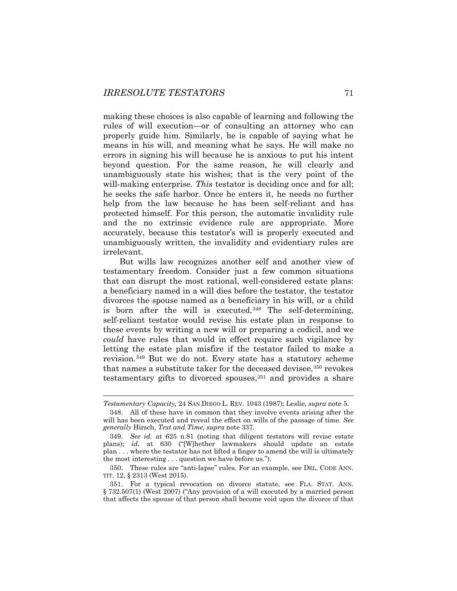l

making these choices is also capable of learning and following the rules of will execution—or of consulting an attorney who can properly guide him. Similarly, he is capable of saying what he means in his will, and meaning what he says. He will make no errors in signing his will because he is anxious to put his intent beyond question. For the same reason, he will clearly and unambiguously state his wishes; that is the very point of the will-making enterprise. *This* testator is deciding once and for all; he seeks the safe harbor. Once he enters it, he needs no further help from the law because he has been self-reliant and has protected himself. For this person, the automatic invalidity rule and the no extrinsic evidence rule are appropriate. More accurately, because this testator's will is properly executed and unambiguously written, the invalidity and evidentiary rules are irrelevant.

But wills law recognizes another self and another view of testamentary freedom. Consider just a few common situations that can disrupt the most rational, well-considered estate plans: a beneficiary named in a will dies before the testator, the testator divorces the spouse named as a beneficiary in his will, or a child is born after the will is executed.<sup>348</sup> The self-determining, self-reliant testator would revise his estate plan in response to these events by writing a new will or preparing a codicil, and we *could* have rules that would in effect require such vigilance by letting the estate plan misfire if the testator failed to make a revision.349 But we do not. Every state has a statutory scheme that names a substitute taker for the deceased devisee,<sup>350</sup> revokes testamentary gifts to divorced spouses,351 and provides a share

*Testamentary Capacity,* 24 SAN DIEGO L. REV. 1043 (1987); Leslie, *supra* note 5.

<sup>348.</sup> All of these have in common that they involve events arising after the will has been executed and reveal the effect on wills of the passage of time. *See generally* Hirsch, *Text and Time*, *supra* note 337.

<sup>349</sup>*. See id.* at 625 n.81 (noting that diligent testators will revise estate plans); *id.* at 630 ("[W]hether lawmakers should update an estate plan . . . where the testator has not lifted a finger to amend the will is ultimately the most interesting . . . question we have before us.").

<sup>350.</sup> These rules are "anti-lapse" rules. For an example, see DEL. CODE ANN. TIT. 12, § 2313 (West 2015).

<sup>351.</sup> For a typical revocation on divorce statute, see FLA. STAT. ANN. § 732.507(1) (West 2007) ("Any provision of a will executed by a married person that affects the spouse of that person shall become void upon the divorce of that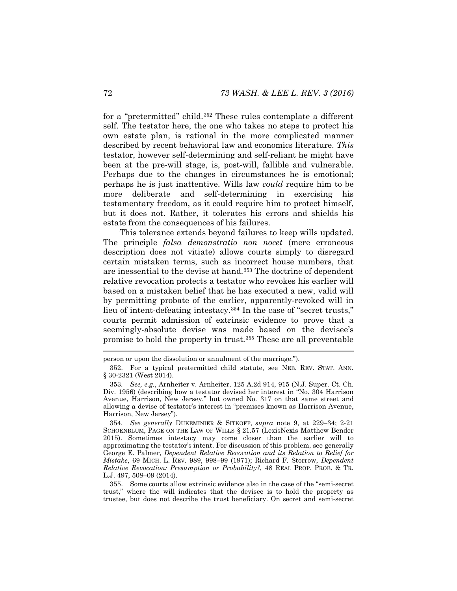for a "pretermitted" child.352 These rules contemplate a different self. The testator here, the one who takes no steps to protect his own estate plan, is rational in the more complicated manner described by recent behavioral law and economics literature. *This* testator, however self-determining and self-reliant he might have been at the pre-will stage, is, post-will, fallible and vulnerable. Perhaps due to the changes in circumstances he is emotional; perhaps he is just inattentive. Wills law *could* require him to be more deliberate and self-determining in exercising his testamentary freedom, as it could require him to protect himself, but it does not. Rather, it tolerates his errors and shields his estate from the consequences of his failures.

This tolerance extends beyond failures to keep wills updated. The principle *falsa demonstratio non nocet* (mere erroneous description does not vitiate) allows courts simply to disregard certain mistaken terms, such as incorrect house numbers, that are inessential to the devise at hand.353 The doctrine of dependent relative revocation protects a testator who revokes his earlier will based on a mistaken belief that he has executed a new, valid will by permitting probate of the earlier, apparently-revoked will in lieu of intent-defeating intestacy.<sup>354</sup> In the case of "secret trusts," courts permit admission of extrinsic evidence to prove that a seemingly-absolute devise was made based on the devisee's promise to hold the property in trust.355 These are all preventable

person or upon the dissolution or annulment of the marriage.").

<sup>352.</sup> For a typical pretermitted child statute, see NEB. REV. STAT. ANN. § 30-2321 (West 2014).

<sup>353</sup>*. See, e.g.*, Arnheiter v. Arnheiter, 125 A.2d 914, 915 (N.J. Super. Ct. Ch. Div. 1956) (describing how a testator devised her interest in "No. 304 Harrison Avenue, Harrison, New Jersey," but owned No. 317 on that same street and allowing a devise of testator's interest in "premises known as Harrison Avenue, Harrison, New Jersey").

<sup>354</sup>*. See generally* DUKEMINIER & SITKOFF, *supra* note 9, at 229–34; 2-21 SCHOENBLUM, PAGE ON THE LAW OF WILLS § 21.57 (LexisNexis Matthew Bender 2015). Sometimes intestacy may come closer than the earlier will to approximating the testator's intent. For discussion of this problem, see generally George E. Palmer, *Dependent Relative Revocation and its Relation to Relief for Mistake*, 69 MICH. L. REV. 989, 998–99 (1971); Richard F. Storrow, *Dependent Relative Revocation: Presumption or Probability?*, 48 REAL PROP. PROB. & TR. L.J. 497, 508–09 (2014).

<sup>355.</sup> Some courts allow extrinsic evidence also in the case of the "semi-secret trust," where the will indicates that the devisee is to hold the property as trustee, but does not describe the trust beneficiary. On secret and semi-secret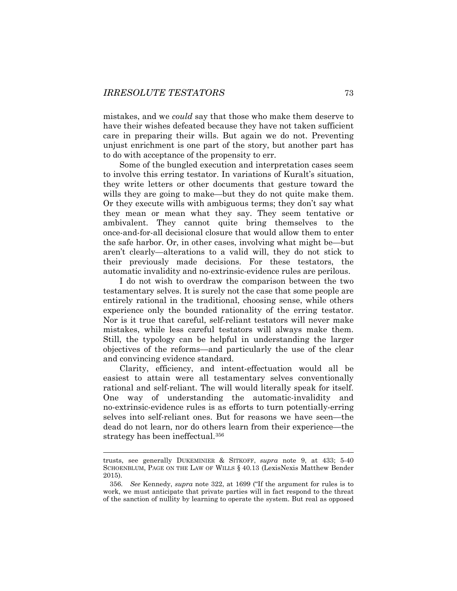mistakes, and we *could* say that those who make them deserve to have their wishes defeated because they have not taken sufficient care in preparing their wills. But again we do not. Preventing unjust enrichment is one part of the story, but another part has to do with acceptance of the propensity to err.

Some of the bungled execution and interpretation cases seem to involve this erring testator. In variations of Kuralt's situation, they write letters or other documents that gesture toward the wills they are going to make—but they do not quite make them. Or they execute wills with ambiguous terms; they don't say what they mean or mean what they say. They seem tentative or ambivalent. They cannot quite bring themselves to the once-and-for-all decisional closure that would allow them to enter the safe harbor. Or, in other cases, involving what might be—but aren't clearly—alterations to a valid will, they do not stick to their previously made decisions. For these testators, the automatic invalidity and no-extrinsic-evidence rules are perilous.

I do not wish to overdraw the comparison between the two testamentary selves. It is surely not the case that some people are entirely rational in the traditional, choosing sense, while others experience only the bounded rationality of the erring testator. Nor is it true that careful, self-reliant testators will never make mistakes, while less careful testators will always make them. Still, the typology can be helpful in understanding the larger objectives of the reforms—and particularly the use of the clear and convincing evidence standard.

Clarity, efficiency, and intent-effectuation would all be easiest to attain were all testamentary selves conventionally rational and self-reliant. The will would literally speak for itself. One way of understanding the automatic-invalidity and no-extrinsic-evidence rules is as efforts to turn potentially-erring selves into self-reliant ones. But for reasons we have seen—the dead do not learn, nor do others learn from their experience—the strategy has been ineffectual.356

trusts, see generally DUKEMINIER & SITKOFF, *supra* note 9, at 433; 5-40 SCHOENBLUM, PAGE ON THE LAW OF WILLS § 40.13 (LexisNexis Matthew Bender 2015).

<sup>356</sup>*. See* Kennedy, *supra* note 322, at 1699 ("If the argument for rules is to work, we must anticipate that private parties will in fact respond to the threat of the sanction of nullity by learning to operate the system. But real as opposed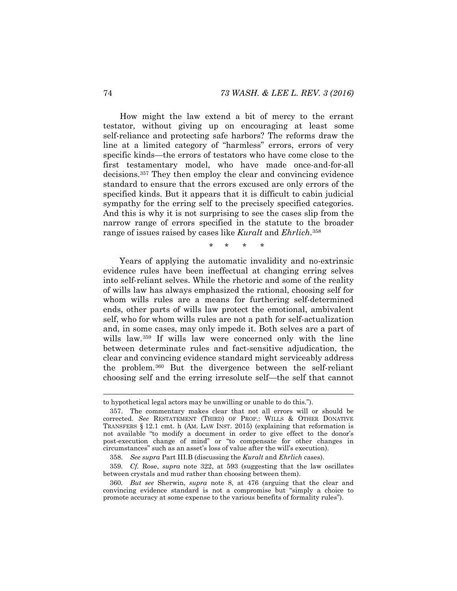How might the law extend a bit of mercy to the errant testator, without giving up on encouraging at least some self-reliance and protecting safe harbors? The reforms draw the line at a limited category of "harmless" errors, errors of very specific kinds—the errors of testators who have come close to the first testamentary model, who have made once-and-for-all decisions.357 They then employ the clear and convincing evidence standard to ensure that the errors excused are only errors of the specified kinds. But it appears that it is difficult to cabin judicial sympathy for the erring self to the precisely specified categories. And this is why it is not surprising to see the cases slip from the narrow range of errors specified in the statute to the broader range of issues raised by cases like *Kuralt* and *Ehrlich*.358

\* \* \* \*

Years of applying the automatic invalidity and no-extrinsic evidence rules have been ineffectual at changing erring selves into self-reliant selves. While the rhetoric and some of the reality of wills law has always emphasized the rational, choosing self for whom wills rules are a means for furthering self-determined ends, other parts of wills law protect the emotional, ambivalent self, who for whom wills rules are not a path for self-actualization and, in some cases, may only impede it. Both selves are a part of wills law.<sup>359</sup> If wills law were concerned only with the line between determinate rules and fact-sensitive adjudication, the clear and convincing evidence standard might serviceably address the problem.360 But the divergence between the self-reliant choosing self and the erring irresolute self—the self that cannot

to hypothetical legal actors may be unwilling or unable to do this.").

<sup>357.</sup> The commentary makes clear that not all errors will or should be corrected. *See* RESTATEMENT (THIRD) OF PROP.: WILLS & OTHER DONATIVE TRANSFERS § 12.1 cmt. h (AM. LAW INST. 2015) (explaining that reformation is not available "to modify a document in order to give effect to the donor's post-execution change of mind" or "to compensate for other changes in circumstances" such as an asset's loss of value after the will's execution).

<sup>358</sup>*. See supra* Part III.B (discussing the *Kuralt* and *Ehrlich* cases).

<sup>359</sup>*. Cf.* Rose, *supra* note 322, at 593 (suggesting that the law oscillates between crystals and mud rather than choosing between them).

<sup>360</sup>*. But see* Sherwin, *supra* note 8, at 476 (arguing that the clear and convincing evidence standard is not a compromise but "simply a choice to promote accuracy at some expense to the various benefits of formality rules").